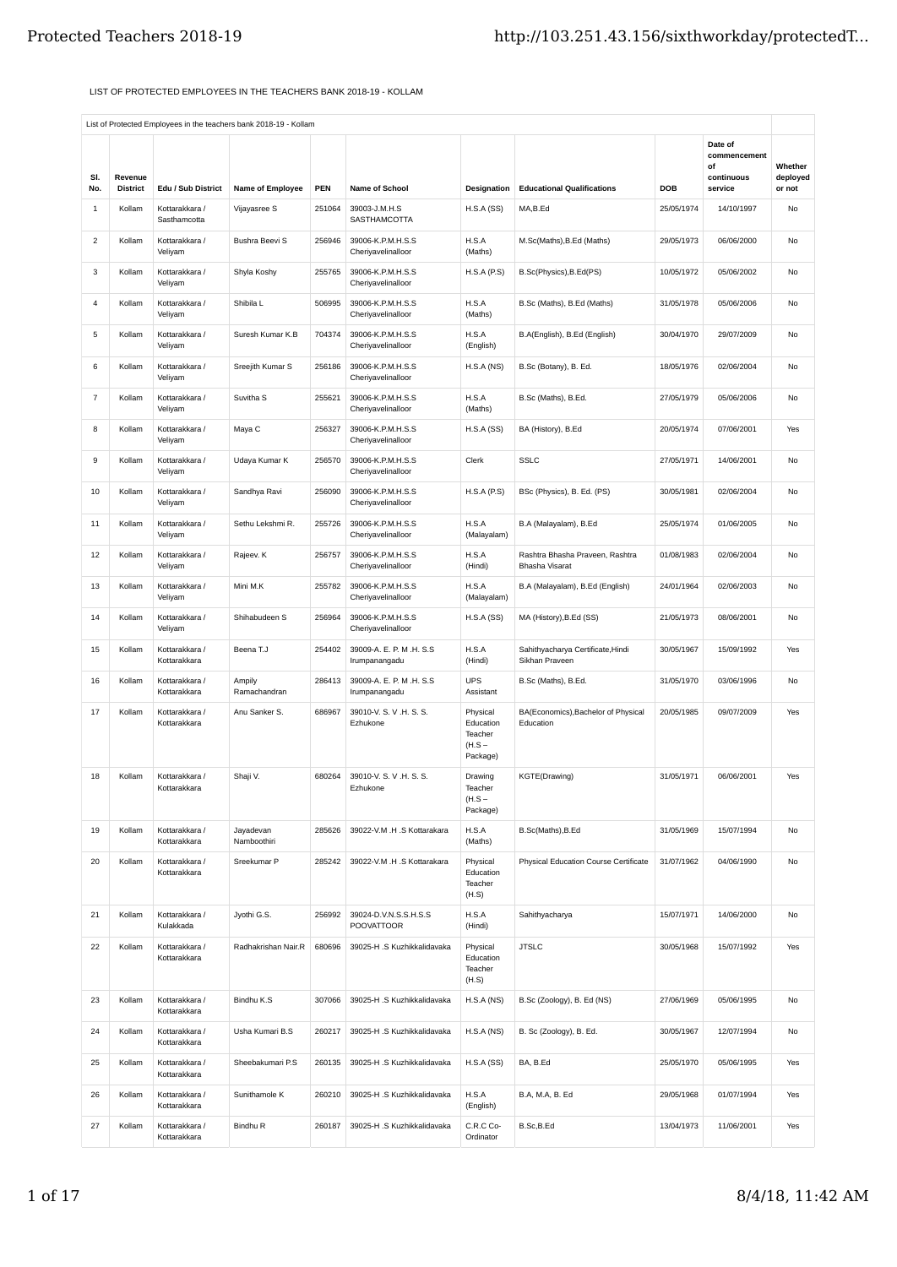## LIST OF PROTECTED EMPLOYEES IN THE TEACHERS BANK 2018-19 - KOLLAM

|                     |                           |                                      |                                  |               |                                            |                                                          |                                                          |                          | Date of<br>commencement |                     |
|---------------------|---------------------------|--------------------------------------|----------------------------------|---------------|--------------------------------------------|----------------------------------------------------------|----------------------------------------------------------|--------------------------|-------------------------|---------------------|
| SI.                 | Revenue                   |                                      |                                  |               |                                            |                                                          |                                                          |                          | οf<br>continuous        | Whether<br>deployed |
| No.<br>$\mathbf{1}$ | <b>District</b><br>Kollam | Edu / Sub District<br>Kottarakkara / | Name of Employee<br>Vijayasree S | PEN<br>251064 | Name of School<br>39003-J.M.H.S            | Designation<br>H.S.A(SS)                                 | <b>Educational Qualifications</b><br>MA,B.Ed             | <b>DOB</b><br>25/05/1974 | service<br>14/10/1997   | or not<br>No        |
|                     |                           | Sasthamcotta                         |                                  |               | SASTHAMCOTTA                               |                                                          |                                                          |                          |                         |                     |
| $\overline{c}$      | Kollam                    | Kottarakkara /<br>Veliyam            | <b>Bushra Beevi S</b>            | 256946        | 39006-K.P.M.H.S.S<br>Cheriyavelinalloor    | H.S.A<br>(Maths)                                         | M.Sc(Maths), B.Ed (Maths)                                | 29/05/1973               | 06/06/2000              | No                  |
| 3                   | Kollam                    | Kottarakkara /<br>Veliyam            | Shyla Koshy                      | 255765        | 39006-K.P.M.H.S.S<br>Cheriyavelinalloor    | H.S.A(P.S)                                               | B.Sc(Physics), B.Ed(PS)                                  | 10/05/1972               | 05/06/2002              | No                  |
| $\overline{4}$      | Kollam                    | Kottarakkara /<br>Veliyam            | Shibila L                        | 506995        | 39006-K.P.M.H.S.S<br>Cheriyavelinalloor    | H.S.A<br>(Maths)                                         | B.Sc (Maths), B.Ed (Maths)                               | 31/05/1978               | 05/06/2006              | No                  |
| 5                   | Kollam                    | Kottarakkara /<br>Veliyam            | Suresh Kumar K.B                 | 704374        | 39006-K.P.M.H.S.S<br>Cheriyavelinalloor    | H.S.A<br>(English)                                       | B.A(English), B.Ed (English)                             | 30/04/1970               | 29/07/2009              | No                  |
| 6                   | Kollam                    | Kottarakkara /<br>Veliyam            | Sreejith Kumar S                 | 256186        | 39006-K.P.M.H.S.S<br>Cheriyavelinalloor    | H.S.A(NS)                                                | B.Sc (Botany), B. Ed.                                    | 18/05/1976               | 02/06/2004              | No                  |
| $\overline{7}$      | Kollam                    | Kottarakkara /<br>Veliyam            | Suvitha <sub>S</sub>             | 255621        | 39006-K.P.M.H.S.S<br>Cheriyavelinalloor    | H.S.A<br>(Maths)                                         | B.Sc (Maths), B.Ed.                                      | 27/05/1979               | 05/06/2006              | No                  |
| 8                   | Kollam                    | Kottarakkara /<br>Veliyam            | Maya C                           | 256327        | 39006-K.P.M.H.S.S<br>Cheriyavelinalloor    | H.S.A(SS)                                                | BA (History), B.Ed                                       | 20/05/1974               | 07/06/2001              | Yes                 |
| 9                   | Kollam                    | Kottarakkara /<br>Veliyam            | Udaya Kumar K                    | 256570        | 39006-K.P.M.H.S.S<br>Cheriyavelinalloor    | Clerk                                                    | <b>SSLC</b>                                              | 27/05/1971               | 14/06/2001              | No                  |
| 10                  | Kollam                    | Kottarakkara /<br>Veliyam            | Sandhya Ravi                     | 256090        | 39006-K.P.M.H.S.S<br>Cheriyavelinalloor    | H.S.A(P.S)                                               | BSc (Physics), B. Ed. (PS)                               | 30/05/1981               | 02/06/2004              | No                  |
| 11                  | Kollam                    | Kottarakkara /<br>Veliyam            | Sethu Lekshmi R.                 | 255726        | 39006-K.P.M.H.S.S<br>Cheriyavelinalloor    | H.S.A<br>(Malayalam)                                     | B.A (Malayalam), B.Ed                                    | 25/05/1974               | 01/06/2005              | No                  |
| 12                  | Kollam                    | Kottarakkara /<br>Veliyam            | Rajeev. K                        | 256757        | 39006-K.P.M.H.S.S<br>Cheriyavelinalloor    | H.S.A<br>(Hindi)                                         | Rashtra Bhasha Praveen, Rashtra<br><b>Bhasha Visarat</b> | 01/08/1983               | 02/06/2004              | No                  |
| 13                  | Kollam                    | Kottarakkara /<br>Veliyam            | Mini M.K                         | 255782        | 39006-K.P.M.H.S.S<br>Cheriyavelinalloor    | H.S.A<br>(Malayalam)                                     | B.A (Malayalam), B.Ed (English)                          | 24/01/1964               | 02/06/2003              | No                  |
| 14                  | Kollam                    | Kottarakkara /<br>Veliyam            | Shihabudeen S                    | 256964        | 39006-K.P.M.H.S.S<br>Cheriyavelinalloor    | H.S.A(SS)                                                | MA (History), B.Ed (SS)                                  | 21/05/1973               | 08/06/2001              | No                  |
| 15                  | Kollam                    | Kottarakkara /<br>Kottarakkara       | Beena T.J                        | 254402        | 39009-A. E. P. M .H. S.S<br>Irumpanangadu  | H.S.A<br>(Hindi)                                         | Sahithyacharya Certificate, Hindi<br>Sikhan Praveen      | 30/05/1967               | 15/09/1992              | Yes                 |
| 16                  | Kollam                    | Kottarakkara /<br>Kottarakkara       | Ampily<br>Ramachandran           | 286413        | 39009-A. E. P. M .H. S.S<br>Irumpanangadu  | <b>UPS</b><br>Assistant                                  | B.Sc (Maths), B.Ed.                                      | 31/05/1970               | 03/06/1996              | No                  |
| 17                  | Kollam                    | Kottarakkara /<br>Kottarakkara       | Anu Sanker S.                    | 686967        | 39010-V. S. V. H. S. S.<br>Ezhukone        | Physical<br>Education<br>Teacher<br>$(H.S -$<br>Package) | BA(Economics), Bachelor of Physical<br>Education         | 20/05/1985               | 09/07/2009              | Yes                 |
| 18                  | Kollam                    | Kottarakkara /<br>Kottarakkara       | Shaji V.                         | 680264        | 39010-V. S. V.H. S. S.<br>Ezhukone         | Drawing<br>Teacher<br>$(H.S -$<br>Package)               | KGTE(Drawing)                                            | 31/05/1971               | 06/06/2001              | Yes                 |
| 19                  | Kollam                    | Kottarakkara /<br>Kottarakkara       | Jayadevan<br>Namboothiri         | 285626        | 39022-V.M .H .S Kottarakara                | H.S.A<br>(Maths)                                         | B.Sc(Maths), B.Ed                                        | 31/05/1969               | 15/07/1994              | No                  |
| 20                  | Kollam                    | Kottarakkara /<br>Kottarakkara       | Sreekumar P                      | 285242        | 39022-V.M .H .S Kottarakara                | Physical<br>Education<br>Teacher<br>(H.S)                | Physical Education Course Certificate                    | 31/07/1962               | 04/06/1990              | No                  |
| 21                  | Kollam                    | Kottarakkara /<br>Kulakkada          | Jyothi G.S.                      | 256992        | 39024-D.V.N.S.S.H.S.S<br><b>POOVATTOOR</b> | H.S.A<br>(Hindi)                                         | Sahithyacharya                                           | 15/07/1971               | 14/06/2000              | No                  |
| 22                  | Kollam                    | Kottarakkara /<br>Kottarakkara       | Radhakrishan Nair.R              | 680696        | 39025-H .S Kuzhikkalidavaka                | Physical<br>Education<br>Teacher<br>(H.S)                | <b>JTSLC</b>                                             | 30/05/1968               | 15/07/1992              | Yes                 |
| 23                  | Kollam                    | Kottarakkara /<br>Kottarakkara       | Bindhu K.S                       | 307066        | 39025-H .S Kuzhikkalidavaka                | H.S.A(NS)                                                | B.Sc (Zoology), B. Ed (NS)                               | 27/06/1969               | 05/06/1995              | No                  |
| 24                  | Kollam                    | Kottarakkara /<br>Kottarakkara       | Usha Kumari B.S                  | 260217        | 39025-H .S Kuzhikkalidavaka                | H.S.A(NS)                                                | B. Sc (Zoology), B. Ed.                                  | 30/05/1967               | 12/07/1994              | No                  |
| 25                  | Kollam                    | Kottarakkara /<br>Kottarakkara       | Sheebakumari P.S                 | 260135        | 39025-H .S Kuzhikkalidavaka                | H.S.A(SS)                                                | BA, B.Ed                                                 | 25/05/1970               | 05/06/1995              | Yes                 |
| 26                  | Kollam                    | Kottarakkara /<br>Kottarakkara       | Sunithamole K                    | 260210        | 39025-H .S Kuzhikkalidavaka                | H.S.A<br>(English)                                       | B.A, M.A, B. Ed                                          | 29/05/1968               | 01/07/1994              | Yes                 |
| 27                  | Kollam                    | Kottarakkara /<br>Kottarakkara       | Bindhu R                         | 260187        | 39025-H.S Kuzhikkalidavaka                 | C.R.C Co-<br>Ordinator                                   | B.Sc,B.Ed                                                | 13/04/1973               | 11/06/2001              | Yes                 |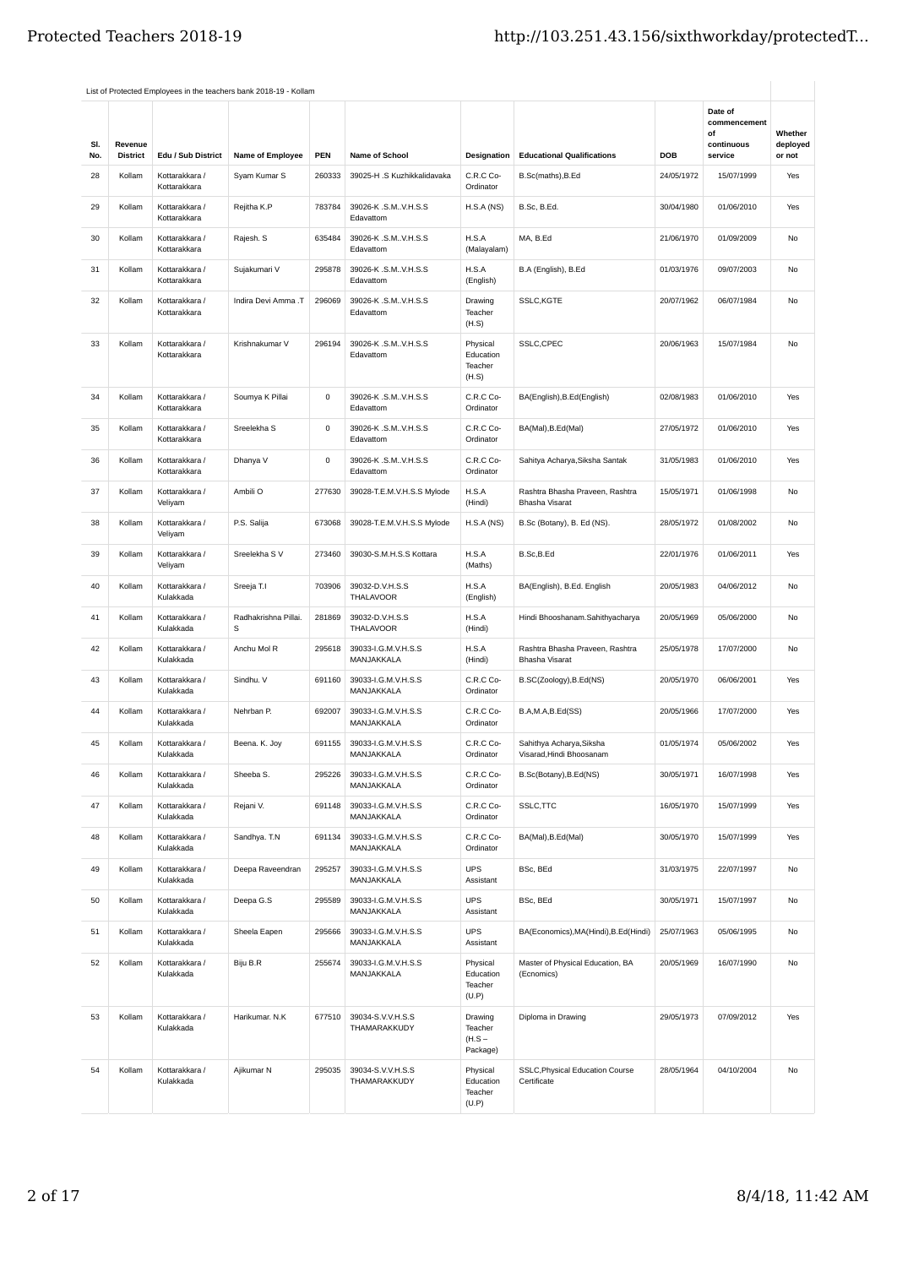| SI.<br>No. | Revenue<br><b>District</b> | Edu / Sub District             | Name of Employee          | <b>PEN</b>  | Name of School                      | Designation                                | <b>Educational Qualifications</b>                        | DOB        | Date of<br>commencement<br>οf<br>continuous<br>service | Whether<br>deployed<br>or not |
|------------|----------------------------|--------------------------------|---------------------------|-------------|-------------------------------------|--------------------------------------------|----------------------------------------------------------|------------|--------------------------------------------------------|-------------------------------|
| 28         | Kollam                     | Kottarakkara /<br>Kottarakkara | Syam Kumar S              | 260333      | 39025-H .S Kuzhikkalidavaka         | C.R.C Co-<br>Ordinator                     | B.Sc(maths), B.Ed                                        | 24/05/1972 | 15/07/1999                                             | Yes                           |
| 29         | Kollam                     | Kottarakkara /<br>Kottarakkara | Rejitha K.P               | 783784      | 39026-K .S.MV.H.S.S<br>Edavattom    | H.S.A(NS)                                  | B.Sc, B.Ed.                                              | 30/04/1980 | 01/06/2010                                             | Yes                           |
| 30         | Kollam                     | Kottarakkara /<br>Kottarakkara | Rajesh. S                 | 635484      | 39026-K .S.MV.H.S.S<br>Edavattom    | H.S.A<br>(Malayalam)                       | MA, B.Ed                                                 | 21/06/1970 | 01/09/2009                                             | No                            |
| 31         | Kollam                     | Kottarakkara /<br>Kottarakkara | Sujakumari V              | 295878      | 39026-K .S.MV.H.S.S<br>Edavattom    | H.S.A<br>(English)                         | B.A (English), B.Ed                                      | 01/03/1976 | 09/07/2003                                             | No                            |
| 32         | Kollam                     | Kottarakkara /<br>Kottarakkara | Indira Devi Amma .T       | 296069      | 39026-K .S.MV.H.S.S<br>Edavattom    | Drawing<br>Teacher<br>(H.S)                | SSLC, KGTE                                               | 20/07/1962 | 06/07/1984                                             | No                            |
| 33         | Kollam                     | Kottarakkara /<br>Kottarakkara | Krishnakumar V            | 296194      | 39026-K .S.MV.H.S.S<br>Edavattom    | Physical<br>Education<br>Teacher<br>(H.S)  | SSLC, CPEC                                               | 20/06/1963 | 15/07/1984                                             | No                            |
| 34         | Kollam                     | Kottarakkara /<br>Kottarakkara | Soumya K Pillai           | $\mathsf 0$ | 39026-K .S.MV.H.S.S<br>Edavattom    | C.R.C Co-<br>Ordinator                     | BA(English), B.Ed(English)                               | 02/08/1983 | 01/06/2010                                             | Yes                           |
| 35         | Kollam                     | Kottarakkara /<br>Kottarakkara | Sreelekha S               | $\mathsf 0$ | 39026-K .S.MV.H.S.S<br>Edavattom    | C.R.C Co-<br>Ordinator                     | BA(Mal), B.Ed(Mal)                                       | 27/05/1972 | 01/06/2010                                             | Yes                           |
| 36         | Kollam                     | Kottarakkara /<br>Kottarakkara | Dhanya V                  | 0           | 39026-K .S.MV.H.S.S<br>Edavattom    | C.R.C Co-<br>Ordinator                     | Sahitya Acharya, Siksha Santak                           | 31/05/1983 | 01/06/2010                                             | Yes                           |
| 37         | Kollam                     | Kottarakkara /<br>Veliyam      | Ambili O                  | 277630      | 39028-T.E.M.V.H.S.S Mylode          | H.S.A<br>(Hindi)                           | Rashtra Bhasha Praveen, Rashtra<br><b>Bhasha Visarat</b> | 15/05/1971 | 01/06/1998                                             | No                            |
| 38         | Kollam                     | Kottarakkara /<br>Veliyam      | P.S. Salija               | 673068      | 39028-T.E.M.V.H.S.S Mylode          | H.S.A(NS)                                  | B.Sc (Botany), B. Ed (NS).                               | 28/05/1972 | 01/08/2002                                             | No                            |
| 39         | Kollam                     | Kottarakkara /<br>Veliyam      | Sreelekha S V             | 273460      | 39030-S.M.H.S.S Kottara             | H.S.A<br>(Maths)                           | B.Sc,B.Ed                                                | 22/01/1976 | 01/06/2011                                             | Yes                           |
| 40         | Kollam                     | Kottarakkara /<br>Kulakkada    | Sreeja T.I                | 703906      | 39032-D.V.H.S.S<br><b>THALAVOOR</b> | H.S.A<br>(English)                         | BA(English), B.Ed. English                               | 20/05/1983 | 04/06/2012                                             | No                            |
| 41         | Kollam                     | Kottarakkara /<br>Kulakkada    | Radhakrishna Pillai.<br>s | 281869      | 39032-D.V.H.S.S<br>THALAVOOR        | H.S.A<br>(Hindi)                           | Hindi Bhooshanam.Sahithyacharya                          | 20/05/1969 | 05/06/2000                                             | No                            |
| 42         | Kollam                     | Kottarakkara /<br>Kulakkada    | Anchu Mol R               | 295618      | 39033-I.G.M.V.H.S.S<br>MANJAKKALA   | H.S.A<br>(Hindi)                           | Rashtra Bhasha Praveen, Rashtra<br><b>Bhasha Visarat</b> | 25/05/1978 | 17/07/2000                                             | No                            |
| 43         | Kollam                     | Kottarakkara /<br>Kulakkada    | Sindhu, V                 | 691160      | 39033-I.G.M.V.H.S.S<br>MANJAKKALA   | C.R.C Co-<br>Ordinator                     | B.SC(Zoology), B.Ed(NS)                                  | 20/05/1970 | 06/06/2001                                             | Yes                           |
| 44         | Kollam                     | Kottarakkara /<br>Kulakkada    | Nehrban P.                | 692007      | 39033-I.G.M.V.H.S.S<br>MANJAKKALA   | C.R.C Co-<br>Ordinator                     | B.A,M.A,B.Ed(SS)                                         | 20/05/1966 | 17/07/2000                                             | Yes                           |
| 45         | Kollam                     | Kottarakkara /<br>Kulakkada    | Beena. K. Joy             | 691155      | 39033-I.G.M.V.H.S.S<br>MANJAKKALA   | C.R.C Co-<br>Ordinator                     | Sahithya Acharya, Siksha<br>Visarad, Hindi Bhoosanam     | 01/05/1974 | 05/06/2002                                             | Yes                           |
| 46         | Kollam                     | Kottarakkara /<br>Kulakkada    | Sheeba S.                 | 295226      | 39033-I.G.M.V.H.S.S<br>MANJAKKALA   | C.R.C Co-<br>Ordinator                     | B.Sc(Botany), B.Ed(NS)                                   | 30/05/1971 | 16/07/1998                                             | Yes                           |
| 47         | Kollam                     | Kottarakkara /<br>Kulakkada    | Rejani V.                 | 691148      | 39033-I.G.M.V.H.S.S<br>MANJAKKALA   | C.R.C Co-<br>Ordinator                     | SSLC, TTC                                                | 16/05/1970 | 15/07/1999                                             | Yes                           |
| 48         | Kollam                     | Kottarakkara /<br>Kulakkada    | Sandhya. T.N              | 691134      | 39033-I.G.M.V.H.S.S<br>MANJAKKALA   | C.R.C Co-<br>Ordinator                     | BA(Mal), B.Ed(Mal)                                       | 30/05/1970 | 15/07/1999                                             | Yes                           |
| 49         | Kollam                     | Kottarakkara /<br>Kulakkada    | Deepa Raveendran          | 295257      | 39033-I.G.M.V.H.S.S<br>MANJAKKALA   | <b>UPS</b><br>Assistant                    | BSc, BEd                                                 | 31/03/1975 | 22/07/1997                                             | No                            |
| 50         | Kollam                     | Kottarakkara /<br>Kulakkada    | Deepa G.S                 | 295589      | 39033-I.G.M.V.H.S.S<br>MANJAKKALA   | <b>UPS</b><br>Assistant                    | BSc, BEd                                                 | 30/05/1971 | 15/07/1997                                             | No                            |
| 51         | Kollam                     | Kottarakkara /<br>Kulakkada    | Sheela Eapen              | 295666      | 39033-I.G.M.V.H.S.S<br>MANJAKKALA   | <b>UPS</b><br>Assistant                    | BA(Economics), MA(Hindi), B.Ed(Hindi)                    | 25/07/1963 | 05/06/1995                                             | No                            |
| 52         | Kollam                     | Kottarakkara /<br>Kulakkada    | Biju B.R                  | 255674      | 39033-I.G.M.V.H.S.S<br>MANJAKKALA   | Physical<br>Education<br>Teacher<br>(U.P)  | Master of Physical Education, BA<br>(Ecnomics)           | 20/05/1969 | 16/07/1990                                             | No                            |
| 53         | Kollam                     | Kottarakkara /<br>Kulakkada    | Harikumar. N.K            | 677510      | 39034-S.V.V.H.S.S<br>THAMARAKKUDY   | Drawing<br>Teacher<br>$(H.S -$<br>Package) | Diploma in Drawing                                       | 29/05/1973 | 07/09/2012                                             | Yes                           |
| 54         | Kollam                     | Kottarakkara /<br>Kulakkada    | Ajikumar N                | 295035      | 39034-S.V.V.H.S.S<br>THAMARAKKUDY   | Physical<br>Education<br>Teacher<br>(U.P)  | SSLC, Physical Education Course<br>Certificate           | 28/05/1964 | 04/10/2004                                             | No                            |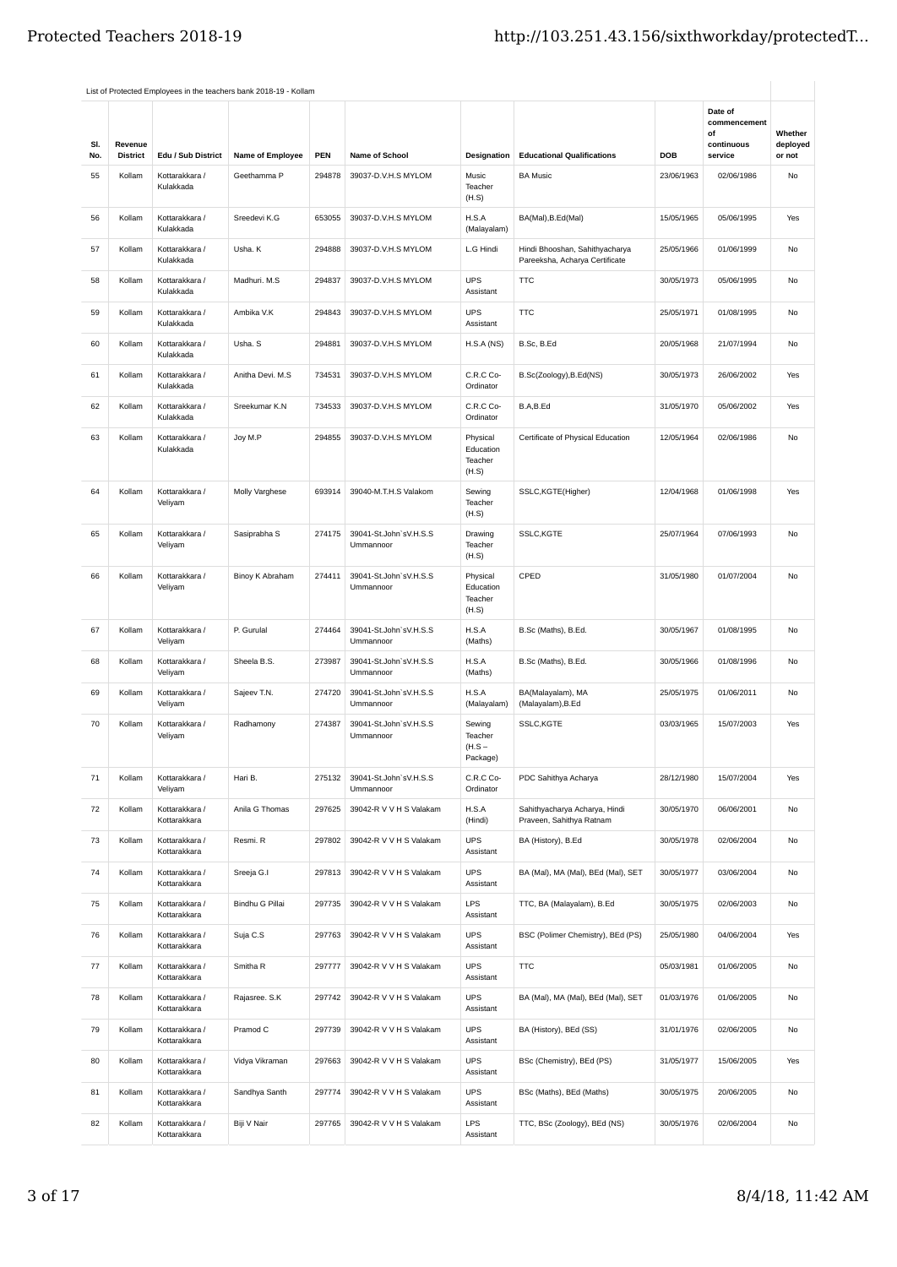|            |                            |                                | List of Protected Employees in the teachers bank 2018-19 - Kollam |            |                                     |                                           |                                                                  |            |                                                        |                               |
|------------|----------------------------|--------------------------------|-------------------------------------------------------------------|------------|-------------------------------------|-------------------------------------------|------------------------------------------------------------------|------------|--------------------------------------------------------|-------------------------------|
| SI.<br>No. | Revenue<br><b>District</b> | Edu / Sub District             | Name of Employee                                                  | <b>PEN</b> | <b>Name of School</b>               | Designation                               | <b>Educational Qualifications</b>                                | DOB        | Date of<br>commencement<br>of<br>continuous<br>service | Whether<br>deployed<br>or not |
| 55         | Kollam                     | Kottarakkara /                 | Geethamma P                                                       | 294878     | 39037-D.V.H.S MYLOM                 | Music                                     | <b>BA Music</b>                                                  | 23/06/1963 | 02/06/1986                                             | No                            |
|            |                            | Kulakkada                      |                                                                   |            |                                     | Teacher<br>(H.S)                          |                                                                  |            |                                                        |                               |
| 56         | Kollam                     | Kottarakkara /<br>Kulakkada    | Sreedevi K.G                                                      | 653055     | 39037-D.V.H.S MYLOM                 | H.S.A<br>(Malayalam)                      | BA(Mal), B.Ed(Mal)                                               | 15/05/1965 | 05/06/1995                                             | Yes                           |
| 57         | Kollam                     | Kottarakkara /<br>Kulakkada    | Usha. K                                                           | 294888     | 39037-D.V.H.S MYLOM                 | L.G Hindi                                 | Hindi Bhooshan, Sahithyacharya<br>Pareeksha, Acharya Certificate | 25/05/1966 | 01/06/1999                                             | No                            |
| 58         | Kollam                     | Kottarakkara /<br>Kulakkada    | Madhuri. M.S                                                      | 294837     | 39037-D.V.H.S MYLOM                 | <b>UPS</b><br>Assistant                   | <b>TTC</b>                                                       | 30/05/1973 | 05/06/1995                                             | No                            |
| 59         | Kollam                     | Kottarakkara /<br>Kulakkada    | Ambika V.K                                                        | 294843     | 39037-D.V.H.S MYLOM                 | <b>UPS</b><br>Assistant                   | <b>TTC</b>                                                       | 25/05/1971 | 01/08/1995                                             | <b>No</b>                     |
| 60         | Kollam                     | Kottarakkara /<br>Kulakkada    | Usha. S                                                           | 294881     | 39037-D.V.H.S MYLOM                 | H.S.A(NS)                                 | B.Sc, B.Ed                                                       | 20/05/1968 | 21/07/1994                                             | No                            |
| 61         | Kollam                     | Kottarakkara /<br>Kulakkada    | Anitha Devi. M.S                                                  | 734531     | 39037-D.V.H.S MYLOM                 | C.R.C Co-<br>Ordinator                    | B.Sc(Zoology), B.Ed(NS)                                          | 30/05/1973 | 26/06/2002                                             | Yes                           |
| 62         | Kollam                     | Kottarakkara /<br>Kulakkada    | Sreekumar K.N                                                     | 734533     | 39037-D.V.H.S MYLOM                 | C.R.C Co-<br>Ordinator                    | B.A.B.Ed                                                         | 31/05/1970 | 05/06/2002                                             | Yes                           |
| 63         | Kollam                     | Kottarakkara /<br>Kulakkada    | Joy M.P                                                           | 294855     | 39037-D.V.H.S MYLOM                 | Physical<br>Education<br>Teacher<br>(H.S) | Certificate of Physical Education                                | 12/05/1964 | 02/06/1986                                             | No                            |
| 64         | Kollam                     | Kottarakkara /<br>Veliyam      | Molly Varghese                                                    | 693914     | 39040-M.T.H.S Valakom               | Sewing<br>Teacher<br>(H.S)                | SSLC,KGTE(Higher)                                                | 12/04/1968 | 01/06/1998                                             | Yes                           |
| 65         | Kollam                     | Kottarakkara /<br>Veliyam      | Sasiprabha S                                                      | 274175     | 39041-St.John'sV.H.S.S<br>Ummannoor | Drawing<br>Teacher<br>(H.S)               | SSLC, KGTE                                                       | 25/07/1964 | 07/06/1993                                             | <b>No</b>                     |
| 66         | Kollam                     | Kottarakkara /<br>Veliyam      | Binoy K Abraham                                                   | 274411     | 39041-St.John'sV.H.S.S<br>Ummannoor | Physical<br>Education<br>Teacher<br>(H.S) | CPED                                                             | 31/05/1980 | 01/07/2004                                             | No                            |
| 67         | Kollam                     | Kottarakkara /<br>Veliyam      | P. Gurulal                                                        | 274464     | 39041-St.John'sV.H.S.S<br>Ummannoor | H.S.A<br>(Maths)                          | B.Sc (Maths), B.Ed.                                              | 30/05/1967 | 01/08/1995                                             | No                            |
| 68         | Kollam                     | Kottarakkara /<br>Veliyam      | Sheela B.S.                                                       | 273987     | 39041-St.John'sV.H.S.S<br>Ummannoor | H.S.A<br>(Maths)                          | B.Sc (Maths), B.Ed.                                              | 30/05/1966 | 01/08/1996                                             | No                            |
| 69         | Kollam                     | Kottarakkara /<br>Veliyam      | Sajeev T.N.                                                       | 274720     | 39041-St.John'sV.H.S.S<br>Ummannoor | H.S.A<br>(Malayalam)                      | BA(Malayalam), MA<br>(Malayalam), B.Ed                           | 25/05/1975 | 01/06/2011                                             | No                            |
| 70         | Kollam                     | Kottarakkara /<br>Veliyam      | Radhamony                                                         | 274387     | 39041-St.John'sV.H.S.S<br>Ummannoor | Sewing<br>Teacher<br>$(H.S -$<br>Package) | SSLC, KGTE                                                       | 03/03/1965 | 15/07/2003                                             | Yes                           |
| 71         | Kollam                     | Kottarakkara /<br>Veliyam      | Hari B.                                                           | 275132     | 39041-St.John'sV.H.S.S<br>Ummannoor | C.R.C Co-<br>Ordinator                    | PDC Sahithya Acharya                                             | 28/12/1980 | 15/07/2004                                             | Yes                           |
| 72         | Kollam                     | Kottarakkara /<br>Kottarakkara | Anila G Thomas                                                    | 297625     | 39042-R V V H S Valakam             | H.S.A<br>(Hindi)                          | Sahithyacharya Acharya, Hindi<br>Praveen, Sahithya Ratnam        | 30/05/1970 | 06/06/2001                                             | No                            |
| 73         | Kollam                     | Kottarakkara /<br>Kottarakkara | Resmi. R                                                          | 297802     | 39042-R V V H S Valakam             | <b>UPS</b><br>Assistant                   | BA (History), B.Ed                                               | 30/05/1978 | 02/06/2004                                             | No                            |
| 74         | Kollam                     | Kottarakkara /<br>Kottarakkara | Sreeja G.I                                                        | 297813     | 39042-R V V H S Valakam             | <b>UPS</b><br>Assistant                   | BA (Mal), MA (Mal), BEd (Mal), SET                               | 30/05/1977 | 03/06/2004                                             | No                            |
| 75         | Kollam                     | Kottarakkara /<br>Kottarakkara | Bindhu G Pillai                                                   | 297735     | 39042-R V V H S Valakam             | <b>LPS</b><br>Assistant                   | TTC, BA (Malayalam), B.Ed                                        | 30/05/1975 | 02/06/2003                                             | No                            |
| 76         | Kollam                     | Kottarakkara /<br>Kottarakkara | Suja C.S                                                          | 297763     | 39042-R V V H S Valakam             | <b>UPS</b><br>Assistant                   | BSC (Polimer Chemistry), BEd (PS)                                | 25/05/1980 | 04/06/2004                                             | Yes                           |
| 77         | Kollam                     | Kottarakkara /<br>Kottarakkara | Smitha <sub>R</sub>                                               | 297777     | 39042-R V V H S Valakam             | <b>UPS</b><br>Assistant                   | <b>TTC</b>                                                       | 05/03/1981 | 01/06/2005                                             | No                            |
| 78         | Kollam                     | Kottarakkara /<br>Kottarakkara | Rajasree. S.K                                                     | 297742     | 39042-R V V H S Valakam             | <b>UPS</b><br>Assistant                   | BA (Mal), MA (Mal), BEd (Mal), SET                               | 01/03/1976 | 01/06/2005                                             | No                            |
| 79         | Kollam                     | Kottarakkara /<br>Kottarakkara | Pramod C                                                          | 297739     | 39042-R V V H S Valakam             | <b>UPS</b><br>Assistant                   | BA (History), BEd (SS)                                           | 31/01/1976 | 02/06/2005                                             | No                            |
| 80         | Kollam                     | Kottarakkara /<br>Kottarakkara | Vidya Vikraman                                                    | 297663     | 39042-R V V H S Valakam             | <b>UPS</b><br>Assistant                   | BSc (Chemistry), BEd (PS)                                        | 31/05/1977 | 15/06/2005                                             | Yes                           |
| 81         | Kollam                     | Kottarakkara /<br>Kottarakkara | Sandhya Santh                                                     | 297774     | 39042-R V V H S Valakam             | <b>UPS</b><br>Assistant                   | BSc (Maths), BEd (Maths)                                         | 30/05/1975 | 20/06/2005                                             | No                            |
| 82         | Kollam                     | Kottarakkara /<br>Kottarakkara | Biji V Nair                                                       | 297765     | 39042-R V V H S Valakam             | LPS<br>Assistant                          | TTC, BSc (Zoology), BEd (NS)                                     | 30/05/1976 | 02/06/2004                                             | No                            |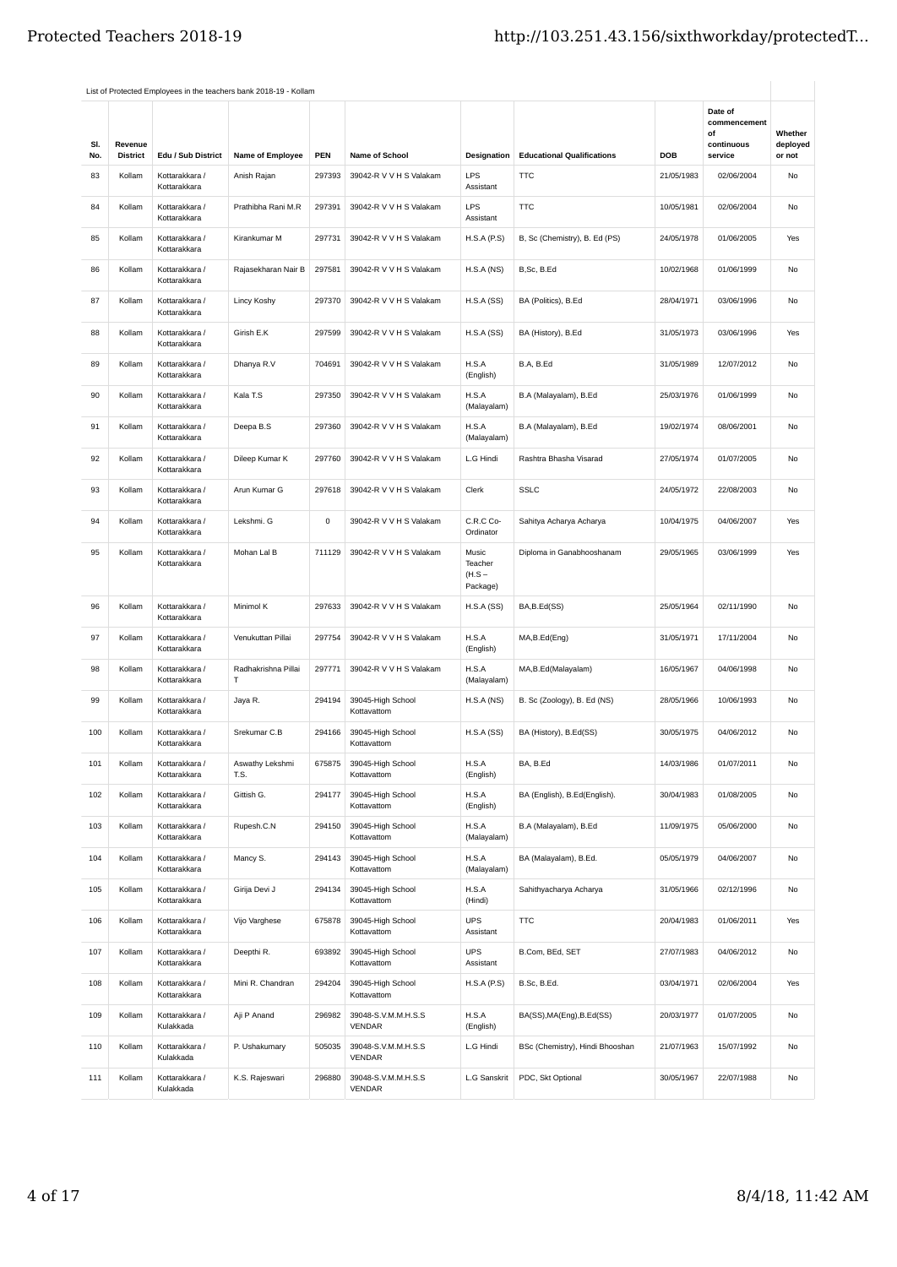|            |                            |                                | List of Protected Employees in the teachers bank 2018-19 - Kollam |             |                                      |                                          |                                   |            |                                                        |                               |
|------------|----------------------------|--------------------------------|-------------------------------------------------------------------|-------------|--------------------------------------|------------------------------------------|-----------------------------------|------------|--------------------------------------------------------|-------------------------------|
| SI.<br>No. | Revenue<br><b>District</b> | Edu / Sub District             | Name of Employee                                                  | PEN         | <b>Name of School</b>                | Designation                              | <b>Educational Qualifications</b> | <b>DOB</b> | Date of<br>commencement<br>οf<br>continuous<br>service | Whether<br>deployed<br>or not |
| 83         | Kollam                     | Kottarakkara /<br>Kottarakkara | Anish Rajan                                                       | 297393      | 39042-R V V H S Valakam              | <b>LPS</b><br>Assistant                  | <b>TTC</b>                        | 21/05/1983 | 02/06/2004                                             | No                            |
| 84         | Kollam                     | Kottarakkara /<br>Kottarakkara | Prathibha Rani M.R                                                | 297391      | 39042-R V V H S Valakam              | <b>LPS</b><br>Assistant                  | <b>TTC</b>                        | 10/05/1981 | 02/06/2004                                             | No                            |
| 85         | Kollam                     | Kottarakkara /<br>Kottarakkara | Kirankumar M                                                      | 297731      | 39042-R V V H S Valakam              | H.S.A(P.S)                               | B, Sc (Chemistry), B. Ed (PS)     | 24/05/1978 | 01/06/2005                                             | Yes                           |
| 86         | Kollam                     | Kottarakkara /<br>Kottarakkara | Rajasekharan Nair B                                               | 297581      | 39042-R V V H S Valakam              | H.S.A(NS)                                | B,Sc, B.Ed                        | 10/02/1968 | 01/06/1999                                             | No                            |
| 87         | Kollam                     | Kottarakkara /<br>Kottarakkara | Lincy Koshy                                                       | 297370      | 39042-R V V H S Valakam              | H.S.A(SS)                                | BA (Politics), B.Ed               | 28/04/1971 | 03/06/1996                                             | No                            |
| 88         | Kollam                     | Kottarakkara /<br>Kottarakkara | Girish E.K                                                        | 297599      | 39042-R V V H S Valakam              | H.S.A(SS)                                | BA (History), B.Ed                | 31/05/1973 | 03/06/1996                                             | Yes                           |
| 89         | Kollam                     | Kottarakkara /<br>Kottarakkara | Dhanya R.V                                                        | 704691      | 39042-R V V H S Valakam              | H.S.A<br>(English)                       | B.A, B.Ed                         | 31/05/1989 | 12/07/2012                                             | No                            |
| 90         | Kollam                     | Kottarakkara /<br>Kottarakkara | Kala T.S                                                          | 297350      | 39042-R V V H S Valakam              | H.S.A<br>(Malayalam)                     | B.A (Malayalam), B.Ed             | 25/03/1976 | 01/06/1999                                             | No                            |
| 91         | Kollam                     | Kottarakkara /<br>Kottarakkara | Deepa B.S                                                         | 297360      | 39042-R V V H S Valakam              | H.S.A<br>(Malayalam)                     | B.A (Malayalam), B.Ed             | 19/02/1974 | 08/06/2001                                             | No                            |
| 92         | Kollam                     | Kottarakkara /<br>Kottarakkara | Dileep Kumar K                                                    | 297760      | 39042-R V V H S Valakam              | L.G Hindi                                | Rashtra Bhasha Visarad            | 27/05/1974 | 01/07/2005                                             | No                            |
| 93         | Kollam                     | Kottarakkara /<br>Kottarakkara | Arun Kumar G                                                      | 297618      | 39042-R V V H S Valakam              | Clerk                                    | <b>SSLC</b>                       | 24/05/1972 | 22/08/2003                                             | No                            |
| 94         | Kollam                     | Kottarakkara /<br>Kottarakkara | Lekshmi. G                                                        | $\mathbf 0$ | 39042-R V V H S Valakam              | C.R.C Co-<br>Ordinator                   | Sahitya Acharya Acharya           | 10/04/1975 | 04/06/2007                                             | Yes                           |
| 95         | Kollam                     | Kottarakkara /<br>Kottarakkara | Mohan Lal B                                                       | 711129      | 39042-R V V H S Valakam              | Music<br>Teacher<br>$(H.S -$<br>Package) | Diploma in Ganabhooshanam         | 29/05/1965 | 03/06/1999                                             | Yes                           |
| 96         | Kollam                     | Kottarakkara /<br>Kottarakkara | Minimol K                                                         | 297633      | 39042-R V V H S Valakam              | H.S.A(SS)                                | BA,B.Ed(SS)                       | 25/05/1964 | 02/11/1990                                             | No                            |
| 97         | Kollam                     | Kottarakkara /<br>Kottarakkara | Venukuttan Pillai                                                 | 297754      | 39042-R V V H S Valakam              | H.S.A<br>(English)                       | MA,B.Ed(Eng)                      | 31/05/1971 | 17/11/2004                                             | No                            |
| 98         | Kollam                     | Kottarakkara /<br>Kottarakkara | Radhakrishna Pillai<br>т                                          | 297771      | 39042-R V V H S Valakam              | H.S.A<br>(Malayalam)                     | MA,B.Ed(Malayalam)                | 16/05/1967 | 04/06/1998                                             | No                            |
| 99         | Kollam                     | Kottarakkara /<br>Kottarakkara | Jaya R.                                                           | 294194      | 39045-High School<br>Kottavattom     | H.S.A(NS)                                | B. Sc (Zoology), B. Ed (NS)       | 28/05/1966 | 10/06/1993                                             | No                            |
| 100        | Kollam                     | Kottarakkara /<br>Kottarakkara | Srekumar C.B                                                      | 294166      | 39045-High School<br>Kottavattom     | H.S.A(SS)                                | BA (History), B.Ed(SS)            | 30/05/1975 | 04/06/2012                                             | No                            |
| 101        | Kollam                     | Kottarakkara /<br>Kottarakkara | Aswathy Lekshmi<br>T.S.                                           | 675875      | 39045-High School<br>Kottavattom     | H.S.A<br>(English)                       | BA, B.Ed                          | 14/03/1986 | 01/07/2011                                             | No                            |
| 102        | Kollam                     | Kottarakkara /<br>Kottarakkara | Gittish G.                                                        | 294177      | 39045-High School<br>Kottavattom     | H.S.A<br>(English)                       | BA (English), B.Ed(English).      | 30/04/1983 | 01/08/2005                                             | No                            |
| 103        | Kollam                     | Kottarakkara /<br>Kottarakkara | Rupesh.C.N                                                        | 294150      | 39045-High School<br>Kottavattom     | H.S.A<br>(Malayalam)                     | B.A (Malayalam), B.Ed             | 11/09/1975 | 05/06/2000                                             | No                            |
| 104        | Kollam                     | Kottarakkara /<br>Kottarakkara | Mancy S.                                                          | 294143      | 39045-High School<br>Kottavattom     | H.S.A<br>(Malayalam)                     | BA (Malayalam), B.Ed.             | 05/05/1979 | 04/06/2007                                             | No                            |
| 105        | Kollam                     | Kottarakkara /<br>Kottarakkara | Girija Devi J                                                     | 294134      | 39045-High School<br>Kottavattom     | H.S.A<br>(Hindi)                         | Sahithyacharya Acharya            | 31/05/1966 | 02/12/1996                                             | No                            |
| 106        | Kollam                     | Kottarakkara /<br>Kottarakkara | Vijo Varghese                                                     | 675878      | 39045-High School<br>Kottavattom     | <b>UPS</b><br>Assistant                  | <b>TTC</b>                        | 20/04/1983 | 01/06/2011                                             | Yes                           |
| 107        | Kollam                     | Kottarakkara /<br>Kottarakkara | Deepthi R.                                                        | 693892      | 39045-High School<br>Kottavattom     | <b>UPS</b><br>Assistant                  | B.Com, BEd, SET                   | 27/07/1983 | 04/06/2012                                             | No                            |
| 108        | Kollam                     | Kottarakkara /<br>Kottarakkara | Mini R. Chandran                                                  | 294204      | 39045-High School<br>Kottavattom     | H.S.A(P.S)                               | B.Sc, B.Ed.                       | 03/04/1971 | 02/06/2004                                             | Yes                           |
| 109        | Kollam                     | Kottarakkara /<br>Kulakkada    | Aji P Anand                                                       | 296982      | 39048-S.V.M.M.H.S.S<br><b>VENDAR</b> | H.S.A<br>(English)                       | BA(SS), MA(Eng), B.Ed(SS)         | 20/03/1977 | 01/07/2005                                             | No                            |
| 110        | Kollam                     | Kottarakkara /<br>Kulakkada    | P. Ushakumary                                                     | 505035      | 39048-S.V.M.M.H.S.S<br><b>VENDAR</b> | L.G Hindi                                | BSc (Chemistry), Hindi Bhooshan   | 21/07/1963 | 15/07/1992                                             | No                            |
| 111        | Kollam                     | Kottarakkara /<br>Kulakkada    | K.S. Rajeswari                                                    | 296880      | 39048-S.V.M.M.H.S.S<br><b>VENDAR</b> | L.G Sanskrit                             | PDC, Skt Optional                 | 30/05/1967 | 22/07/1988                                             | No                            |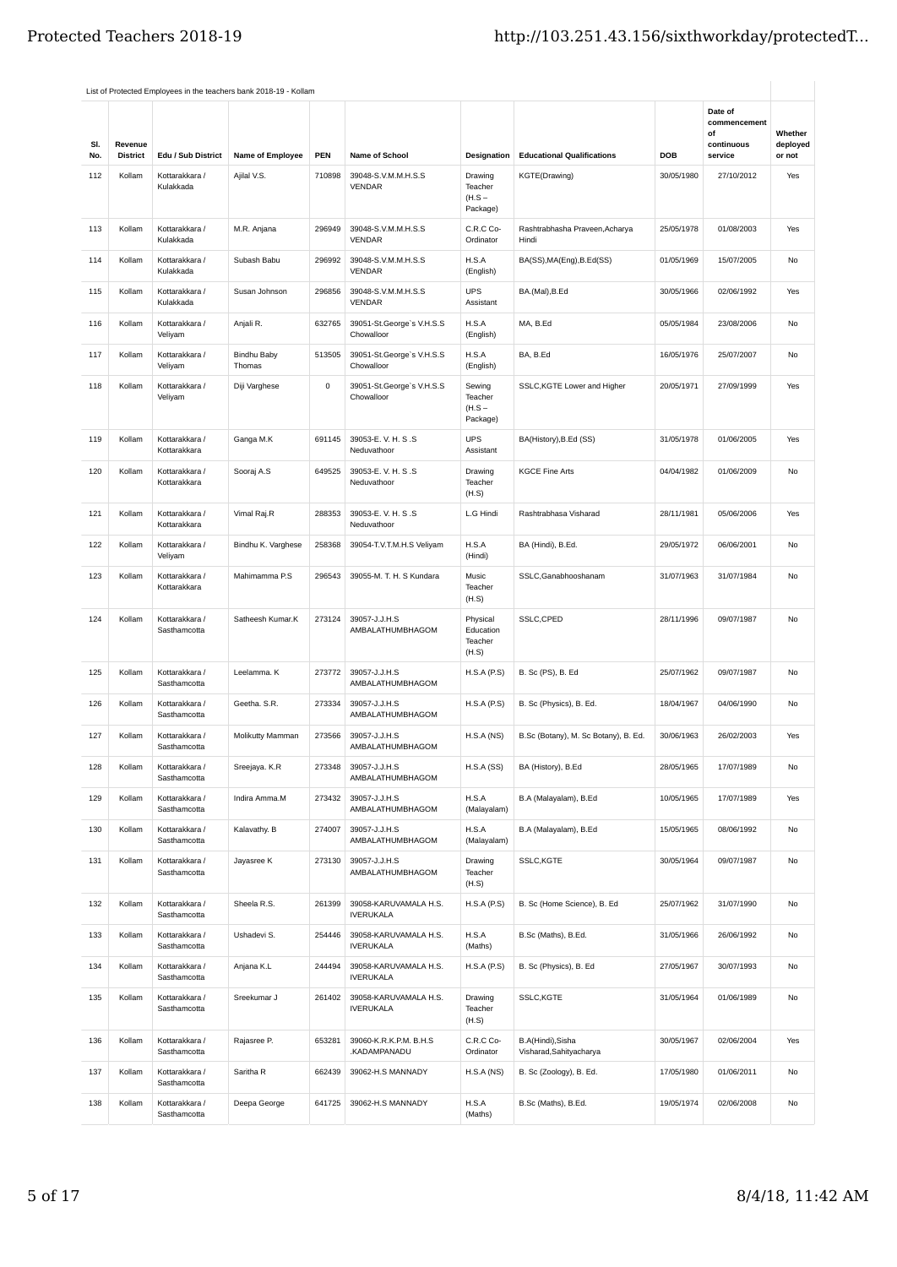|            |                            |                                | List of Protected Employees in the teachers bank 2018-19 - Kollam |           |                                           |                                            |                                              |            |                                                        |                               |
|------------|----------------------------|--------------------------------|-------------------------------------------------------------------|-----------|-------------------------------------------|--------------------------------------------|----------------------------------------------|------------|--------------------------------------------------------|-------------------------------|
| SI.<br>No. | Revenue<br><b>District</b> | Edu / Sub District             | Name of Employee                                                  | PEN       | Name of School                            | Designation                                | <b>Educational Qualifications</b>            | <b>DOB</b> | Date of<br>commencement<br>of<br>continuous<br>service | Whether<br>deployed<br>or not |
| 112        | Kollam                     | Kottarakkara /<br>Kulakkada    | Ajilal V.S.                                                       | 710898    | 39048-S.V.M.M.H.S.S<br><b>VENDAR</b>      | Drawing<br>Teacher<br>$(H.S -$<br>Package) | KGTE(Drawing)                                | 30/05/1980 | 27/10/2012                                             | Yes                           |
| 113        | Kollam                     | Kottarakkara /<br>Kulakkada    | M.R. Anjana                                                       | 296949    | 39048-S.V.M.M.H.S.S<br><b>VENDAR</b>      | C.R.C Co-<br>Ordinator                     | Rashtrabhasha Praveen, Acharya<br>Hindi      | 25/05/1978 | 01/08/2003                                             | Yes                           |
| 114        | Kollam                     | Kottarakkara /<br>Kulakkada    | Subash Babu                                                       | 296992    | 39048-S.V.M.M.H.S.S<br><b>VENDAR</b>      | H.S.A<br>(English)                         | BA(SS), MA(Eng), B.Ed(SS)                    | 01/05/1969 | 15/07/2005                                             | No                            |
| 115        | Kollam                     | Kottarakkara /<br>Kulakkada    | Susan Johnson                                                     | 296856    | 39048-S.V.M.M.H.S.S<br><b>VENDAR</b>      | <b>UPS</b><br>Assistant                    | BA.(Mal), B.Ed                               | 30/05/1966 | 02/06/1992                                             | Yes                           |
| 116        | Kollam                     | Kottarakkara /<br>Veliyam      | Anjali R.                                                         | 632765    | 39051-St.George's V.H.S.S<br>Chowalloor   | H.S.A<br>(English)                         | MA, B.Ed                                     | 05/05/1984 | 23/08/2006                                             | No                            |
| 117        | Kollam                     | Kottarakkara /<br>Veliyam      | <b>Bindhu Baby</b><br>Thomas                                      | 513505    | 39051-St.George's V.H.S.S<br>Chowalloor   | H.S.A<br>(English)                         | BA, B.Ed                                     | 16/05/1976 | 25/07/2007                                             | No                            |
| 118        | Kollam                     | Kottarakkara /<br>Veliyam      | Diji Varghese                                                     | $\pmb{0}$ | 39051-St.George's V.H.S.S<br>Chowalloor   | Sewing<br>Teacher<br>$(H.S -$<br>Package)  | SSLC, KGTE Lower and Higher                  | 20/05/1971 | 27/09/1999                                             | Yes                           |
| 119        | Kollam                     | Kottarakkara /<br>Kottarakkara | Ganga M.K                                                         | 691145    | 39053-E.V. H. S.S<br>Neduvathoor          | <b>UPS</b><br>Assistant                    | BA(History), B.Ed (SS)                       | 31/05/1978 | 01/06/2005                                             | Yes                           |
| 120        | Kollam                     | Kottarakkara /<br>Kottarakkara | Sooraj A.S                                                        | 649525    | 39053-E.V. H. S.S<br>Neduvathoor          | Drawing<br>Teacher<br>(H.S)                | <b>KGCE Fine Arts</b>                        | 04/04/1982 | 01/06/2009                                             | No                            |
| 121        | Kollam                     | Kottarakkara /<br>Kottarakkara | Vimal Raj.R                                                       | 288353    | 39053-E.V.H.S.S<br>Neduvathoor            | L.G Hindi                                  | Rashtrabhasa Visharad                        | 28/11/1981 | 05/06/2006                                             | Yes                           |
| 122        | Kollam                     | Kottarakkara /<br>Veliyam      | Bindhu K. Varghese                                                | 258368    | 39054-T.V.T.M.H.S Veliyam                 | H.S.A<br>(Hindi)                           | BA (Hindi), B.Ed.                            | 29/05/1972 | 06/06/2001                                             | No                            |
| 123        | Kollam                     | Kottarakkara /<br>Kottarakkara | Mahimamma P.S                                                     | 296543    | 39055-M. T. H. S Kundara                  | Music<br>Teacher<br>(H.S)                  | SSLC, Ganabhooshanam                         | 31/07/1963 | 31/07/1984                                             | No                            |
| 124        | Kollam                     | Kottarakkara /<br>Sasthamcotta | Satheesh Kumar.K                                                  | 273124    | 39057-J.J.H.S<br>AMBALATHUMBHAGOM         | Physical<br>Education<br>Teacher<br>(H.S)  | SSLC, CPED                                   | 28/11/1996 | 09/07/1987                                             | No                            |
| 125        | Kollam                     | Kottarakkara /<br>Sasthamcotta | Leelamma. K                                                       | 273772    | 39057-J.J.H.S<br>AMBALATHUMBHAGOM         | H.S.A(P.S)                                 | B. Sc (PS), B. Ed                            | 25/07/1962 | 09/07/1987                                             | <b>No</b>                     |
| 126        | Kollam                     | Kottarakkara /<br>Sasthamcotta | Geetha. S.R.                                                      | 273334    | 39057-J.J.H.S<br>AMBALATHUMBHAGOM         | H.S.A(P.S)                                 | B. Sc (Physics), B. Ed.                      | 18/04/1967 | 04/06/1990                                             | No                            |
| 127        | Kollam                     | Kottarakkara /<br>Sasthamcotta | Molikutty Mamman                                                  | 273566    | 39057-J.J.H.S<br>AMBALATHUMBHAGOM         | H.S.A(NS)                                  | B.Sc (Botany), M. Sc Botany), B. Ed.         | 30/06/1963 | 26/02/2003                                             | Yes                           |
| 128        | Kollam                     | Kottarakkara /<br>Sasthamcotta | Sreejaya. K.R                                                     | 273348    | 39057-J.J.H.S<br>AMBALATHUMBHAGOM         | H.S.A(SS)                                  | BA (History), B.Ed                           | 28/05/1965 | 17/07/1989                                             | No                            |
| 129        | Kollam                     | Kottarakkara /<br>Sasthamcotta | Indira Amma.M                                                     | 273432    | 39057-J.J.H.S<br>AMBALATHUMBHAGOM         | H.S.A<br>(Malayalam)                       | B.A (Malayalam), B.Ed                        | 10/05/1965 | 17/07/1989                                             | Yes                           |
| 130        | Kollam                     | Kottarakkara /<br>Sasthamcotta | Kalavathy. B                                                      | 274007    | 39057-J.J.H.S<br>AMBALATHUMBHAGOM         | H.S.A<br>(Malayalam)                       | B.A (Malayalam), B.Ed                        | 15/05/1965 | 08/06/1992                                             | No                            |
| 131        | Kollam                     | Kottarakkara /<br>Sasthamcotta | Jayasree K                                                        | 273130    | 39057-J.J.H.S<br>AMBALATHUMBHAGOM         | Drawing<br>Teacher<br>(H.S)                | SSLC, KGTE                                   | 30/05/1964 | 09/07/1987                                             | No                            |
| 132        | Kollam                     | Kottarakkara /<br>Sasthamcotta | Sheela R.S.                                                       | 261399    | 39058-KARUVAMALA H.S.<br><b>IVERUKALA</b> | H.S.A(P.S)                                 | B. Sc (Home Science), B. Ed                  | 25/07/1962 | 31/07/1990                                             | No                            |
| 133        | Kollam                     | Kottarakkara /<br>Sasthamcotta | Ushadevi S.                                                       | 254446    | 39058-KARUVAMALA H.S.<br><b>IVERUKALA</b> | H.S.A<br>(Maths)                           | B.Sc (Maths), B.Ed.                          | 31/05/1966 | 26/06/1992                                             | No                            |
| 134        | Kollam                     | Kottarakkara /<br>Sasthamcotta | Anjana K.L                                                        | 244494    | 39058-KARUVAMALA H.S.<br><b>IVERUKALA</b> | H.S.A(P.S)                                 | B. Sc (Physics), B. Ed                       | 27/05/1967 | 30/07/1993                                             | No                            |
| 135        | Kollam                     | Kottarakkara /<br>Sasthamcotta | Sreekumar J                                                       | 261402    | 39058-KARUVAMALA H.S.<br><b>IVERUKALA</b> | Drawing<br>Teacher<br>(H.S)                | SSLC, KGTE                                   | 31/05/1964 | 01/06/1989                                             | No                            |
| 136        | Kollam                     | Kottarakkara /<br>Sasthamcotta | Rajasree P.                                                       | 653281    | 39060-K.R.K.P.M. B.H.S<br>.KADAMPANADU    | C.R.C Co-<br>Ordinator                     | B.A(Hindi), Sisha<br>Visharad, Sahityacharya | 30/05/1967 | 02/06/2004                                             | Yes                           |
| 137        | Kollam                     | Kottarakkara /<br>Sasthamcotta | Saritha R                                                         | 662439    | 39062-H.S MANNADY                         | H.S.A(NS)                                  | B. Sc (Zoology), B. Ed.                      | 17/05/1980 | 01/06/2011                                             | No                            |
| 138        | Kollam                     | Kottarakkara /<br>Sasthamcotta | Deepa George                                                      | 641725    | 39062-H.S MANNADY                         | H.S.A<br>(Maths)                           | B.Sc (Maths), B.Ed.                          | 19/05/1974 | 02/06/2008                                             | No                            |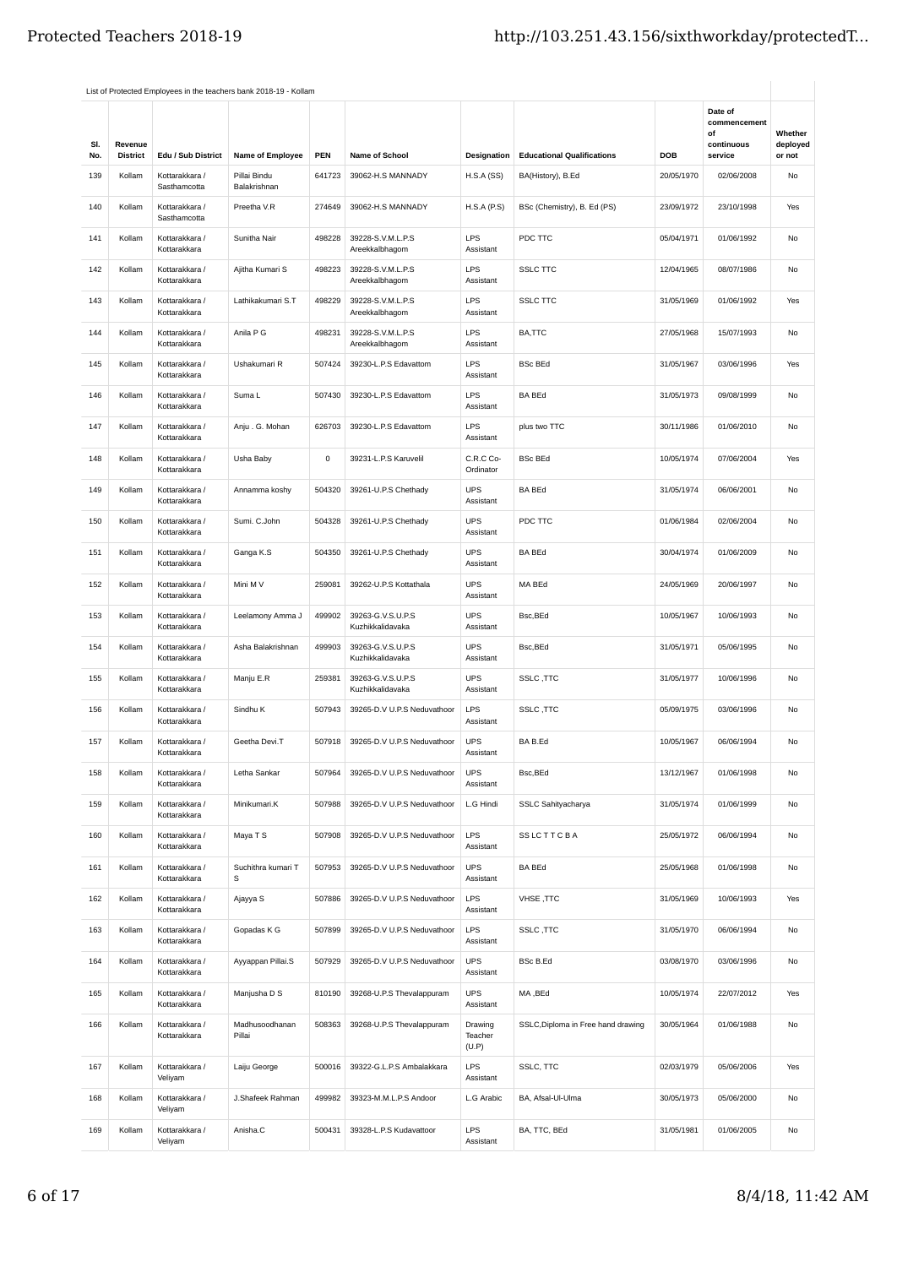|            |                            |                                | List of Protected Employees in the teachers bank 2018-19 - Kollam |             |                                       |                             |                                    |            |                                                        |                               |
|------------|----------------------------|--------------------------------|-------------------------------------------------------------------|-------------|---------------------------------------|-----------------------------|------------------------------------|------------|--------------------------------------------------------|-------------------------------|
| SI.<br>No. | Revenue<br><b>District</b> | Edu / Sub District             | Name of Employee                                                  | <b>PEN</b>  | <b>Name of School</b>                 | Designation                 | <b>Educational Qualifications</b>  | DOB        | Date of<br>commencement<br>οf<br>continuous<br>service | Whether<br>deployed<br>or not |
| 139        | Kollam                     | Kottarakkara /                 | Pillai Bindu                                                      | 641723      | 39062-H.S MANNADY                     | H.S.A(SS)                   | BA(History), B.Ed                  | 20/05/1970 | 02/06/2008                                             | No                            |
| 140        | Kollam                     | Sasthamcotta<br>Kottarakkara / | Balakrishnan<br>Preetha V.R                                       | 274649      | 39062-H.S MANNADY                     | H.S.A(P.S)                  | BSc (Chemistry), B. Ed (PS)        | 23/09/1972 | 23/10/1998                                             | Yes                           |
| 141        | Kollam                     | Sasthamcotta<br>Kottarakkara / | Sunitha Nair                                                      | 498228      | 39228-S.V.M.L.P.S                     | <b>LPS</b>                  | PDC TTC                            | 05/04/1971 | 01/06/1992                                             | No                            |
| 142        | Kollam                     | Kottarakkara<br>Kottarakkara / | Ajitha Kumari S                                                   | 498223      | Areekkalbhaqom<br>39228-S.V.M.L.P.S   | Assistant<br><b>LPS</b>     | <b>SSLC TTC</b>                    | 12/04/1965 | 08/07/1986                                             | No                            |
|            |                            | Kottarakkara                   |                                                                   |             | Areekkalbhagom                        | Assistant                   |                                    |            |                                                        |                               |
| 143        | Kollam                     | Kottarakkara /<br>Kottarakkara | Lathikakumari S.T                                                 | 498229      | 39228-S.V.M.L.P.S<br>Areekkalbhagom   | <b>LPS</b><br>Assistant     | <b>SSLC TTC</b>                    | 31/05/1969 | 01/06/1992                                             | Yes                           |
| 144        | Kollam                     | Kottarakkara /<br>Kottarakkara | Anila P G                                                         | 498231      | 39228-S.V.M.L.P.S<br>Areekkalbhagom   | <b>LPS</b><br>Assistant     | BA,TTC                             | 27/05/1968 | 15/07/1993                                             | No                            |
| 145        | Kollam                     | Kottarakkara /<br>Kottarakkara | Ushakumari R                                                      | 507424      | 39230-L.P.S Edavattom                 | <b>LPS</b><br>Assistant     | <b>BSc BEd</b>                     | 31/05/1967 | 03/06/1996                                             | Yes                           |
| 146        | Kollam                     | Kottarakkara /<br>Kottarakkara | Suma L                                                            | 507430      | 39230-L.P.S Edavattom                 | <b>LPS</b><br>Assistant     | <b>BA BEd</b>                      | 31/05/1973 | 09/08/1999                                             | No                            |
| 147        | Kollam                     | Kottarakkara /<br>Kottarakkara | Anju. G. Mohan                                                    | 626703      | 39230-L.P.S Edavattom                 | <b>LPS</b><br>Assistant     | plus two TTC                       | 30/11/1986 | 01/06/2010                                             | No                            |
| 148        | Kollam                     | Kottarakkara /<br>Kottarakkara | Usha Baby                                                         | $\mathsf 0$ | 39231-L.P.S Karuvelil                 | C.R.C Co-<br>Ordinator      | <b>BSc BEd</b>                     | 10/05/1974 | 07/06/2004                                             | Yes                           |
| 149        | Kollam                     | Kottarakkara /<br>Kottarakkara | Annamma koshy                                                     | 504320      | 39261-U.P.S Chethady                  | <b>UPS</b><br>Assistant     | <b>BA BEd</b>                      | 31/05/1974 | 06/06/2001                                             | No                            |
| 150        | Kollam                     | Kottarakkara /<br>Kottarakkara | Sumi. C.John                                                      | 504328      | 39261-U.P.S Chethady                  | <b>UPS</b><br>Assistant     | PDC TTC                            | 01/06/1984 | 02/06/2004                                             | No                            |
| 151        | Kollam                     | Kottarakkara /<br>Kottarakkara | Ganga K.S                                                         | 504350      | 39261-U.P.S Chethady                  | <b>UPS</b><br>Assistant     | <b>BA BEd</b>                      | 30/04/1974 | 01/06/2009                                             | No                            |
| 152        | Kollam                     | Kottarakkara /<br>Kottarakkara | Mini M V                                                          | 259081      | 39262-U.P.S Kottathala                | <b>UPS</b><br>Assistant     | MA BEd                             | 24/05/1969 | 20/06/1997                                             | No                            |
| 153        | Kollam                     | Kottarakkara /<br>Kottarakkara | Leelamony Amma J                                                  | 499902      | 39263-G.V.S.U.P.S<br>Kuzhikkalidavaka | <b>UPS</b><br>Assistant     | Bsc,BEd                            | 10/05/1967 | 10/06/1993                                             | No                            |
| 154        | Kollam                     | Kottarakkara /<br>Kottarakkara | Asha Balakrishnan                                                 | 499903      | 39263-G.V.S.U.P.S<br>Kuzhikkalidavaka | <b>UPS</b><br>Assistant     | Bsc, BEd                           | 31/05/1971 | 05/06/1995                                             | No                            |
| 155        | Kollam                     | Kottarakkara /<br>Kottarakkara | Manju E.R                                                         | 259381      | 39263-G.V.S.U.P.S<br>Kuzhikkalidavaka | <b>UPS</b><br>Assistant     | SSLC, TTC                          | 31/05/1977 | 10/06/1996                                             | No                            |
| 156        | Kollam                     | Kottarakkara /<br>Kottarakkara | Sindhu K                                                          | 507943      | 39265-D.V U.P.S Neduvathoor           | <b>LPS</b><br>Assistant     | SSLC, TTC                          | 05/09/1975 | 03/06/1996                                             | No                            |
| 157        | Kollam                     | Kottarakkara /<br>Kottarakkara | Geetha Devi.T                                                     | 507918      | 39265-D.V U.P.S Neduvathoor           | <b>UPS</b><br>Assistant     | BA B.Ed                            | 10/05/1967 | 06/06/1994                                             | No                            |
| 158        | Kollam                     | Kottarakkara /<br>Kottarakkara | Letha Sankar                                                      | 507964      | 39265-D.V U.P.S Neduvathoor           | <b>UPS</b><br>Assistant     | Bsc,BEd                            | 13/12/1967 | 01/06/1998                                             | No                            |
| 159        | Kollam                     | Kottarakkara /<br>Kottarakkara | Minikumari.K                                                      | 507988      | 39265-D.V U.P.S Neduvathoor           | L.G Hindi                   | SSLC Sahityacharya                 | 31/05/1974 | 01/06/1999                                             | No                            |
| 160        | Kollam                     | Kottarakkara /<br>Kottarakkara | Maya T S                                                          | 507908      | 39265-D.V U.P.S Neduvathoor           | <b>LPS</b><br>Assistant     | <b>SSLCTTCBA</b>                   | 25/05/1972 | 06/06/1994                                             | No                            |
| 161        | Kollam                     | Kottarakkara /<br>Kottarakkara | Suchithra kumari T<br>s                                           | 507953      | 39265-D.V U.P.S Neduvathoor           | <b>UPS</b><br>Assistant     | <b>BA BEd</b>                      | 25/05/1968 | 01/06/1998                                             | No                            |
| 162        | Kollam                     | Kottarakkara /<br>Kottarakkara | Ajayya S                                                          | 507886      | 39265-D.V U.P.S Neduvathoor           | <b>LPS</b><br>Assistant     | VHSE, TTC                          | 31/05/1969 | 10/06/1993                                             | Yes                           |
| 163        | Kollam                     | Kottarakkara /<br>Kottarakkara | Gopadas K G                                                       | 507899      | 39265-D.V U.P.S Neduvathoor           | <b>LPS</b><br>Assistant     | SSLC, TTC                          | 31/05/1970 | 06/06/1994                                             | No                            |
| 164        | Kollam                     | Kottarakkara /<br>Kottarakkara | Ayyappan Pillai.S                                                 | 507929      | 39265-D.V U.P.S Neduvathoor           | <b>UPS</b><br>Assistant     | <b>BSc B.Ed</b>                    | 03/08/1970 | 03/06/1996                                             | No                            |
| 165        | Kollam                     | Kottarakkara /<br>Kottarakkara | Manjusha D S                                                      | 810190      | 39268-U.P.S Thevalappuram             | <b>UPS</b><br>Assistant     | MA, BEd                            | 10/05/1974 | 22/07/2012                                             | Yes                           |
| 166        | Kollam                     | Kottarakkara /<br>Kottarakkara | Madhusoodhanan<br>Pillai                                          | 508363      | 39268-U.P.S Thevalappuram             | Drawing<br>Teacher<br>(U.P) | SSLC, Diploma in Free hand drawing | 30/05/1964 | 01/06/1988                                             | No                            |
| 167        | Kollam                     | Kottarakkara /<br>Veliyam      | Laiju George                                                      | 500016      | 39322-G.L.P.S Ambalakkara             | <b>LPS</b><br>Assistant     | SSLC, TTC                          | 02/03/1979 | 05/06/2006                                             | Yes                           |
| 168        | Kollam                     | Kottarakkara /<br>Veliyam      | J.Shafeek Rahman                                                  | 499982      | 39323-M.M.L.P.S Andoor                | L.G Arabic                  | BA, Afsal-Ul-Ulma                  | 30/05/1973 | 05/06/2000                                             | No                            |
| 169        | Kollam                     | Kottarakkara /<br>Veliyam      | Anisha.C                                                          | 500431      | 39328-L.P.S Kudavattoor               | <b>LPS</b><br>Assistant     | BA, TTC, BEd                       | 31/05/1981 | 01/06/2005                                             | No                            |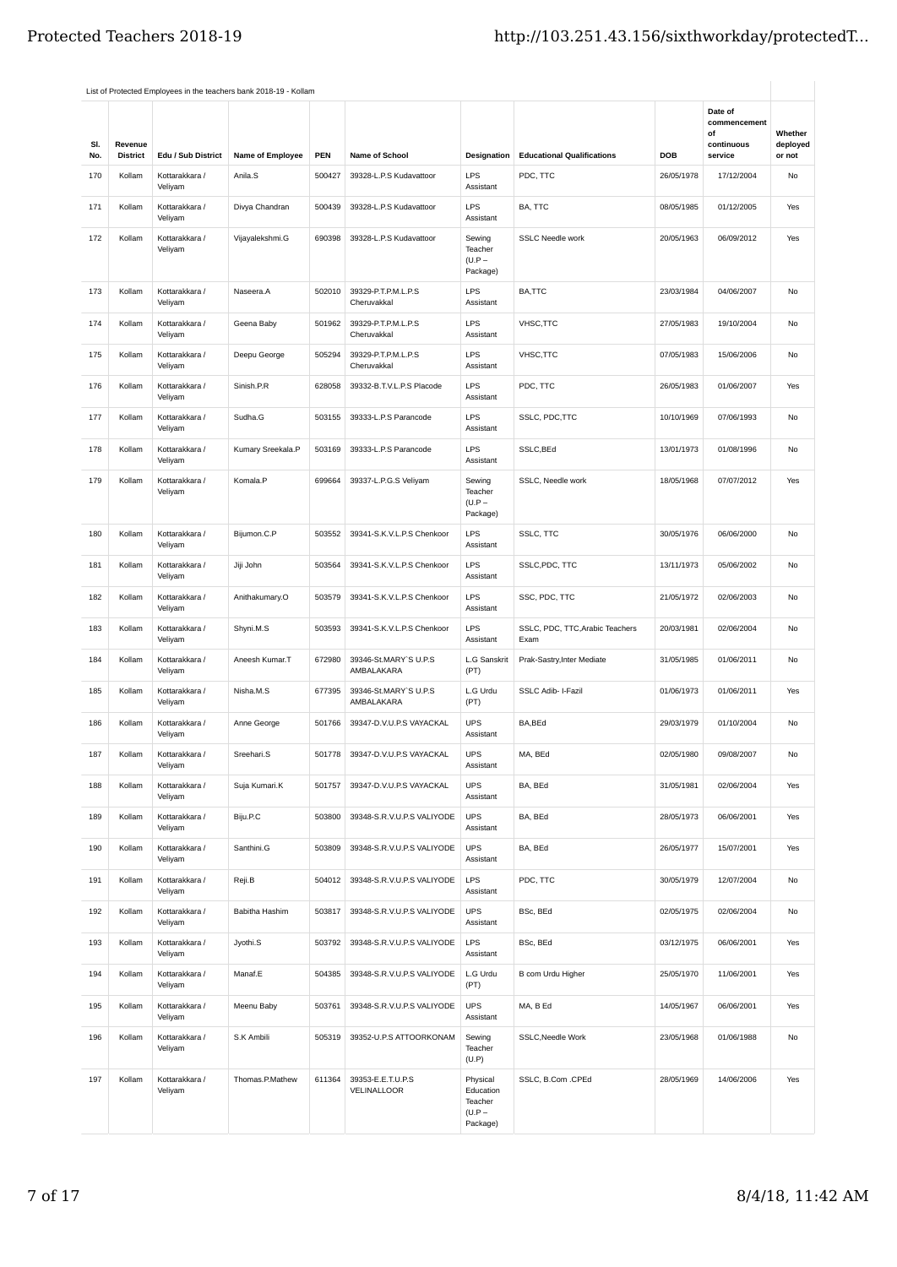|            |                            |                           | List of Protected Employees in the teachers bank 2018-19 - Kollam |        |                                     |                                                          |                                         |            |                                                        |                               |
|------------|----------------------------|---------------------------|-------------------------------------------------------------------|--------|-------------------------------------|----------------------------------------------------------|-----------------------------------------|------------|--------------------------------------------------------|-------------------------------|
| SI.<br>No. | Revenue<br><b>District</b> | Edu / Sub District        | Name of Employee                                                  | PEN    | Name of School                      | Designation                                              | <b>Educational Qualifications</b>       | <b>DOB</b> | Date of<br>commencement<br>of<br>continuous<br>service | Whether<br>deployed<br>or not |
| 170        | Kollam                     | Kottarakkara /            | Anila.S                                                           | 500427 | 39328-L.P.S Kudavattoor             | LPS                                                      | PDC, TTC                                | 26/05/1978 | 17/12/2004                                             | No                            |
|            |                            | Veliyam                   |                                                                   |        |                                     | Assistant                                                |                                         |            |                                                        |                               |
| 171        | Kollam                     | Kottarakkara /<br>Veliyam | Divya Chandran                                                    | 500439 | 39328-L.P.S Kudavattoor             | <b>LPS</b><br>Assistant                                  | BA, TTC                                 | 08/05/1985 | 01/12/2005                                             | Yes                           |
| 172        | Kollam                     | Kottarakkara /<br>Veliyam | Vijayalekshmi.G                                                   | 690398 | 39328-L.P.S Kudavattoor             | Sewing<br>Teacher<br>$(U.P -$<br>Package)                | <b>SSLC Needle work</b>                 | 20/05/1963 | 06/09/2012                                             | Yes                           |
| 173        | Kollam                     | Kottarakkara /<br>Veliyam | Naseera.A                                                         | 502010 | 39329-P.T.P.M.L.P.S<br>Cheruvakkal  | <b>LPS</b><br>Assistant                                  | BA,TTC                                  | 23/03/1984 | 04/06/2007                                             | No                            |
| 174        | Kollam                     | Kottarakkara /<br>Veliyam | Geena Baby                                                        | 501962 | 39329-P.T.P.M.L.P.S<br>Cheruvakkal  | LPS<br>Assistant                                         | VHSC, TTC                               | 27/05/1983 | 19/10/2004                                             | No                            |
| 175        | Kollam                     | Kottarakkara /<br>Veliyam | Deepu George                                                      | 505294 | 39329-P.T.P.M.L.P.S<br>Cheruvakkal  | LPS<br>Assistant                                         | VHSC, TTC                               | 07/05/1983 | 15/06/2006                                             | No                            |
| 176        | Kollam                     | Kottarakkara /<br>Veliyam | Sinish.P.R                                                        | 628058 | 39332-B.T.V.L.P.S Placode           | LPS<br>Assistant                                         | PDC, TTC                                | 26/05/1983 | 01/06/2007                                             | Yes                           |
| 177        | Kollam                     | Kottarakkara /<br>Veliyam | Sudha.G                                                           | 503155 | 39333-L.P.S Parancode               | LPS<br>Assistant                                         | SSLC, PDC, TTC                          | 10/10/1969 | 07/06/1993                                             | <b>No</b>                     |
| 178        | Kollam                     | Kottarakkara /<br>Veliyam | Kumary Sreekala.P                                                 | 503169 | 39333-L.P.S Parancode               | <b>LPS</b><br>Assistant                                  | SSLC, BEd                               | 13/01/1973 | 01/08/1996                                             | No                            |
| 179        | Kollam                     | Kottarakkara /<br>Veliyam | Komala,P                                                          | 699664 | 39337-L.P.G.S Veliyam               | Sewing<br>Teacher<br>$(U.P -$<br>Package)                | SSLC. Needle work                       | 18/05/1968 | 07/07/2012                                             | Yes                           |
| 180        | Kollam                     | Kottarakkara /<br>Veliyam | Bijumon.C.P                                                       | 503552 | 39341-S.K.V.L.P.S Chenkoor          | LPS<br>Assistant                                         | SSLC, TTC                               | 30/05/1976 | 06/06/2000                                             | No                            |
| 181        | Kollam                     | Kottarakkara /<br>Veliyam | Jiji John                                                         | 503564 | 39341-S.K.V.L.P.S Chenkoor          | LPS<br>Assistant                                         | SSLC, PDC, TTC                          | 13/11/1973 | 05/06/2002                                             | No                            |
| 182        | Kollam                     | Kottarakkara /<br>Veliyam | Anithakumary.O                                                    | 503579 | 39341-S.K.V.L.P.S Chenkoor          | LPS<br>Assistant                                         | SSC, PDC, TTC                           | 21/05/1972 | 02/06/2003                                             | No                            |
| 183        | Kollam                     | Kottarakkara /<br>Veliyam | Shyni.M.S                                                         | 503593 | 39341-S.K.V.L.P.S Chenkoor          | <b>LPS</b><br>Assistant                                  | SSLC, PDC, TTC, Arabic Teachers<br>Exam | 20/03/1981 | 02/06/2004                                             | No                            |
| 184        | Kollam                     | Kottarakkara /<br>Veliyam | Aneesh Kumar.T                                                    | 672980 | 39346-St.MARY`S U.P.S<br>AMBALAKARA | L.G Sanskrit<br>(PT)                                     | Prak-Sastry, Inter Mediate              | 31/05/1985 | 01/06/2011                                             | No                            |
| 185        | Kollam                     | Kottarakkara /<br>Veliyam | Nisha.M.S                                                         | 677395 | 39346-St.MARY`S U.P.S<br>AMBALAKARA | L.G Urdu<br>(PT)                                         | SSLC Adib- I-Fazil                      | 01/06/1973 | 01/06/2011                                             | Yes                           |
| 186        | Kollam                     | Kottarakkara /<br>Veliyam | Anne George                                                       | 501766 | 39347-D.V.U.P.S VAYACKAL            | <b>UPS</b><br>Assistant                                  | BA,BEd                                  | 29/03/1979 | 01/10/2004                                             | No                            |
| 187        | Kollam                     | Kottarakkara /<br>Veliyam | Sreehari.S                                                        | 501778 | 39347-D.V.U.P.S VAYACKAL            | <b>UPS</b><br>Assistant                                  | MA, BEd                                 | 02/05/1980 | 09/08/2007                                             | No                            |
| 188        | Kollam                     | Kottarakkara /<br>Veliyam | Suja Kumari.K                                                     | 501757 | 39347-D.V.U.P.S VAYACKAL            | <b>UPS</b><br>Assistant                                  | BA, BEd                                 | 31/05/1981 | 02/06/2004                                             | Yes                           |
| 189        | Kollam                     | Kottarakkara /<br>Veliyam | Biju.P.C                                                          | 503800 | 39348-S.R.V.U.P.S VALIYODE          | <b>UPS</b><br>Assistant                                  | BA, BEd                                 | 28/05/1973 | 06/06/2001                                             | Yes                           |
| 190        | Kollam                     | Kottarakkara /<br>Veliyam | Santhini.G                                                        | 503809 | 39348-S.R.V.U.P.S VALIYODE          | <b>UPS</b><br>Assistant                                  | BA, BEd                                 | 26/05/1977 | 15/07/2001                                             | Yes                           |
| 191        | Kollam                     | Kottarakkara /<br>Veliyam | Reji.B                                                            | 504012 | 39348-S.R.V.U.P.S VALIYODE          | <b>LPS</b><br>Assistant                                  | PDC, TTC                                | 30/05/1979 | 12/07/2004                                             | No                            |
| 192        | Kollam                     | Kottarakkara /<br>Veliyam | Babitha Hashim                                                    | 503817 | 39348-S.R.V.U.P.S VALIYODE          | <b>UPS</b><br>Assistant                                  | BSc, BEd                                | 02/05/1975 | 02/06/2004                                             | No                            |
| 193        | Kollam                     | Kottarakkara /<br>Veliyam | Jyothi.S                                                          | 503792 | 39348-S.R.V.U.P.S VALIYODE          | <b>LPS</b><br>Assistant                                  | BSc, BEd                                | 03/12/1975 | 06/06/2001                                             | Yes                           |
| 194        | Kollam                     | Kottarakkara /<br>Veliyam | Manaf.E                                                           | 504385 | 39348-S.R.V.U.P.S VALIYODE          | L.G Urdu<br>(PT)                                         | B com Urdu Higher                       | 25/05/1970 | 11/06/2001                                             | Yes                           |
| 195        | Kollam                     | Kottarakkara /<br>Veliyam | Meenu Baby                                                        | 503761 | 39348-S.R.V.U.P.S VALIYODE          | <b>UPS</b><br>Assistant                                  | MA, B Ed                                | 14/05/1967 | 06/06/2001                                             | Yes                           |
| 196        | Kollam                     | Kottarakkara /<br>Veliyam | S.K Ambili                                                        | 505319 | 39352-U.P.S ATTOORKONAM             | Sewing<br>Teacher<br>(U.P)                               | SSLC, Needle Work                       | 23/05/1968 | 01/06/1988                                             | No                            |
| 197        | Kollam                     | Kottarakkara /<br>Veliyam | Thomas.P.Mathew                                                   | 611364 | 39353-E.E.T.U.P.S<br>VELINALLOOR    | Physical<br>Education<br>Teacher<br>$(U.P -$<br>Package) | SSLC, B.Com .CPEd                       | 28/05/1969 | 14/06/2006                                             | Yes                           |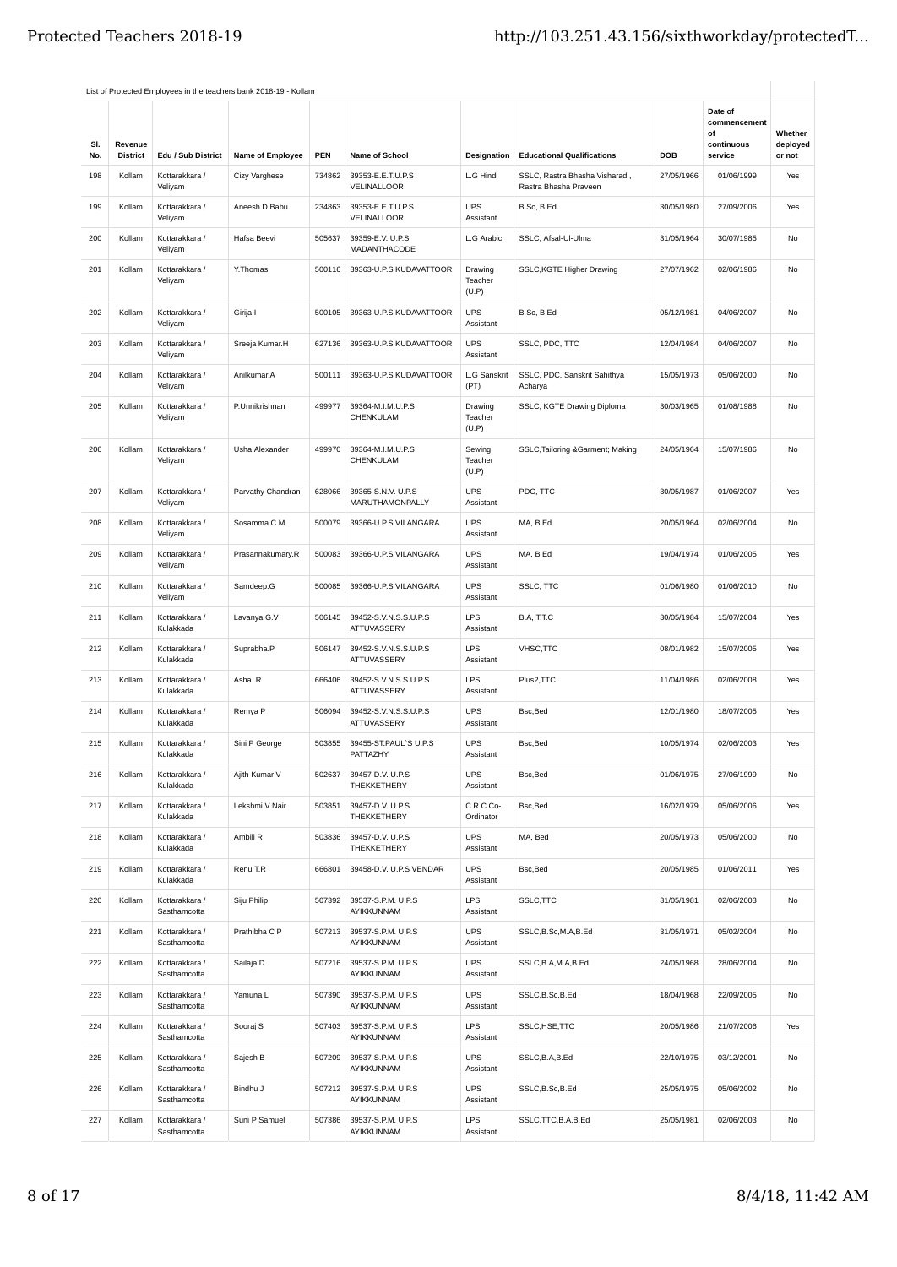|            |                            |                                      | List of Protected Employees in the teachers bank 2018-19 - Kollam |        |                                              |                             |                                                        |            |                                                        |                               |
|------------|----------------------------|--------------------------------------|-------------------------------------------------------------------|--------|----------------------------------------------|-----------------------------|--------------------------------------------------------|------------|--------------------------------------------------------|-------------------------------|
| SI.<br>No. | Revenue<br><b>District</b> | Edu / Sub District                   | Name of Employee                                                  | PEN    | <b>Name of School</b>                        | Designation                 | <b>Educational Qualifications</b>                      | <b>DOB</b> | Date of<br>commencement<br>of<br>continuous<br>service | Whether<br>deployed<br>or not |
| 198        | Kollam                     | Kottarakkara /                       | Cizy Varghese                                                     | 734862 | 39353-E.E.T.U.P.S<br>VELINALLOOR             | L.G Hindi                   | SSLC, Rastra Bhasha Visharad,<br>Rastra Bhasha Praveen | 27/05/1966 | 01/06/1999                                             | Yes                           |
| 199        | Kollam                     | Veliyam<br>Kottarakkara /<br>Veliyam | Aneesh.D.Babu                                                     | 234863 | 39353-E.E.T.U.P.S<br>VELINALLOOR             | <b>UPS</b><br>Assistant     | B Sc, B Ed                                             | 30/05/1980 | 27/09/2006                                             | Yes                           |
| 200        | Kollam                     | Kottarakkara /<br>Veliyam            | Hafsa Beevi                                                       | 505637 | 39359-E.V. U.P.S<br>MADANTHACODE             | L.G Arabic                  | SSLC. Afsal-Ul-Ulma                                    | 31/05/1964 | 30/07/1985                                             | No                            |
| 201        | Kollam                     | Kottarakkara /<br>Veliyam            | Y.Thomas                                                          | 500116 | 39363-U.P.S KUDAVATTOOR                      | Drawing<br>Teacher<br>(U.P) | SSLC, KGTE Higher Drawing                              | 27/07/1962 | 02/06/1986                                             | No                            |
| 202        | Kollam                     | Kottarakkara /<br>Veliyam            | Girija.I                                                          | 500105 | 39363-U.P.S KUDAVATTOOR                      | <b>UPS</b><br>Assistant     | B Sc, B Ed                                             | 05/12/1981 | 04/06/2007                                             | No                            |
| 203        | Kollam                     | Kottarakkara /<br>Veliyam            | Sreeja Kumar.H                                                    | 627136 | 39363-U.P.S KUDAVATTOOR                      | <b>UPS</b><br>Assistant     | SSLC, PDC, TTC                                         | 12/04/1984 | 04/06/2007                                             | No                            |
| 204        | Kollam                     | Kottarakkara /<br>Veliyam            | Anilkumar.A                                                       | 500111 | 39363-U.P.S KUDAVATTOOR                      | L.G Sanskrit<br>(PT)        | SSLC, PDC, Sanskrit Sahithya<br>Acharya                | 15/05/1973 | 05/06/2000                                             | No                            |
| 205        | Kollam                     | Kottarakkara /<br>Veliyam            | P.Unnikrishnan                                                    | 499977 | 39364-M.I.M.U.P.S<br>CHENKULAM               | Drawing<br>Teacher<br>(U.P) | SSLC, KGTE Drawing Diploma                             | 30/03/1965 | 01/08/1988                                             | No                            |
| 206        | Kollam                     | Kottarakkara /<br>Veliyam            | Usha Alexander                                                    | 499970 | 39364-M.I.M.U.P.S<br>CHENKULAM               | Sewing<br>Teacher<br>(U.P)  | SSLC, Tailoring & Garment; Making                      | 24/05/1964 | 15/07/1986                                             | No                            |
| 207        | Kollam                     | Kottarakkara /<br>Veliyam            | Parvathy Chandran                                                 | 628066 | 39365-S.N.V. U.P.S<br><b>MARUTHAMONPALLY</b> | <b>UPS</b><br>Assistant     | PDC, TTC                                               | 30/05/1987 | 01/06/2007                                             | Yes                           |
| 208        | Kollam                     | Kottarakkara /<br>Veliyam            | Sosamma.C.M                                                       | 500079 | 39366-U.P.S VILANGARA                        | <b>UPS</b><br>Assistant     | MA, B Ed                                               | 20/05/1964 | 02/06/2004                                             | No                            |
| 209        | Kollam                     | Kottarakkara /<br>Veliyam            | Prasannakumary.R                                                  | 500083 | 39366-U.P.S VILANGARA                        | <b>UPS</b><br>Assistant     | MA, B Ed                                               | 19/04/1974 | 01/06/2005                                             | Yes                           |
| 210        | Kollam                     | Kottarakkara /<br>Veliyam            | Samdeep.G                                                         | 500085 | 39366-U.P.S VILANGARA                        | <b>UPS</b><br>Assistant     | SSLC, TTC                                              | 01/06/1980 | 01/06/2010                                             | No                            |
| 211        | Kollam                     | Kottarakkara /<br>Kulakkada          | Lavanya G.V                                                       | 506145 | 39452-S.V.N.S.S.U.P.S<br>ATTUVASSERY         | <b>LPS</b><br>Assistant     | B.A, T.T.C                                             | 30/05/1984 | 15/07/2004                                             | Yes                           |
| 212        | Kollam                     | Kottarakkara /<br>Kulakkada          | Suprabha.P                                                        | 506147 | 39452-S.V.N.S.S.U.P.S<br>ATTUVASSERY         | <b>LPS</b><br>Assistant     | VHSC, TTC                                              | 08/01/1982 | 15/07/2005                                             | Yes                           |
| 213        | Kollam                     | Kottarakkara /<br>Kulakkada          | Asha. R                                                           | 666406 | 39452-S.V.N.S.S.U.P.S<br>ATTUVASSERY         | LPS<br>Assistant            | Plus2, TTC                                             | 11/04/1986 | 02/06/2008                                             | Yes                           |
| 214        | Kollam                     | Kottarakkara /<br>Kulakkada          | Remya P                                                           | 506094 | 39452-S.V.N.S.S.U.P.S<br><b>ATTUVASSERY</b>  | <b>UPS</b><br>Assistant     | Bsc, Bed                                               | 12/01/1980 | 18/07/2005                                             | Yes                           |
| 215        | Kollam                     | Kottarakkara /<br>Kulakkada          | Sini P George                                                     | 503855 | 39455-ST.PAUL'S U.P.S<br>PATTAZHY            | <b>UPS</b><br>Assistant     | Bsc, Bed                                               | 10/05/1974 | 02/06/2003                                             | Yes                           |
| 216        | Kollam                     | Kottarakkara /<br>Kulakkada          | Ajith Kumar V                                                     | 502637 | 39457-D.V. U.P.S<br>THEKKETHERY              | <b>UPS</b><br>Assistant     | Bsc,Bed                                                | 01/06/1975 | 27/06/1999                                             | No                            |
| 217        | Kollam                     | Kottarakkara /<br>Kulakkada          | Lekshmi V Nair                                                    | 503851 | 39457-D.V. U.P.S<br>THEKKETHERY              | C.R.C Co-<br>Ordinator      | Bsc,Bed                                                | 16/02/1979 | 05/06/2006                                             | Yes                           |
| 218        | Kollam                     | Kottarakkara /<br>Kulakkada          | Ambili R                                                          | 503836 | 39457-D.V. U.P.S<br>THEKKETHERY              | <b>UPS</b><br>Assistant     | MA, Bed                                                | 20/05/1973 | 05/06/2000                                             | No                            |
| 219        | Kollam                     | Kottarakkara /<br>Kulakkada          | Renu T.R                                                          | 666801 | 39458-D.V. U.P.S VENDAR                      | <b>UPS</b><br>Assistant     | Bsc,Bed                                                | 20/05/1985 | 01/06/2011                                             | Yes                           |
| 220        | Kollam                     | Kottarakkara /<br>Sasthamcotta       | Siju Philip                                                       | 507392 | 39537-S.P.M. U.P.S<br>AYIKKUNNAM             | <b>LPS</b><br>Assistant     | SSLC, TTC                                              | 31/05/1981 | 02/06/2003                                             | No                            |
| 221        | Kollam                     | Kottarakkara /<br>Sasthamcotta       | Prathibha C P                                                     | 507213 | 39537-S.P.M. U.P.S<br>AYIKKUNNAM             | <b>UPS</b><br>Assistant     | SSLC, B.Sc, M.A, B.Ed                                  | 31/05/1971 | 05/02/2004                                             | No                            |
| 222        | Kollam                     | Kottarakkara /<br>Sasthamcotta       | Sailaja D                                                         | 507216 | 39537-S.P.M. U.P.S<br>AYIKKUNNAM             | UPS<br>Assistant            | SSLC, B.A, M.A, B.Ed                                   | 24/05/1968 | 28/06/2004                                             | No                            |
| 223        | Kollam                     | Kottarakkara /<br>Sasthamcotta       | Yamuna L                                                          | 507390 | 39537-S.P.M. U.P.S<br>AYIKKUNNAM             | UPS<br>Assistant            | SSLC,B.Sc,B.Ed                                         | 18/04/1968 | 22/09/2005                                             | No                            |
| 224        | Kollam                     | Kottarakkara /<br>Sasthamcotta       | Sooraj S                                                          | 507403 | 39537-S.P.M. U.P.S<br>AYIKKUNNAM             | LPS<br>Assistant            | SSLC, HSE, TTC                                         | 20/05/1986 | 21/07/2006                                             | Yes                           |
| 225        | Kollam                     | Kottarakkara /<br>Sasthamcotta       | Sajesh B                                                          | 507209 | 39537-S.P.M. U.P.S<br>AYIKKUNNAM             | <b>UPS</b><br>Assistant     | SSLC, B.A, B.Ed                                        | 22/10/1975 | 03/12/2001                                             | No                            |
| 226        | Kollam                     | Kottarakkara /<br>Sasthamcotta       | Bindhu J                                                          | 507212 | 39537-S.P.M. U.P.S<br>AYIKKUNNAM             | <b>UPS</b><br>Assistant     | SSLC,B.Sc,B.Ed                                         | 25/05/1975 | 05/06/2002                                             | No                            |
| 227        | Kollam                     | Kottarakkara /<br>Sasthamcotta       | Suni P Samuel                                                     | 507386 | 39537-S.P.M. U.P.S<br>AYIKKUNNAM             | LPS<br>Assistant            | SSLC, TTC, B.A, B.Ed                                   | 25/05/1981 | 02/06/2003                                             | No                            |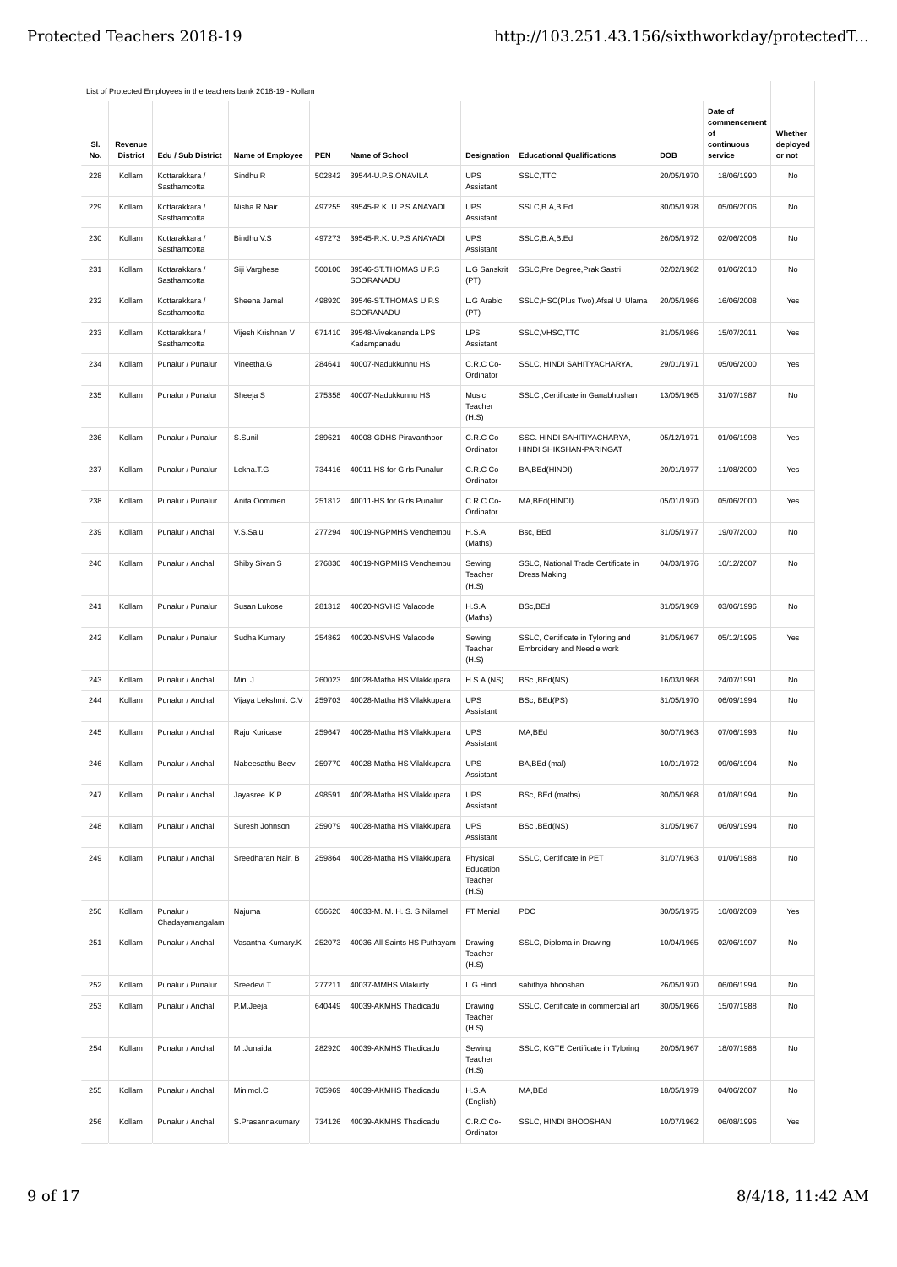|            |                            |                                | List of Protected Employees in the teachers bank 2018-19 - Kollam |        |                                      |                                           |                                                                 |            |                               |                    |
|------------|----------------------------|--------------------------------|-------------------------------------------------------------------|--------|--------------------------------------|-------------------------------------------|-----------------------------------------------------------------|------------|-------------------------------|--------------------|
|            |                            |                                |                                                                   |        |                                      |                                           |                                                                 |            | Date of<br>commencement<br>of | Whether            |
| SI.<br>No. | Revenue<br><b>District</b> | Edu / Sub District             | Name of Employee                                                  | PEN    | Name of School                       | Designation                               | <b>Educational Qualifications</b>                               | DOB        | continuous<br>service         | deployed<br>or not |
| 228        | Kollam                     | Kottarakkara /<br>Sasthamcotta | Sindhu R                                                          | 502842 | 39544-U.P.S.ONAVILA                  | <b>UPS</b><br>Assistant                   | SSLC, TTC                                                       | 20/05/1970 | 18/06/1990                    | No                 |
| 229        | Kollam                     | Kottarakkara /<br>Sasthamcotta | Nisha R Nair                                                      | 497255 | 39545-R.K. U.P.S ANAYADI             | <b>UPS</b><br>Assistant                   | SSLC, B.A, B.Ed                                                 | 30/05/1978 | 05/06/2006                    | No                 |
| 230        | Kollam                     | Kottarakkara /<br>Sasthamcotta | Bindhu V.S                                                        | 497273 | 39545-R.K. U.P.S ANAYADI             | <b>UPS</b><br>Assistant                   | SSLC, B.A, B.Ed                                                 | 26/05/1972 | 02/06/2008                    | No                 |
| 231        | Kollam                     | Kottarakkara /<br>Sasthamcotta | Siji Varghese                                                     | 500100 | 39546-ST.THOMAS U.P.S<br>SOORANADU   | L.G Sanskrit<br>(PT)                      | SSLC, Pre Degree, Prak Sastri                                   | 02/02/1982 | 01/06/2010                    | No                 |
| 232        | Kollam                     | Kottarakkara /<br>Sasthamcotta | Sheena Jamal                                                      | 498920 | 39546-ST.THOMAS U.P.S<br>SOORANADU   | L.G Arabic<br>(PT)                        | SSLC, HSC(Plus Two), Afsal UI Ulama                             | 20/05/1986 | 16/06/2008                    | Yes                |
| 233        | Kollam                     | Kottarakkara /<br>Sasthamcotta | Vijesh Krishnan V                                                 | 671410 | 39548-Vivekananda LPS<br>Kadampanadu | LPS<br>Assistant                          | SSLC, VHSC, TTC                                                 | 31/05/1986 | 15/07/2011                    | Yes                |
| 234        | Kollam                     | Punalur / Punalur              | Vineetha.G                                                        | 284641 | 40007-Nadukkunnu HS                  | C.R.C Co-<br>Ordinator                    | SSLC, HINDI SAHITYACHARYA,                                      | 29/01/1971 | 05/06/2000                    | Yes                |
| 235        | Kollam                     | Punalur / Punalur              | Sheeja S                                                          | 275358 | 40007-Nadukkunnu HS                  | Music<br>Teacher<br>(H.S)                 | SSLC ,Certificate in Ganabhushan                                | 13/05/1965 | 31/07/1987                    | No                 |
| 236        | Kollam                     | Punalur / Punalur              | S.Sunil                                                           | 289621 | 40008-GDHS Piravanthoor              | C.R.C Co-<br>Ordinator                    | SSC. HINDI SAHITIYACHARYA,<br>HINDI SHIKSHAN-PARINGAT           | 05/12/1971 | 01/06/1998                    | Yes                |
| 237        | Kollam                     | Punalur / Punalur              | Lekha.T.G                                                         | 734416 | 40011-HS for Girls Punalur           | C.R.C Co-<br>Ordinator                    | BA, BEd(HINDI)                                                  | 20/01/1977 | 11/08/2000                    | Yes                |
| 238        | Kollam                     | Punalur / Punalur              | Anita Oommen                                                      | 251812 | 40011-HS for Girls Punalur           | C.R.C Co-<br>Ordinator                    | MA, BEd(HINDI)                                                  | 05/01/1970 | 05/06/2000                    | Yes                |
| 239        | Kollam                     | Punalur / Anchal               | V.S.Saju                                                          | 277294 | 40019-NGPMHS Venchempu               | H.S.A<br>(Maths)                          | Bsc, BEd                                                        | 31/05/1977 | 19/07/2000                    | No                 |
| 240        | Kollam                     | Punalur / Anchal               | Shiby Sivan S                                                     | 276830 | 40019-NGPMHS Venchempu               | Sewing<br>Teacher<br>(H.S)                | SSLC, National Trade Certificate in<br><b>Dress Making</b>      | 04/03/1976 | 10/12/2007                    | No                 |
| 241        | Kollam                     | Punalur / Punalur              | Susan Lukose                                                      | 281312 | 40020-NSVHS Valacode                 | H.S.A<br>(Maths)                          | BSc, BEd                                                        | 31/05/1969 | 03/06/1996                    | No                 |
| 242        | Kollam                     | Punalur / Punalur              | Sudha Kumary                                                      | 254862 | 40020-NSVHS Valacode                 | Sewing<br>Teacher<br>(H.S)                | SSLC, Certificate in Tyloring and<br>Embroidery and Needle work | 31/05/1967 | 05/12/1995                    | Yes                |
| 243        | Kollam                     | Punalur / Anchal               | Mini.J                                                            | 260023 | 40028-Matha HS Vilakkupara           | H.S.A(NS)                                 | BSc, BEd(NS)                                                    | 16/03/1968 | 24/07/1991                    | No                 |
| 244        | Kollam                     | Punalur / Anchal               | Vijaya Lekshmi. C.V                                               | 259703 | 40028-Matha HS Vilakkupara           | <b>UPS</b><br>Assistant                   | BSc, BEd(PS)                                                    | 31/05/1970 | 06/09/1994                    | No                 |
| 245        | Kollam                     | Punalur / Anchal               | Raju Kuricase                                                     | 259647 | 40028-Matha HS Vilakkupara           | <b>UPS</b><br>Assistant                   | MA,BEd                                                          | 30/07/1963 | 07/06/1993                    | No                 |
| 246        | Kollam                     | Punalur / Anchal               | Nabeesathu Beevi                                                  | 259770 | 40028-Matha HS Vilakkupara           | <b>UPS</b><br>Assistant                   | BA, BEd (mal)                                                   | 10/01/1972 | 09/06/1994                    | No                 |
| 247        | Kollam                     | Punalur / Anchal               | Jayasree. K.P                                                     | 498591 | 40028-Matha HS Vilakkupara           | <b>UPS</b><br>Assistant                   | BSc, BEd (maths)                                                | 30/05/1968 | 01/08/1994                    | No                 |
| 248        | Kollam                     | Punalur / Anchal               | Suresh Johnson                                                    | 259079 | 40028-Matha HS Vilakkupara           | <b>UPS</b><br>Assistant                   | BSc, BEd(NS)                                                    | 31/05/1967 | 06/09/1994                    | No                 |
| 249        | Kollam                     | Punalur / Anchal               | Sreedharan Nair. B                                                | 259864 | 40028-Matha HS Vilakkupara           | Physical<br>Education<br>Teacher<br>(H.S) | SSLC, Certificate in PET                                        | 31/07/1963 | 01/06/1988                    | No                 |
| 250        | Kollam                     | Punalur /<br>Chadayamangalam   | Najuma                                                            | 656620 | 40033-M. M. H. S. S Nilamel          | FT Menial                                 | PDC                                                             | 30/05/1975 | 10/08/2009                    | Yes                |
| 251        | Kollam                     | Punalur / Anchal               | Vasantha Kumary.K                                                 | 252073 | 40036-All Saints HS Puthayam         | Drawing<br>Teacher<br>(H.S)               | SSLC, Diploma in Drawing                                        | 10/04/1965 | 02/06/1997                    | No                 |
| 252        | Kollam                     | Punalur / Punalur              | Sreedevi.T                                                        | 277211 | 40037-MMHS Vilakudy                  | L.G Hindi                                 | sahithya bhooshan                                               | 26/05/1970 | 06/06/1994                    | No                 |
| 253        | Kollam                     | Punalur / Anchal               | P.M.Jeeja                                                         | 640449 | 40039-AKMHS Thadicadu                | Drawing<br>Teacher<br>(H.S)               | SSLC, Certificate in commercial art                             | 30/05/1966 | 15/07/1988                    | No                 |
| 254        | Kollam                     | Punalur / Anchal               | M .Junaida                                                        | 282920 | 40039-AKMHS Thadicadu                | Sewing<br>Teacher<br>(H.S)                | SSLC, KGTE Certificate in Tyloring                              | 20/05/1967 | 18/07/1988                    | No                 |
| 255        | Kollam                     | Punalur / Anchal               | Minimol.C                                                         | 705969 | 40039-AKMHS Thadicadu                | H.S.A<br>(English)                        | MA,BEd                                                          | 18/05/1979 | 04/06/2007                    | No                 |
| 256        | Kollam                     | Punalur / Anchal               | S.Prasannakumary                                                  | 734126 | 40039-AKMHS Thadicadu                | C.R.C Co-<br>Ordinator                    | SSLC, HINDI BHOOSHAN                                            | 10/07/1962 | 06/08/1996                    | Yes                |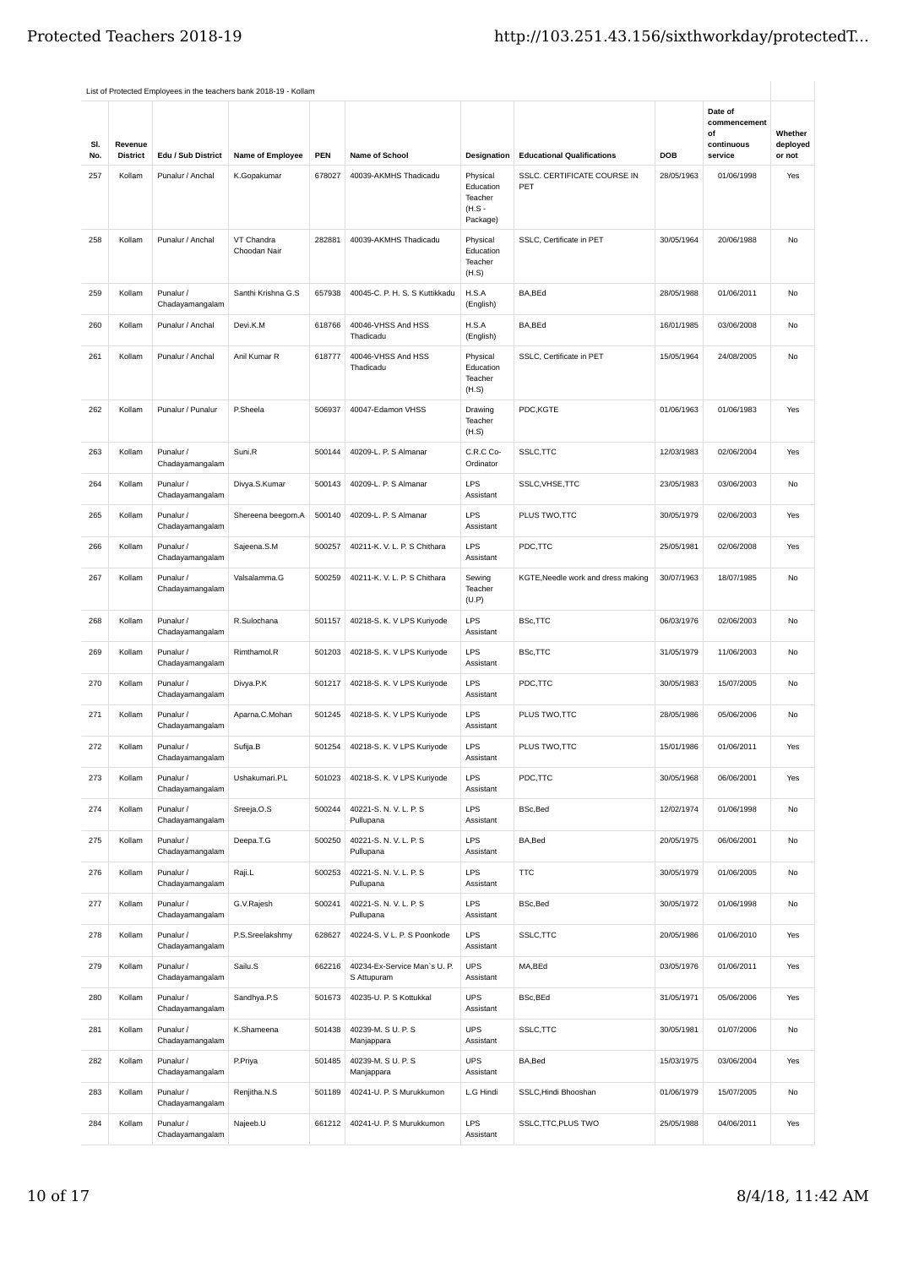|            |                            |                              | List of Protected Employees in the teachers bank 2018-19 - Kollam |        |                                             |                                                          |                                    |            |                                                        |                               |
|------------|----------------------------|------------------------------|-------------------------------------------------------------------|--------|---------------------------------------------|----------------------------------------------------------|------------------------------------|------------|--------------------------------------------------------|-------------------------------|
| SI.<br>No. | Revenue<br><b>District</b> | Edu / Sub District           | Name of Employee                                                  | PEN    | Name of School                              | Designation                                              | <b>Educational Qualifications</b>  | DOB        | Date of<br>commencement<br>of<br>continuous<br>service | Whether<br>deployed<br>or not |
| 257        | Kollam                     | Punalur / Anchal             | K.Gopakumar                                                       | 678027 | 40039-AKMHS Thadicadu                       | Physical<br>Education<br>Teacher<br>$(H.S -$<br>Package) | SSLC. CERTIFICATE COURSE IN<br>PET | 28/05/1963 | 01/06/1998                                             | Yes                           |
| 258        | Kollam                     | Punalur / Anchal             | VT Chandra<br>Choodan Nair                                        | 282881 | 40039-AKMHS Thadicadu                       | Physical<br>Education<br>Teacher<br>(H.S)                | SSLC. Certificate in PET           | 30/05/1964 | 20/06/1988                                             | No                            |
| 259        | Kollam                     | Punalur /<br>Chadayamangalam | Santhi Krishna G.S                                                | 657938 | 40045-C. P. H. S. S Kuttikkadu              | H.S.A<br>(English)                                       | BA,BEd                             | 28/05/1988 | 01/06/2011                                             | No                            |
| 260        | Kollam                     | Punalur / Anchal             | Devi.K.M                                                          | 618766 | 40046-VHSS And HSS<br>Thadicadu             | H.S.A<br>(English)                                       | BA,BEd                             | 16/01/1985 | 03/06/2008                                             | No                            |
| 261        | Kollam                     | Punalur / Anchal             | Anil Kumar R                                                      | 618777 | 40046-VHSS And HSS<br>Thadicadu             | Physical<br>Education<br>Teacher<br>(H.S)                | SSLC, Certificate in PET           | 15/05/1964 | 24/08/2005                                             | No                            |
| 262        | Kollam                     | Punalur / Punalur            | P.Sheela                                                          | 506937 | 40047-Edamon VHSS                           | Drawing<br>Teacher<br>(H.S)                              | PDC,KGTE                           | 01/06/1963 | 01/06/1983                                             | Yes                           |
| 263        | Kollam                     | Punalur /<br>Chadayamangalam | Suni.R                                                            | 500144 | 40209-L. P. S Almanar                       | C.R.C Co-<br>Ordinator                                   | SSLC, TTC                          | 12/03/1983 | 02/06/2004                                             | Yes                           |
| 264        | Kollam                     | Punalur /<br>Chadayamangalam | Divya.S.Kumar                                                     | 500143 | 40209-L. P. S Almanar                       | <b>LPS</b><br>Assistant                                  | SSLC, VHSE, TTC                    | 23/05/1983 | 03/06/2003                                             | No                            |
| 265        | Kollam                     | Punalur /<br>Chadayamangalam | Shereena beegom.A                                                 | 500140 | 40209-L. P. S Almanar                       | <b>LPS</b><br>Assistant                                  | PLUS TWO, TTC                      | 30/05/1979 | 02/06/2003                                             | Yes                           |
| 266        | Kollam                     | Punalur /<br>Chadayamangalam | Sajeena.S.M                                                       | 500257 | 40211-K. V. L. P. S Chithara                | LPS<br>Assistant                                         | PDC,TTC                            | 25/05/1981 | 02/06/2008                                             | Yes                           |
| 267        | Kollam                     | Punalur /<br>Chadayamangalam | Valsalamma.G                                                      | 500259 | 40211-K. V. L. P. S Chithara                | Sewing<br>Teacher<br>(U.P)                               | KGTE, Needle work and dress making | 30/07/1963 | 18/07/1985                                             | No                            |
| 268        | Kollam                     | Punalur /<br>Chadayamangalam | R.Sulochana                                                       | 501157 | 40218-S. K. V LPS Kuriyode                  | <b>LPS</b><br>Assistant                                  | BSc,TTC                            | 06/03/1976 | 02/06/2003                                             | No                            |
| 269        | Kollam                     | Punalur /<br>Chadayamangalam | Rimthamol.R                                                       | 501203 | 40218-S. K. V LPS Kuriyode                  | LPS<br>Assistant                                         | BSc,TTC                            | 31/05/1979 | 11/06/2003                                             | No                            |
| 270        | Kollam                     | Punalur /<br>Chadayamangalam | Divya.P.K                                                         | 501217 | 40218-S. K. V LPS Kuriyode                  | <b>LPS</b><br>Assistant                                  | PDC,TTC                            | 30/05/1983 | 15/07/2005                                             | No                            |
| 271        | Kollam                     | Punalur /<br>Chadayamangalam | Aparna.C.Mohan                                                    | 501245 | 40218-S. K. V LPS Kuriyode                  | <b>LPS</b><br>Assistant                                  | PLUS TWO, TTC                      | 28/05/1986 | 05/06/2006                                             | No                            |
| 272        | Kollam                     | Punalur /<br>Chadayamangalam | Sufija.B                                                          | 501254 | 40218-S. K. V LPS Kuriyode                  | LPS<br>Assistant                                         | PLUS TWO,TTC                       | 15/01/1986 | 01/06/2011                                             | Yes                           |
| 273        | Kollam                     | Punalur /<br>Chadayamangalam | Ushakumari.P.L                                                    | 501023 | 40218-S. K. V LPS Kuriyode                  | <b>LPS</b><br>Assistant                                  | PDC,TTC                            | 30/05/1968 | 06/06/2001                                             | Yes                           |
| 274        | Kollam                     | Punalur /<br>Chadayamangalam | Sreeja.O.S                                                        | 500244 | 40221-S. N. V. L. P. S<br>Pullupana         | <b>LPS</b><br>Assistant                                  | BSc, Bed                           | 12/02/1974 | 01/06/1998                                             | No                            |
| 275        | Kollam                     | Punalur /<br>Chadayamangalam | Deepa.T.G                                                         | 500250 | 40221-S. N. V. L. P. S<br>Pullupana         | <b>LPS</b><br>Assistant                                  | BA, Bed                            | 20/05/1975 | 06/06/2001                                             | No                            |
| 276        | Kollam                     | Punalur /<br>Chadayamangalam | Raji.L                                                            | 500253 | 40221-S. N. V. L. P. S<br>Pullupana         | <b>LPS</b><br>Assistant                                  | <b>TTC</b>                         | 30/05/1979 | 01/06/2005                                             | No                            |
| 277        | Kollam                     | Punalur /<br>Chadayamangalam | G.V.Rajesh                                                        | 500241 | 40221-S. N. V. L. P. S<br>Pullupana         | LPS<br>Assistant                                         | <b>BSc.Bed</b>                     | 30/05/1972 | 01/06/1998                                             | No                            |
| 278        | Kollam                     | Punalur /<br>Chadayamangalam | P.S.Sreelakshmy                                                   | 628627 | 40224-S. V L. P. S Poonkode                 | <b>LPS</b><br>Assistant                                  | SSLC, TTC                          | 20/05/1986 | 01/06/2010                                             | Yes                           |
| 279        | Kollam                     | Punalur /<br>Chadayamangalam | Sailu.S                                                           | 662216 | 40234-Ex-Service Man's U. P.<br>S Attupuram | <b>UPS</b><br>Assistant                                  | MA,BEd                             | 03/05/1976 | 01/06/2011                                             | Yes                           |
| 280        | Kollam                     | Punalur /<br>Chadayamangalam | Sandhya.P.S                                                       | 501673 | 40235-U. P. S Kottukkal                     | <b>UPS</b><br>Assistant                                  | BSc, BEd                           | 31/05/1971 | 05/06/2006                                             | Yes                           |
| 281        | Kollam                     | Punalur /<br>Chadayamangalam | K.Shameena                                                        | 501438 | 40239-M. S U. P. S<br>Manjappara            | <b>UPS</b><br>Assistant                                  | SSLC, TTC                          | 30/05/1981 | 01/07/2006                                             | No                            |
| 282        | Kollam                     | Punalur /<br>Chadayamangalam | P.Priya                                                           | 501485 | 40239-M. S U. P. S<br>Manjappara            | <b>UPS</b><br>Assistant                                  | BA, Bed                            | 15/03/1975 | 03/06/2004                                             | Yes                           |
| 283        | Kollam                     | Punalur /<br>Chadayamangalam | Renjitha.N.S                                                      | 501189 | 40241-U. P. S Murukkumon                    | L.G Hindi                                                | SSLC, Hindi Bhooshan               | 01/06/1979 | 15/07/2005                                             | No                            |
| 284        | Kollam                     | Punalur /<br>Chadayamangalam | Najeeb.U                                                          | 661212 | 40241-U. P. S Murukkumon                    | <b>LPS</b><br>Assistant                                  | SSLC, TTC, PLUS TWO                | 25/05/1988 | 04/06/2011                                             | Yes                           |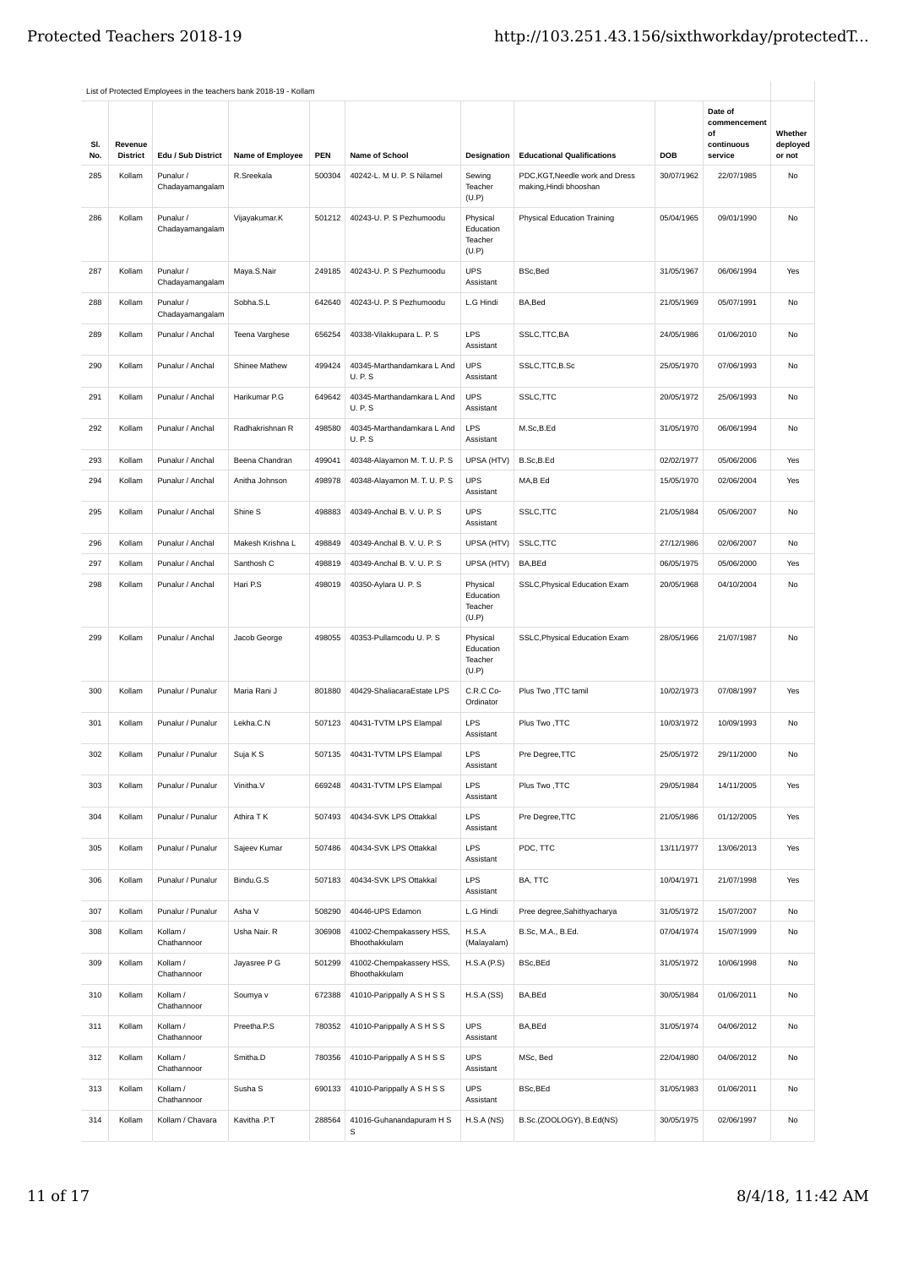|            |                            |                              | List of Protected Employees in the teachers bank 2018-19 - Kollam |        |                                            |                                           |                                                         |            |                                                        |                               |
|------------|----------------------------|------------------------------|-------------------------------------------------------------------|--------|--------------------------------------------|-------------------------------------------|---------------------------------------------------------|------------|--------------------------------------------------------|-------------------------------|
| SI.<br>No. | Revenue<br><b>District</b> | Edu / Sub District           | Name of Employee                                                  | PEN    | Name of School                             | Designation                               | <b>Educational Qualifications</b>                       | <b>DOB</b> | Date of<br>commencement<br>of<br>continuous<br>service | Whether<br>deployed<br>or not |
| 285        | Kollam                     | Punalur /<br>Chadayamangalam | R.Sreekala                                                        | 500304 | 40242-L. M U. P. S Nilamel                 | Sewing<br>Teacher<br>(U.P)                | PDC,KGT,Needle work and Dress<br>making, Hindi bhooshan | 30/07/1962 | 22/07/1985                                             | No                            |
| 286        | Kollam                     | Punalur /<br>Chadayamangalam | Vijayakumar.K                                                     | 501212 | 40243-U. P. S Pezhumoodu                   | Physical<br>Education<br>Teacher<br>(U.P) | <b>Physical Education Training</b>                      | 05/04/1965 | 09/01/1990                                             | No                            |
| 287        | Kollam                     | Punalur /<br>Chadayamangalam | Maya.S.Nair                                                       | 249185 | 40243-U. P. S Pezhumoodu                   | <b>UPS</b><br>Assistant                   | BSc, Bed                                                | 31/05/1967 | 06/06/1994                                             | Yes                           |
| 288        | Kollam                     | Punalur /<br>Chadayamangalam | Sobha.S.L                                                         | 642640 | 40243-U. P. S Pezhumoodu                   | L.G Hindi                                 | BA, Bed                                                 | 21/05/1969 | 05/07/1991                                             | No                            |
| 289        | Kollam                     | Punalur / Anchal             | Teena Varghese                                                    | 656254 | 40338-Vilakkupara L. P. S                  | LPS<br>Assistant                          | SSLC, TTC, BA                                           | 24/05/1986 | 01/06/2010                                             | No                            |
| 290        | Kollam                     | Punalur / Anchal             | Shinee Mathew                                                     | 499424 | 40345-Marthandamkara L And<br><b>U.P.S</b> | <b>UPS</b><br>Assistant                   | SSLC, TTC, B.Sc                                         | 25/05/1970 | 07/06/1993                                             | No                            |
| 291        | Kollam                     | Punalur / Anchal             | Harikumar P.G                                                     | 649642 | 40345-Marthandamkara L And<br><b>U.P.S</b> | <b>UPS</b><br>Assistant                   | SSLC, TTC                                               | 20/05/1972 | 25/06/1993                                             | No                            |
| 292        | Kollam                     | Punalur / Anchal             | Radhakrishnan R                                                   | 498580 | 40345-Marthandamkara L And<br><b>U.P.S</b> | <b>LPS</b><br>Assistant                   | M.Sc,B.Ed                                               | 31/05/1970 | 06/06/1994                                             | No                            |
| 293        | Kollam                     | Punalur / Anchal             | Beena Chandran                                                    | 499041 | 40348-Alayamon M. T. U. P. S               | UPSA (HTV)                                | B.Sc,B.Ed                                               | 02/02/1977 | 05/06/2006                                             | Yes                           |
| 294        | Kollam                     | Punalur / Anchal             | Anitha Johnson                                                    | 498978 | 40348-Alayamon M. T. U. P. S               | <b>UPS</b><br>Assistant                   | MA,B Ed                                                 | 15/05/1970 | 02/06/2004                                             | Yes                           |
| 295        | Kollam                     | Punalur / Anchal             | Shine S                                                           | 498883 | 40349-Anchal B. V. U. P. S                 | <b>UPS</b><br>Assistant                   | SSLC, TTC                                               | 21/05/1984 | 05/06/2007                                             | No                            |
| 296        | Kollam                     | Punalur / Anchal             | Makesh Krishna L                                                  | 498849 | 40349-Anchal B. V. U. P. S                 | UPSA (HTV)                                | SSLC, TTC                                               | 27/12/1986 | 02/06/2007                                             | No                            |
| 297        | Kollam                     | Punalur / Anchal             | Santhosh C                                                        | 498819 | 40349-Anchal B. V. U. P. S                 | UPSA (HTV)                                | BA, BEd                                                 | 06/05/1975 | 05/06/2000                                             | Yes                           |
| 298        | Kollam                     | Punalur / Anchal             | Hari P.S                                                          | 498019 | 40350-Aylara U. P. S                       | Physical<br>Education<br>Teacher<br>(U.P) | SSLC, Physical Education Exam                           | 20/05/1968 | 04/10/2004                                             | No                            |
| 299        | Kollam                     | Punalur / Anchal             | Jacob George                                                      | 498055 | 40353-Pullamcodu U. P. S                   | Physical<br>Education<br>Teacher<br>(U.P) | SSLC, Physical Education Exam                           | 28/05/1966 | 21/07/1987                                             | No                            |
| 300        | Kollam                     | Punalur / Punalur            | Maria Rani J                                                      | 801880 | 40429-ShaliacaraEstate LPS                 | C.R.C Co-<br>Ordinator                    | Plus Two , TTC tamil                                    | 10/02/1973 | 07/08/1997                                             | Yes                           |
| 301        | Kollam                     | Punalur / Punalur            | Lekha.C.N                                                         | 507123 | 40431-TVTM LPS Elampal                     | <b>LPS</b><br>Assistant                   | Plus Two, TTC                                           | 10/03/1972 | 10/09/1993                                             | No                            |
| 302        | Kollam                     | Punalur / Punalur            | Suja K S                                                          | 507135 | 40431-TVTM LPS Elampal                     | LPS<br>Assistant                          | Pre Degree, TTC                                         | 25/05/1972 | 29/11/2000                                             | No                            |
| 303        | Kollam                     | Punalur / Punalur            | Vinitha.V                                                         | 669248 | 40431-TVTM LPS Elampal                     | <b>LPS</b><br>Assistant                   | Plus Two, TTC                                           | 29/05/1984 | 14/11/2005                                             | Yes                           |
| 304        | Kollam                     | Punalur / Punalur            | Athira T K                                                        | 507493 | 40434-SVK LPS Ottakkal                     | LPS<br>Assistant                          | Pre Degree, TTC                                         | 21/05/1986 | 01/12/2005                                             | Yes                           |
| 305        | Kollam                     | Punalur / Punalur            | Sajeev Kumar                                                      | 507486 | 40434-SVK LPS Ottakkal                     | <b>LPS</b><br>Assistant                   | PDC, TTC                                                | 13/11/1977 | 13/06/2013                                             | Yes                           |
| 306        | Kollam                     | Punalur / Punalur            | Bindu.G.S                                                         | 507183 | 40434-SVK LPS Ottakkal                     | LPS<br>Assistant                          | BA, TTC                                                 | 10/04/1971 | 21/07/1998                                             | Yes                           |
| 307        | Kollam                     | Punalur / Punalur            | Asha V                                                            | 508290 | 40446-UPS Edamon                           | L.G Hindi                                 | Pree degree, Sahithyacharya                             | 31/05/1972 | 15/07/2007                                             | No                            |
| 308        | Kollam                     | Kollam /<br>Chathannoor      | Usha Nair, R                                                      | 306908 | 41002-Chempakassery HSS,<br>Bhoothakkulam  | H.S.A<br>(Malayalam)                      | B.Sc, M.A., B.Ed.                                       | 07/04/1974 | 15/07/1999                                             | No                            |
| 309        | Kollam                     | Kollam /<br>Chathannoor      | Jayasree P G                                                      | 501299 | 41002-Chempakassery HSS,<br>Bhoothakkulam  | H.S.A(P.S)                                | BSc, BEd                                                | 31/05/1972 | 10/06/1998                                             | No                            |
| 310        | Kollam                     | Kollam /<br>Chathannoor      | Soumya v                                                          | 672388 | 41010-Parippally A S H S S                 | H.S.A(SS)                                 | BA,BEd                                                  | 30/05/1984 | 01/06/2011                                             | No                            |
| 311        | Kollam                     | Kollam /<br>Chathannoor      | Preetha.P.S                                                       | 780352 | 41010-Parippally A S H S S                 | <b>UPS</b><br>Assistant                   | BA, BEd                                                 | 31/05/1974 | 04/06/2012                                             | No                            |
| 312        | Kollam                     | Kollam /<br>Chathannoor      | Smitha.D                                                          | 780356 | 41010-Parippally A S H S S                 | <b>UPS</b><br>Assistant                   | MSc, Bed                                                | 22/04/1980 | 04/06/2012                                             | No                            |
| 313        | Kollam                     | Kollam /<br>Chathannoor      | Susha <sub>S</sub>                                                | 690133 | 41010-Parippally A S H S S                 | <b>UPS</b><br>Assistant                   | BSc, BEd                                                | 31/05/1983 | 01/06/2011                                             | No                            |
| 314        | Kollam                     | Kollam / Chavara             | Kavitha .P.T                                                      | 288564 | 41016-Guhanandapuram H S<br>S              | H.S.A(NS)                                 | B.Sc.(ZOOLOGY), B.Ed(NS)                                | 30/05/1975 | 02/06/1997                                             | No                            |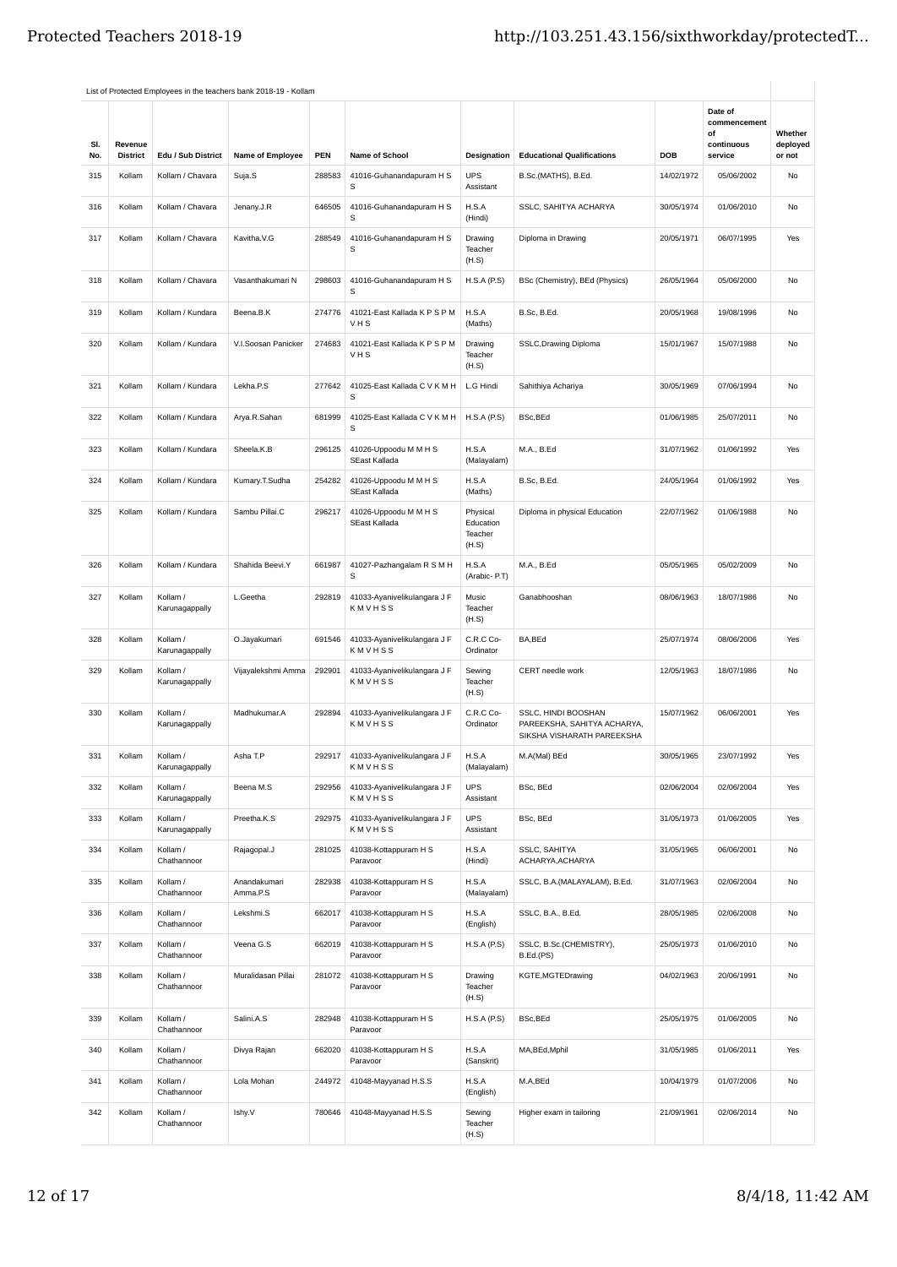|     |                 |                            | List of Protected Employees in the teachers bank 2018-19 - Kollam |            |                                               |                                           |                                                                                  |            |                                             |                     |
|-----|-----------------|----------------------------|-------------------------------------------------------------------|------------|-----------------------------------------------|-------------------------------------------|----------------------------------------------------------------------------------|------------|---------------------------------------------|---------------------|
| SI. | Revenue         |                            |                                                                   |            |                                               |                                           |                                                                                  |            | Date of<br>commencement<br>of<br>continuous | Whether<br>deployed |
| No. | <b>District</b> | Edu / Sub District         | Name of Employee                                                  | <b>PEN</b> | Name of School                                | Designation                               | <b>Educational Qualifications</b>                                                | <b>DOB</b> | service                                     | or not              |
| 315 | Kollam          | Kollam / Chavara           | Suja.S                                                            | 288583     | 41016-Guhanandapuram H S<br>S                 | <b>UPS</b><br>Assistant                   | B.Sc.(MATHS), B.Ed.                                                              | 14/02/1972 | 05/06/2002                                  | <b>No</b>           |
| 316 | Kollam          | Kollam / Chavara           | Jenany.J.R                                                        | 646505     | 41016-Guhanandapuram H S<br>S                 | H.S.A<br>(Hindi)                          | SSLC, SAHITYA ACHARYA                                                            | 30/05/1974 | 01/06/2010                                  | No                  |
| 317 | Kollam          | Kollam / Chavara           | Kavitha.V.G                                                       | 288549     | 41016-Guhanandapuram H S<br>s                 | Drawing<br>Teacher<br>(H.S)               | Diploma in Drawing                                                               | 20/05/1971 | 06/07/1995                                  | Yes                 |
| 318 | Kollam          | Kollam / Chavara           | Vasanthakumari N                                                  | 298603     | 41016-Guhanandapuram H S<br>s                 | H.S.A(P.S)                                | BSc (Chemistry), BEd (Physics)                                                   | 26/05/1964 | 05/06/2000                                  | No                  |
| 319 | Kollam          | Kollam / Kundara           | Beena.B.K                                                         | 274776     | 41021-East Kallada K P S P M<br>VHS           | H.S.A<br>(Maths)                          | B.Sc, B.Ed.                                                                      | 20/05/1968 | 19/08/1996                                  | No                  |
| 320 | Kollam          | Kollam / Kundara           | V.I.Soosan Panicker                                               | 274683     | 41021-East Kallada K P S P M<br>VHS           | Drawing<br>Teacher<br>(H.S)               | SSLC, Drawing Diploma                                                            | 15/01/1967 | 15/07/1988                                  | No                  |
| 321 | Kollam          | Kollam / Kundara           | Lekha.P.S                                                         | 277642     | 41025-East Kallada C V K M H<br>S             | L.G Hindi                                 | Sahithiya Achariya                                                               | 30/05/1969 | 07/06/1994                                  | No                  |
| 322 | Kollam          | Kollam / Kundara           | Arya.R.Sahan                                                      | 681999     | 41025-East Kallada C V K M H<br>s             | H.S.A(P.S)                                | BSc, BEd                                                                         | 01/06/1985 | 25/07/2011                                  | No                  |
| 323 | Kollam          | Kollam / Kundara           | Sheela.K.B                                                        | 296125     | 41026-Uppoodu M M H S<br>SEast Kallada        | H.S.A<br>(Malayalam)                      | M.A., B.Ed                                                                       | 31/07/1962 | 01/06/1992                                  | Yes                 |
| 324 | Kollam          | Kollam / Kundara           | Kumary.T.Sudha                                                    | 254282     | 41026-Uppoodu M M H S<br>SEast Kallada        | H.S.A<br>(Maths)                          | B.Sc, B.Ed.                                                                      | 24/05/1964 | 01/06/1992                                  | Yes                 |
| 325 | Kollam          | Kollam / Kundara           | Sambu Pillai.C                                                    | 296217     | 41026-Uppoodu M M H S<br><b>SEast Kallada</b> | Physical<br>Education<br>Teacher<br>(H.S) | Diploma in physical Education                                                    | 22/07/1962 | 01/06/1988                                  | No                  |
| 326 | Kollam          | Kollam / Kundara           | Shahida Beevi.Y                                                   | 661987     | 41027-Pazhangalam R S M H<br>s                | H.S.A<br>(Arabic-P.T)                     | M.A., B.Ed                                                                       | 05/05/1965 | 05/02/2009                                  | No                  |
| 327 | Kollam          | Kollam /<br>Karunagappally | L.Geetha                                                          | 292819     | 41033-Ayanivelikulangara J F<br>KMVHSS        | Music<br>Teacher<br>(H.S)                 | Ganabhooshan                                                                     | 08/06/1963 | 18/07/1986                                  | No                  |
| 328 | Kollam          | Kollam /<br>Karunagappally | O.Jayakumari                                                      | 691546     | 41033-Ayanivelikulangara J F<br>KMVHSS        | C.R.C Co-<br>Ordinator                    | BA,BEd                                                                           | 25/07/1974 | 08/06/2006                                  | Yes                 |
| 329 | Kollam          | Kollam /<br>Karunagappally | Vijayalekshmi Amma                                                | 292901     | 41033-Ayanivelikulangara J F<br>KMVHSS        | Sewing<br>Teacher<br>(H.S)                | CERT needle work                                                                 | 12/05/1963 | 18/07/1986                                  | No                  |
| 330 | Kollam          | Kollam /<br>Karunagappally | Madhukumar.A                                                      | 292894     | 41033-Ayanivelikulangara J F<br><b>KMVHSS</b> | C.R.C Co-<br>Ordinator                    | SSLC, HINDI BOOSHAN<br>PAREEKSHA, SAHITYA ACHARYA,<br>SIKSHA VISHARATH PAREEKSHA | 15/07/1962 | 06/06/2001                                  | Yes                 |
| 331 | Kollam          | Kollam /<br>Karunagappally | Asha T.P                                                          | 292917     | 41033-Ayanivelikulangara J F<br>KMVHSS        | H.S.A<br>(Malayalam)                      | M.A(Mal) BEd                                                                     | 30/05/1965 | 23/07/1992                                  | Yes                 |
| 332 | Kollam          | Kollam /<br>Karunagappally | Beena M.S                                                         | 292956     | 41033-Ayanivelikulangara J F<br>KMVHSS        | <b>UPS</b><br>Assistant                   | BSc, BEd                                                                         | 02/06/2004 | 02/06/2004                                  | Yes                 |
| 333 | Kollam          | Kollam /<br>Karunagappally | Preetha.K.S                                                       | 292975     | 41033-Ayanivelikulangara J F<br>KMVHSS        | <b>UPS</b><br>Assistant                   | BSc, BEd                                                                         | 31/05/1973 | 01/06/2005                                  | Yes                 |
| 334 | Kollam          | Kollam /<br>Chathannoor    | Rajagopal.J                                                       | 281025     | 41038-Kottappuram H S<br>Paravoor             | H.S.A<br>(Hindi)                          | SSLC, SAHITYA<br>ACHARYA, ACHARYA                                                | 31/05/1965 | 06/06/2001                                  | No                  |
| 335 | Kollam          | Kollam /<br>Chathannoor    | Anandakumari<br>Amma.P.S                                          | 282938     | 41038-Kottappuram H S<br>Paravoor             | H.S.A<br>(Malayalam)                      | SSLC, B.A.(MALAYALAM), B.Ed.                                                     | 31/07/1963 | 02/06/2004                                  | No                  |
| 336 | Kollam          | Kollam /<br>Chathannoor    | Lekshmi.S                                                         | 662017     | 41038-Kottappuram H S<br>Paravoor             | H.S.A<br>(English)                        | SSLC, B.A., B.Ed.                                                                | 28/05/1985 | 02/06/2008                                  | No                  |
| 337 | Kollam          | Kollam /<br>Chathannoor    | Veena G.S                                                         | 662019     | 41038-Kottappuram H S<br>Paravoor             | H.S.A(P.S)                                | SSLC, B.Sc.(CHEMISTRY),<br>B.Ed.(PS)                                             | 25/05/1973 | 01/06/2010                                  | No                  |
| 338 | Kollam          | Kollam /<br>Chathannoor    | Muralidasan Pillai                                                | 281072     | 41038-Kottappuram H S<br>Paravoor             | Drawing<br>Teacher<br>(H.S)               | KGTE, MGTEDrawing                                                                | 04/02/1963 | 20/06/1991                                  | No                  |
| 339 | Kollam          | Kollam /<br>Chathannoor    | Salini.A.S                                                        | 282948     | 41038-Kottappuram H S<br>Paravoor             | H.S.A(P.S)                                | BSc, BEd                                                                         | 25/05/1975 | 01/06/2005                                  | No                  |
| 340 | Kollam          | Kollam /<br>Chathannoor    | Divya Rajan                                                       | 662020     | 41038-Kottappuram H S<br>Paravoor             | H.S.A<br>(Sanskrit)                       | MA, BEd, Mphil                                                                   | 31/05/1985 | 01/06/2011                                  | Yes                 |
| 341 | Kollam          | Kollam /<br>Chathannoor    | Lola Mohan                                                        | 244972     | 41048-Mayyanad H.S.S                          | H.S.A<br>(English)                        | M.A,BEd                                                                          | 10/04/1979 | 01/07/2006                                  | No                  |
| 342 | Kollam          | Kollam /<br>Chathannoor    | Ishy.V                                                            | 780646     | 41048-Mayyanad H.S.S                          | Sewing<br>Teacher<br>(H.S)                | Higher exam in tailoring                                                         | 21/09/1961 | 02/06/2014                                  | No                  |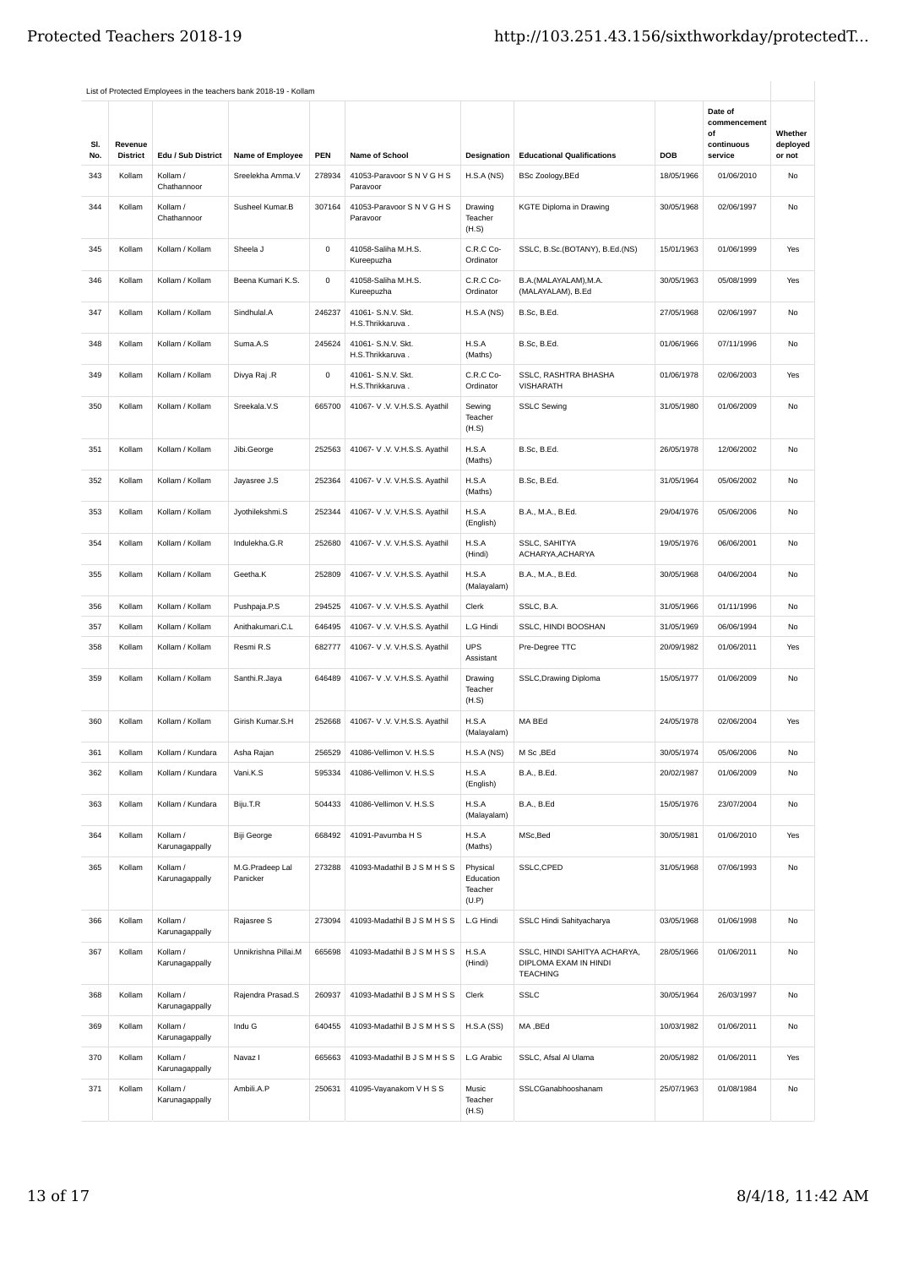|     |                 |                            | List of Protected Employees in the teachers bank 2018-19 - Kollam |             |                                        |                                           |                                                                          |            |                                             |                     |
|-----|-----------------|----------------------------|-------------------------------------------------------------------|-------------|----------------------------------------|-------------------------------------------|--------------------------------------------------------------------------|------------|---------------------------------------------|---------------------|
| SI. | Revenue         |                            |                                                                   |             |                                        |                                           |                                                                          |            | Date of<br>commencement<br>of<br>continuous | Whether<br>deployed |
| No. | <b>District</b> | Edu / Sub District         | Name of Employee                                                  | PEN         | Name of School                         | Designation                               | <b>Educational Qualifications</b>                                        | DOB        | service                                     | or not              |
| 343 | Kollam          | Kollam /<br>Chathannoor    | Sreelekha Amma.V                                                  | 278934      | 41053-Paravoor S N V G H S<br>Paravoor | H.S.A(NS)                                 | BSc Zoology, BEd                                                         | 18/05/1966 | 01/06/2010                                  | No                  |
| 344 | Kollam          | Kollam /<br>Chathannoor    | Susheel Kumar.B                                                   | 307164      | 41053-Paravoor S N V G H S<br>Paravoor | Drawing<br>Teacher<br>(H.S)               | <b>KGTE Diploma in Drawing</b>                                           | 30/05/1968 | 02/06/1997                                  | No                  |
| 345 | Kollam          | Kollam / Kollam            | Sheela J                                                          | $\mathsf 0$ | 41058-Saliha M.H.S.<br>Kureepuzha      | C.R.C Co-<br>Ordinator                    | SSLC, B.Sc.(BOTANY), B.Ed.(NS)                                           | 15/01/1963 | 01/06/1999                                  | Yes                 |
| 346 | Kollam          | Kollam / Kollam            | Beena Kumari K.S.                                                 | $\mathsf 0$ | 41058-Saliha M.H.S.<br>Kureepuzha      | C.R.C Co-<br>Ordinator                    | B.A.(MALAYALAM), M.A.<br>(MALAYALAM), B.Ed                               | 30/05/1963 | 05/08/1999                                  | Yes                 |
| 347 | Kollam          | Kollam / Kollam            | Sindhulal.A                                                       | 246237      | 41061- S.N.V. Skt.<br>H.S.Thrikkaruva. | H.S.A(NS)                                 | B.Sc, B.Ed.                                                              | 27/05/1968 | 02/06/1997                                  | No                  |
| 348 | Kollam          | Kollam / Kollam            | Suma.A.S                                                          | 245624      | 41061- S.N.V. Skt.<br>H.S.Thrikkaruva. | H.S.A<br>(Maths)                          | B.Sc, B.Ed.                                                              | 01/06/1966 | 07/11/1996                                  | No                  |
| 349 | Kollam          | Kollam / Kollam            | Divya Raj .R                                                      | $\mathsf 0$ | 41061- S.N.V. Skt.<br>H.S.Thrikkaruva. | C.R.C Co-<br>Ordinator                    | SSLC, RASHTRA BHASHA<br><b>VISHARATH</b>                                 | 01/06/1978 | 02/06/2003                                  | Yes                 |
| 350 | Kollam          | Kollam / Kollam            | Sreekala.V.S                                                      | 665700      | 41067- V .V. V.H.S.S. Ayathil          | Sewing<br>Teacher<br>(H.S)                | <b>SSLC Sewing</b>                                                       | 31/05/1980 | 01/06/2009                                  | No                  |
| 351 | Kollam          | Kollam / Kollam            | Jibi.George                                                       | 252563      | 41067- V.V. V.H.S.S. Ayathil           | H.S.A<br>(Maths)                          | B.Sc, B.Ed.                                                              | 26/05/1978 | 12/06/2002                                  | No                  |
| 352 | Kollam          | Kollam / Kollam            | Jayasree J.S                                                      | 252364      | 41067- V.V. V.H.S.S. Ayathil           | H.S.A<br>(Maths)                          | B.Sc. B.Ed.                                                              | 31/05/1964 | 05/06/2002                                  | No                  |
| 353 | Kollam          | Kollam / Kollam            | Jyothilekshmi.S                                                   | 252344      | 41067- V.V. V.H.S.S. Ayathil           | H.S.A<br>(English)                        | B.A., M.A., B.Ed.                                                        | 29/04/1976 | 05/06/2006                                  | No                  |
| 354 | Kollam          | Kollam / Kollam            | Indulekha.G.R                                                     | 252680      | 41067- V.V. V.H.S.S. Ayathil           | H.S.A<br>(Hindi)                          | <b>SSLC, SAHITYA</b><br>ACHARYA, ACHARYA                                 | 19/05/1976 | 06/06/2001                                  | No                  |
| 355 | Kollam          | Kollam / Kollam            | Geetha.K                                                          | 252809      | 41067- V.V. V.H.S.S. Ayathil           | H.S.A<br>(Malayalam)                      | B.A., M.A., B.Ed.                                                        | 30/05/1968 | 04/06/2004                                  | No                  |
| 356 | Kollam          | Kollam / Kollam            | Pushpaja.P.S                                                      | 294525      | 41067- V.V. V.H.S.S. Ayathil           | Clerk                                     | SSLC, B.A.                                                               | 31/05/1966 | 01/11/1996                                  | No                  |
| 357 | Kollam          | Kollam / Kollam            | Anithakumari.C.L                                                  | 646495      | 41067- V.V. V.H.S.S. Ayathil           | L.G Hindi                                 | SSLC, HINDI BOOSHAN                                                      | 31/05/1969 | 06/06/1994                                  | No                  |
| 358 | Kollam          | Kollam / Kollam            | Resmi R.S                                                         | 682777      | 41067- V.V. V.H.S.S. Ayathil           | <b>UPS</b><br>Assistant                   | Pre-Degree TTC                                                           | 20/09/1982 | 01/06/2011                                  | Yes                 |
| 359 | Kollam          | Kollam / Kollam            | Santhi.R.Jaya                                                     | 646489      | 41067- V.V. V.H.S.S. Ayathil           | Drawing<br>Teacher<br>(H.S)               | SSLC, Drawing Diploma                                                    | 15/05/1977 | 01/06/2009                                  | No                  |
| 360 | Kollam          | Kollam / Kollam            | Girish Kumar.S.H                                                  | 252668      | 41067- V.V. V.H.S.S. Ayathil           | H.S.A<br>(Malayalam)                      | MA BEd                                                                   | 24/05/1978 | 02/06/2004                                  | Yes                 |
| 361 | Kollam          | Kollam / Kundara           | Asha Rajan                                                        | 256529      | 41086-Vellimon V. H.S.S                | H.S.A (NS)                                | M Sc, BEd                                                                | 30/05/1974 | 05/06/2006                                  | No                  |
| 362 | Kollam          | Kollam / Kundara           | Vani.K.S                                                          | 595334      | 41086-Vellimon V. H.S.S                | H.S.A<br>(English)                        | B.A., B.Ed.                                                              | 20/02/1987 | 01/06/2009                                  | No                  |
| 363 | Kollam          | Kollam / Kundara           | Biju.T.R                                                          | 504433      | 41086-Vellimon V. H.S.S                | H.S.A<br>(Malayalam)                      | <b>B.A., B.Ed</b>                                                        | 15/05/1976 | 23/07/2004                                  | No                  |
| 364 | Kollam          | Kollam /<br>Karunagappally | Biji George                                                       | 668492      | 41091-Pavumba H S                      | H.S.A<br>(Maths)                          | MSc, Bed                                                                 | 30/05/1981 | 01/06/2010                                  | Yes                 |
| 365 | Kollam          | Kollam /<br>Karunagappally | M.G.Pradeep Lal<br>Panicker                                       | 273288      | 41093-Madathil B J S M H S S           | Physical<br>Education<br>Teacher<br>(U.P) | SSLC, CPED                                                               | 31/05/1968 | 07/06/1993                                  | No                  |
| 366 | Kollam          | Kollam /<br>Karunagappally | Rajasree S                                                        | 273094      | 41093-Madathil B J S M H S S           | L.G Hindi                                 | SSLC Hindi Sahityacharya                                                 | 03/05/1968 | 01/06/1998                                  | No                  |
| 367 | Kollam          | Kollam /<br>Karunagappally | Unnikrishna Pillai.M                                              | 665698      | 41093-Madathil B J S M H S S           | H.S.A<br>(Hindi)                          | SSLC, HINDI SAHITYA ACHARYA,<br>DIPLOMA EXAM IN HINDI<br><b>TEACHING</b> | 28/05/1966 | 01/06/2011                                  | No                  |
| 368 | Kollam          | Kollam /<br>Karunagappally | Rajendra Prasad.S                                                 | 260937      | 41093-Madathil B J S M H S S           | Clerk                                     | <b>SSLC</b>                                                              | 30/05/1964 | 26/03/1997                                  | No                  |
| 369 | Kollam          | Kollam /<br>Karunagappally | Indu G                                                            | 640455      | 41093-Madathil B J S M H S S           | H.S.A(SS)                                 | MA, BEd                                                                  | 10/03/1982 | 01/06/2011                                  | No                  |
| 370 | Kollam          | Kollam /<br>Karunagappally | Navaz I                                                           | 665663      | 41093-Madathil B J S M H S S           | L.G Arabic                                | SSLC, Afsal Al Ulama                                                     | 20/05/1982 | 01/06/2011                                  | Yes                 |
| 371 | Kollam          | Kollam /<br>Karunagappally | Ambili.A.P                                                        | 250631      | 41095-Vayanakom V H S S                | Music<br>Teacher<br>(H.S)                 | SSLCGanabhooshanam                                                       | 25/07/1963 | 01/08/1984                                  | No                  |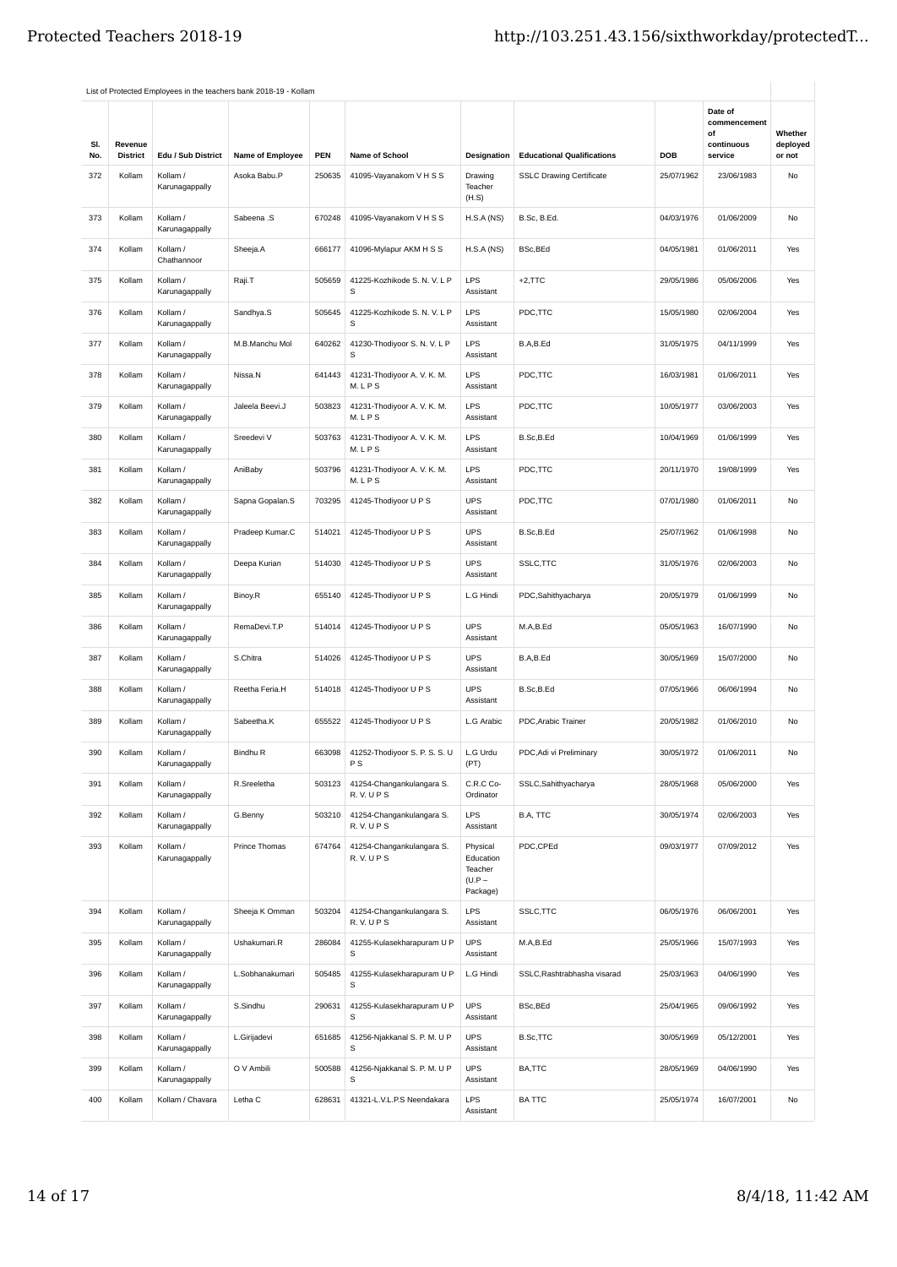|            |                            |                            | List of Protected Employees in the teachers bank 2018-19 - Kollam |        |                                      |                                                          |                                   |            |                               |                    |
|------------|----------------------------|----------------------------|-------------------------------------------------------------------|--------|--------------------------------------|----------------------------------------------------------|-----------------------------------|------------|-------------------------------|--------------------|
|            |                            |                            |                                                                   |        |                                      |                                                          |                                   |            | Date of<br>commencement<br>of | Whether            |
| SI.<br>No. | Revenue<br><b>District</b> | Edu / Sub District         | Name of Employee                                                  | PEN    | <b>Name of School</b>                | Designation                                              | <b>Educational Qualifications</b> | DOB        | continuous<br>service         | deployed<br>or not |
| 372        | Kollam                     | Kollam /<br>Karunagappally | Asoka Babu.P                                                      | 250635 | 41095-Vayanakom V H S S              | Drawing<br>Teacher<br>(H.S)                              | <b>SSLC Drawing Certificate</b>   | 25/07/1962 | 23/06/1983                    | No                 |
| 373        | Kollam                     | Kollam /<br>Karunagappally | Sabeena .S                                                        | 670248 | 41095-Vayanakom V H S S              | H.S.A(NS)                                                | B.Sc, B.Ed.                       | 04/03/1976 | 01/06/2009                    | No                 |
| 374        | Kollam                     | Kollam /<br>Chathannoor    | Sheeja.A                                                          | 666177 | 41096-Mylapur AKM H S S              | H.S.A(NS)                                                | BSc, BEd                          | 04/05/1981 | 01/06/2011                    | Yes                |
| 375        | Kollam                     | Kollam /<br>Karunagappally | Raji.T                                                            | 505659 | 41225-Kozhikode S. N. V. L P<br>s    | <b>LPS</b><br>Assistant                                  | $+2,$ TTC                         | 29/05/1986 | 05/06/2006                    | Yes                |
| 376        | Kollam                     | Kollam /<br>Karunagappally | Sandhya.S                                                         | 505645 | 41225-Kozhikode S. N. V. L P<br>s    | <b>LPS</b><br>Assistant                                  | PDC,TTC                           | 15/05/1980 | 02/06/2004                    | Yes                |
| 377        | Kollam                     | Kollam /<br>Karunagappally | M.B.Manchu Mol                                                    | 640262 | 41230-Thodiyoor S. N. V. L P<br>s    | <b>LPS</b><br>Assistant                                  | B.A,B.Ed                          | 31/05/1975 | 04/11/1999                    | Yes                |
| 378        | Kollam                     | Kollam /<br>Karunagappally | Nissa.N                                                           | 641443 | 41231-Thodiyoor A. V. K. M.<br>M.LPS | <b>LPS</b><br>Assistant                                  | PDC,TTC                           | 16/03/1981 | 01/06/2011                    | Yes                |
| 379        | Kollam                     | Kollam /<br>Karunagappally | Jaleela Beevi.J                                                   | 503823 | 41231-Thodiyoor A. V. K. M.<br>M.LPS | <b>LPS</b><br>Assistant                                  | PDC,TTC                           | 10/05/1977 | 03/06/2003                    | Yes                |
| 380        | Kollam                     | Kollam /<br>Karunagappally | Sreedevi V                                                        | 503763 | 41231-Thodiyoor A. V. K. M.<br>M.LPS | LPS<br>Assistant                                         | B.Sc,B.Ed                         | 10/04/1969 | 01/06/1999                    | Yes                |
| 381        | Kollam                     | Kollam /<br>Karunagappally | AniBaby                                                           | 503796 | 41231-Thodiyoor A. V. K. M.<br>M.LPS | <b>LPS</b><br>Assistant                                  | PDC,TTC                           | 20/11/1970 | 19/08/1999                    | Yes                |
| 382        | Kollam                     | Kollam /<br>Karunagappally | Sapna Gopalan.S                                                   | 703295 | 41245-Thodiyoor U P S                | <b>UPS</b><br>Assistant                                  | PDC,TTC                           | 07/01/1980 | 01/06/2011                    | No                 |
| 383        | Kollam                     | Kollam /<br>Karunagappally | Pradeep Kumar.C                                                   | 514021 | 41245-Thodiyoor U P S                | <b>UPS</b><br>Assistant                                  | B.Sc,B.Ed                         | 25/07/1962 | 01/06/1998                    | No                 |
| 384        | Kollam                     | Kollam /<br>Karunagappally | Deepa Kurian                                                      | 514030 | 41245-Thodiyoor U P S                | <b>UPS</b><br>Assistant                                  | SSLC, TTC                         | 31/05/1976 | 02/06/2003                    | No                 |
| 385        | Kollam                     | Kollam /<br>Karunagappally | Binoy.R                                                           | 655140 | 41245-Thodiyoor U P S                | L.G Hindi                                                | PDC,Sahithyacharya                | 20/05/1979 | 01/06/1999                    | No                 |
| 386        | Kollam                     | Kollam /<br>Karunagappally | RemaDevi.T.P                                                      | 514014 | 41245-Thodiyoor U P S                | <b>UPS</b><br>Assistant                                  | M.A,B.Ed                          | 05/05/1963 | 16/07/1990                    | No                 |
| 387        | Kollam                     | Kollam /<br>Karunagappally | S.Chitra                                                          | 514026 | 41245-Thodiyoor U P S                | <b>UPS</b><br>Assistant                                  | B.A,B.Ed                          | 30/05/1969 | 15/07/2000                    | No                 |
| 388        | Kollam                     | Kollam /<br>Karunagappally | Reetha Feria.H                                                    | 514018 | 41245-Thodiyoor U P S                | <b>UPS</b><br>Assistant                                  | B.Sc,B.Ed                         | 07/05/1966 | 06/06/1994                    | No                 |
| 389        | Kollam                     | Kollam /<br>Karunagappally | Sabeetha.K                                                        | 655522 | 41245-Thodiyoor U P S                | L.G Arabic                                               | PDC, Arabic Trainer               | 20/05/1982 | 01/06/2010                    | No                 |
| 390        | Kollam                     | Kollam /<br>Karunagappally | Bindhu R                                                          | 663098 | 41252-Thodiyoor S. P. S. S. U<br>P S | L.G Urdu<br>(PT)                                         | PDC, Adi vi Preliminary           | 30/05/1972 | 01/06/2011                    | No                 |
| 391        | Kollam                     | Kollam /<br>Karunagappally | R.Sreeletha                                                       | 503123 | 41254-Changankulangara S.<br>R.V.UPS | C.R.C Co-<br>Ordinator                                   | SSLC, Sahithyacharya              | 28/05/1968 | 05/06/2000                    | Yes                |
| 392        | Kollam                     | Kollam /<br>Karunagappally | G.Benny                                                           | 503210 | 41254-Changankulangara S.<br>R.V.UPS | <b>LPS</b><br>Assistant                                  | B.A, TTC                          | 30/05/1974 | 02/06/2003                    | Yes                |
| 393        | Kollam                     | Kollam /<br>Karunagappally | Prince Thomas                                                     | 674764 | 41254-Changankulangara S.<br>R.V.UPS | Physical<br>Education<br>Teacher<br>$(U.P -$<br>Package) | PDC,CPEd                          | 09/03/1977 | 07/09/2012                    | Yes                |
| 394        | Kollam                     | Kollam /<br>Karunagappally | Sheeja K Omman                                                    | 503204 | 41254-Changankulangara S.<br>R.V.UPS | <b>LPS</b><br>Assistant                                  | SSLC, TTC                         | 06/05/1976 | 06/06/2001                    | Yes                |
| 395        | Kollam                     | Kollam /<br>Karunagappally | Ushakumari.R                                                      | 286084 | 41255-Kulasekharapuram U P<br>s      | <b>UPS</b><br>Assistant                                  | M.A,B.Ed                          | 25/05/1966 | 15/07/1993                    | Yes                |
| 396        | Kollam                     | Kollam /<br>Karunagappally | L.Sobhanakumari                                                   | 505485 | 41255-Kulasekharapuram U P<br>s      | L.G Hindi                                                | SSLC, Rashtrabhasha visarad       | 25/03/1963 | 04/06/1990                    | Yes                |
| 397        | Kollam                     | Kollam /<br>Karunagappally | S.Sindhu                                                          | 290631 | 41255-Kulasekharapuram U P<br>s      | <b>UPS</b><br>Assistant                                  | BSc, BEd                          | 25/04/1965 | 09/06/1992                    | Yes                |
| 398        | Kollam                     | Kollam /<br>Karunagappally | L.Girijadevi                                                      | 651685 | 41256-Njakkanal S. P. M. U P<br>s    | <b>UPS</b><br>Assistant                                  | <b>B.Sc,TTC</b>                   | 30/05/1969 | 05/12/2001                    | Yes                |
| 399        | Kollam                     | Kollam /<br>Karunagappally | O V Ambili                                                        | 500588 | 41256-Njakkanal S. P. M. U P<br>s    | <b>UPS</b><br>Assistant                                  | BA,TTC                            | 28/05/1969 | 04/06/1990                    | Yes                |
| 400        | Kollam                     | Kollam / Chavara           | Letha C                                                           | 628631 | 41321-L.V.L.P.S Neendakara           | <b>LPS</b><br>Assistant                                  | <b>BATTC</b>                      | 25/05/1974 | 16/07/2001                    | No                 |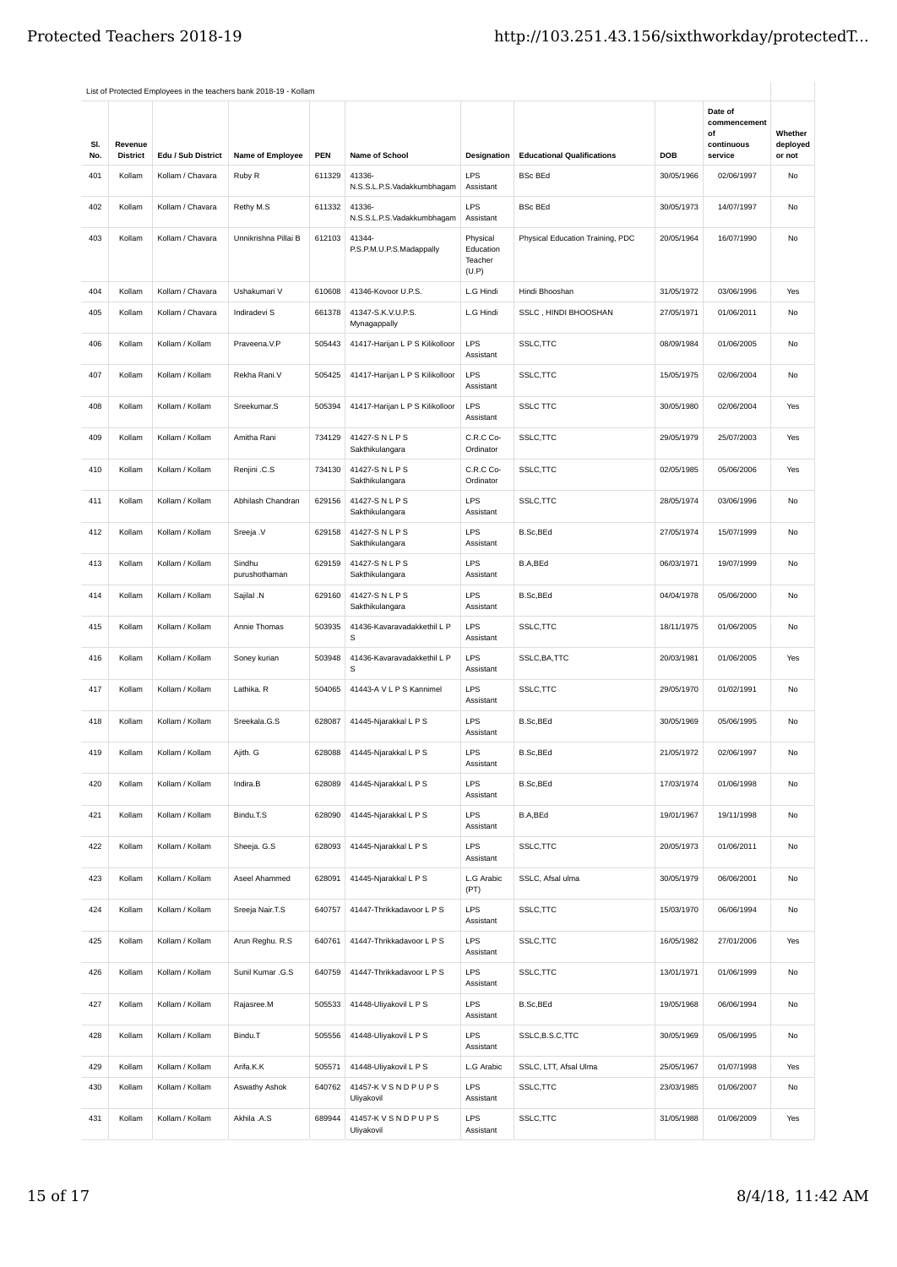|            |                            |                    | List of Protected Employees in the teachers bank 2018-19 - Kollam |            |                                       |                                           |                                   |            |                                                        |                               |
|------------|----------------------------|--------------------|-------------------------------------------------------------------|------------|---------------------------------------|-------------------------------------------|-----------------------------------|------------|--------------------------------------------------------|-------------------------------|
| SI.<br>No. | Revenue<br><b>District</b> | Edu / Sub District | Name of Employee                                                  | <b>PEN</b> | Name of School                        | Designation                               | <b>Educational Qualifications</b> | DOB        | Date of<br>commencement<br>of<br>continuous<br>service | Whether<br>deployed<br>or not |
|            |                            | Kollam / Chavara   |                                                                   |            | 41336-                                | LPS                                       |                                   |            | 02/06/1997                                             |                               |
| 401        | Kollam                     |                    | Ruby R                                                            | 611329     | N.S.S.L.P.S.Vadakkumbhagam            | Assistant                                 | <b>BSc BEd</b>                    | 30/05/1966 |                                                        | No                            |
| 402        | Kollam                     | Kollam / Chavara   | Rethy M.S                                                         | 611332     | 41336-<br>N.S.S.L.P.S.Vadakkumbhagam  | <b>LPS</b><br>Assistant                   | <b>BSc BEd</b>                    | 30/05/1973 | 14/07/1997                                             | No                            |
| 403        | Kollam                     | Kollam / Chavara   | Unnikrishna Pillai B                                              | 612103     | 41344-<br>P.S.P.M.U.P.S.Madappally    | Physical<br>Education<br>Teacher<br>(U.P) | Physical Education Training, PDC  | 20/05/1964 | 16/07/1990                                             | No                            |
| 404        | Kollam                     | Kollam / Chavara   | Ushakumari V                                                      | 610608     | 41346-Kovoor U.P.S.                   | L.G Hindi                                 | Hindi Bhooshan                    | 31/05/1972 | 03/06/1996                                             | Yes                           |
| 405        | Kollam                     | Kollam / Chavara   | Indiradevi S                                                      | 661378     | 41347-S.K.V.U.P.S.<br>Mynagappally    | L.G Hindi                                 | SSLC, HINDI BHOOSHAN              | 27/05/1971 | 01/06/2011                                             | No                            |
| 406        | Kollam                     | Kollam / Kollam    | Praveena.V.P                                                      | 505443     | 41417-Harijan L P S Kilikolloor       | <b>LPS</b><br>Assistant                   | SSLC, TTC                         | 08/09/1984 | 01/06/2005                                             | No                            |
| 407        | Kollam                     | Kollam / Kollam    | Rekha Rani.V                                                      | 505425     | 41417-Harijan L P S Kilikolloor       | LPS<br>Assistant                          | SSLC, TTC                         | 15/05/1975 | 02/06/2004                                             | No                            |
| 408        | Kollam                     | Kollam / Kollam    | Sreekumar.S                                                       | 505394     | 41417-Harijan L P S Kilikolloor       | <b>LPS</b><br>Assistant                   | <b>SSLC TTC</b>                   | 30/05/1980 | 02/06/2004                                             | Yes                           |
| 409        | Kollam                     | Kollam / Kollam    | Amitha Rani                                                       | 734129     | 41427-SNLPS<br>Sakthikulangara        | C.R.C Co-<br>Ordinator                    | SSLC, TTC                         | 29/05/1979 | 25/07/2003                                             | Yes                           |
| 410        | Kollam                     | Kollam / Kollam    | Renjini .C.S                                                      | 734130     | 41427-SNLPS<br>Sakthikulangara        | C.R.C Co-<br>Ordinator                    | SSLC, TTC                         | 02/05/1985 | 05/06/2006                                             | Yes                           |
| 411        | Kollam                     | Kollam / Kollam    | Abhilash Chandran                                                 | 629156     | 41427-SNLPS<br>Sakthikulangara        | <b>LPS</b><br>Assistant                   | SSLC,TTC                          | 28/05/1974 | 03/06/1996                                             | No                            |
| 412        | Kollam                     | Kollam / Kollam    | Sreeja .V                                                         | 629158     | 41427-S N L P S<br>Sakthikulangara    | <b>LPS</b><br>Assistant                   | B.Sc,BEd                          | 27/05/1974 | 15/07/1999                                             | No                            |
| 413        | Kollam                     | Kollam / Kollam    | Sindhu<br>purushothaman                                           | 629159     | 41427-SNLPS<br>Sakthikulangara        | <b>LPS</b><br>Assistant                   | B.A,BEd                           | 06/03/1971 | 19/07/1999                                             | No                            |
| 414        | Kollam                     | Kollam / Kollam    | Sajilal .N                                                        | 629160     | 41427-SNLPS<br>Sakthikulangara        | <b>LPS</b><br>Assistant                   | B.Sc,BEd                          | 04/04/1978 | 05/06/2000                                             | No                            |
| 415        | Kollam                     | Kollam / Kollam    | Annie Thomas                                                      | 503935     | 41436-Kavaravadakkethil L P<br>s      | <b>LPS</b><br>Assistant                   | SSLC, TTC                         | 18/11/1975 | 01/06/2005                                             | No                            |
| 416        | Kollam                     | Kollam / Kollam    | Soney kurian                                                      | 503948     | 41436-Kavaravadakkethil L P<br>s      | LPS<br>Assistant                          | SSLC, BA, TTC                     | 20/03/1981 | 01/06/2005                                             | Yes                           |
| 417        | Kollam                     | Kollam / Kollam    | Lathika. R                                                        | 504065     | 41443-A V L P S Kannimel              | LPS<br>Assistant                          | SSLC, TTC                         | 29/05/1970 | 01/02/1991                                             | No                            |
| 418        | Kollam                     | Kollam / Kollam    | Sreekala.G.S                                                      | 628087     | 41445-Njarakkal L P S                 | <b>LPS</b><br>Assistant                   | B.Sc,BEd                          | 30/05/1969 | 05/06/1995                                             | No                            |
| 419        | Kollam                     | Kollam / Kollam    | Ajith. G                                                          | 628088     | 41445-Njarakkal L P S                 | LPS<br>Assistant                          | B.Sc, BEd                         | 21/05/1972 | 02/06/1997                                             | No                            |
| 420        | Kollam                     | Kollam / Kollam    | Indira.B                                                          | 628089     | 41445-Njarakkal L P S                 | <b>LPS</b><br>Assistant                   | B.Sc, BEd                         | 17/03/1974 | 01/06/1998                                             | No                            |
| 421        | Kollam                     | Kollam / Kollam    | Bindu.T.S                                                         | 628090     | 41445-Njarakkal L P S                 | <b>LPS</b><br>Assistant                   | B.A,BEd                           | 19/01/1967 | 19/11/1998                                             | No                            |
| 422        | Kollam                     | Kollam / Kollam    | Sheeja. G.S                                                       | 628093     | 41445-Njarakkal L P S                 | <b>LPS</b><br>Assistant                   | SSLC, TTC                         | 20/05/1973 | 01/06/2011                                             | No                            |
| 423        | Kollam                     | Kollam / Kollam    | Aseel Ahammed                                                     | 628091     | 41445-Njarakkal L P S                 | L.G Arabic<br>(PT)                        | SSLC, Afsal ulma                  | 30/05/1979 | 06/06/2001                                             | No                            |
| 424        | Kollam                     | Kollam / Kollam    | Sreeja Nair.T.S                                                   | 640757     | 41447-Thrikkadavoor L P S             | <b>LPS</b><br>Assistant                   | SSLC, TTC                         | 15/03/1970 | 06/06/1994                                             | No                            |
| 425        | Kollam                     | Kollam / Kollam    | Arun Reghu. R.S                                                   | 640761     | 41447-Thrikkadavoor L P S             | <b>LPS</b><br>Assistant                   | SSLC, TTC                         | 16/05/1982 | 27/01/2006                                             | Yes                           |
| 426        | Kollam                     | Kollam / Kollam    | Sunil Kumar .G.S                                                  | 640759     | 41447-Thrikkadavoor L P S             | <b>LPS</b><br>Assistant                   | SSLC, TTC                         | 13/01/1971 | 01/06/1999                                             | No                            |
| 427        | Kollam                     | Kollam / Kollam    | Rajasree.M                                                        | 505533     | 41448-Uliyakovil L P S                | <b>LPS</b><br>Assistant                   | B.Sc,BEd                          | 19/05/1968 | 06/06/1994                                             | No                            |
| 428        | Kollam                     | Kollam / Kollam    | Bindu.T                                                           | 505556     | 41448-Uliyakovil L P S                | <b>LPS</b><br>Assistant                   | SSLC, B.S.C, TTC                  | 30/05/1969 | 05/06/1995                                             | No                            |
| 429        | Kollam                     | Kollam / Kollam    | Arifa.K.K                                                         | 505571     | 41448-Uliyakovil L P S                | L.G Arabic                                | SSLC, LTT, Afsal Ulma             | 25/05/1967 | 01/07/1998                                             | Yes                           |
| 430        | Kollam                     | Kollam / Kollam    | Aswathy Ashok                                                     | 640762     | 41457-K V S N D P U P S<br>Uliyakovil | <b>LPS</b><br>Assistant                   | SSLC, TTC                         | 23/03/1985 | 01/06/2007                                             | No                            |
| 431        | Kollam                     | Kollam / Kollam    | Akhila .A.S                                                       | 689944     | 41457-K V S N D P U P S<br>Uliyakovil | <b>LPS</b><br>Assistant                   | SSLC,TTC                          | 31/05/1988 | 01/06/2009                                             | Yes                           |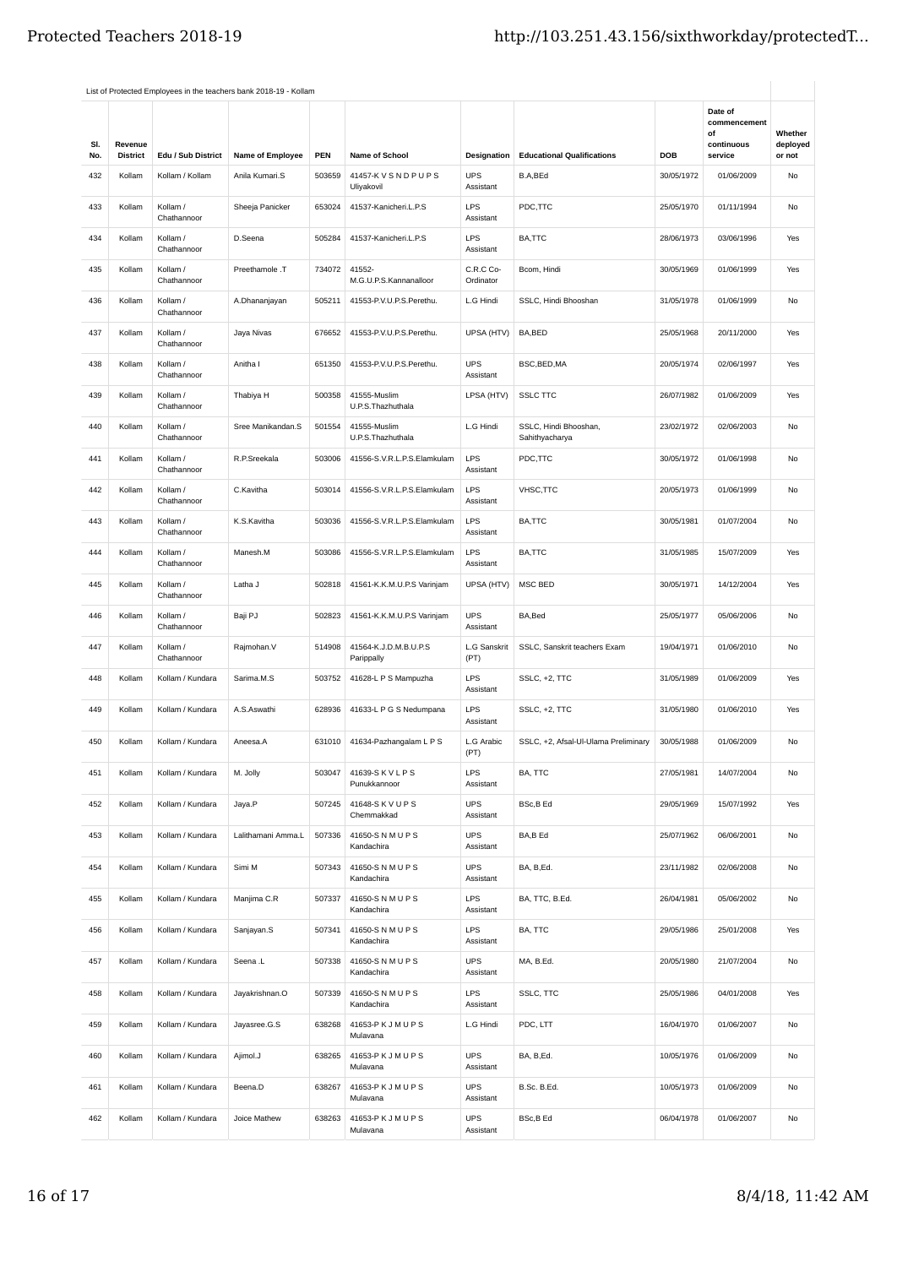|            |                            |                         | List of Protected Employees in the teachers bank 2018-19 - Kollam |            |                                     |                         |                                         |            |                                                        |                               |
|------------|----------------------------|-------------------------|-------------------------------------------------------------------|------------|-------------------------------------|-------------------------|-----------------------------------------|------------|--------------------------------------------------------|-------------------------------|
| SI.<br>No. | Revenue<br><b>District</b> | Edu / Sub District      | Name of Employee                                                  | <b>PEN</b> | Name of School                      | Designation             | <b>Educational Qualifications</b>       | <b>DOB</b> | Date of<br>commencement<br>of<br>continuous<br>service | Whether<br>deployed<br>or not |
| 432        | Kollam                     | Kollam / Kollam         | Anila Kumari.S                                                    | 503659     | 41457-K V S N D P U P S             | <b>UPS</b>              | B.A,BEd                                 | 30/05/1972 | 01/06/2009                                             | No                            |
|            |                            |                         |                                                                   |            | Uliyakovil                          | Assistant               |                                         |            |                                                        |                               |
| 433        | Kollam                     | Kollam /<br>Chathannoor | Sheeja Panicker                                                   | 653024     | 41537-Kanicheri.L.P.S               | <b>LPS</b><br>Assistant | PDC,TTC                                 | 25/05/1970 | 01/11/1994                                             | No                            |
| 434        | Kollam                     | Kollam /<br>Chathannoor | D.Seena                                                           | 505284     | 41537-Kanicheri.L.P.S               | LPS<br>Assistant        | BA,TTC                                  | 28/06/1973 | 03/06/1996                                             | Yes                           |
| 435        | Kollam                     | Kollam /<br>Chathannoor | Preethamole .T                                                    | 734072     | 41552-<br>M.G.U.P.S.Kannanalloor    | C.R.C Co-<br>Ordinator  | Bcom, Hindi                             | 30/05/1969 | 01/06/1999                                             | Yes                           |
| 436        | Kollam                     | Kollam /<br>Chathannoor | A.Dhananjayan                                                     | 505211     | 41553-P.V.U.P.S.Perethu.            | L.G Hindi               | SSLC, Hindi Bhooshan                    | 31/05/1978 | 01/06/1999                                             | No                            |
| 437        | Kollam                     | Kollam /<br>Chathannoor | Jaya Nivas                                                        | 676652     | 41553-P.V.U.P.S.Perethu.            | UPSA (HTV)              | BA,BED                                  | 25/05/1968 | 20/11/2000                                             | Yes                           |
| 438        | Kollam                     | Kollam /<br>Chathannoor | Anitha I                                                          | 651350     | 41553-P.V.U.P.S.Perethu.            | <b>UPS</b><br>Assistant | BSC, BED, MA                            | 20/05/1974 | 02/06/1997                                             | Yes                           |
| 439        | Kollam                     | Kollam /<br>Chathannoor | Thabiya H                                                         | 500358     | 41555-Muslim<br>U.P.S.Thazhuthala   | LPSA (HTV)              | <b>SSLC TTC</b>                         | 26/07/1982 | 01/06/2009                                             | Yes                           |
| 440        | Kollam                     | Kollam /<br>Chathannoor | Sree Manikandan.S                                                 | 501554     | 41555-Muslim<br>U.P.S.Thazhuthala   | L.G Hindi               | SSLC, Hindi Bhooshan,<br>Sahithyacharya | 23/02/1972 | 02/06/2003                                             | No                            |
| 441        | Kollam                     | Kollam /<br>Chathannoor | R.P.Sreekala                                                      | 503006     | 41556-S.V.R.L.P.S.Elamkulam         | <b>LPS</b><br>Assistant | PDC,TTC                                 | 30/05/1972 | 01/06/1998                                             | No                            |
| 442        | Kollam                     | Kollam /<br>Chathannoor | C.Kavitha                                                         | 503014     | 41556-S.V.R.L.P.S.Elamkulam         | <b>LPS</b><br>Assistant | VHSC, TTC                               | 20/05/1973 | 01/06/1999                                             | No                            |
| 443        | Kollam                     | Kollam /<br>Chathannoor | K.S.Kavitha                                                       | 503036     | 41556-S.V.R.L.P.S.Elamkulam         | <b>LPS</b><br>Assistant | BA,TTC                                  | 30/05/1981 | 01/07/2004                                             | No                            |
| 444        | Kollam                     | Kollam /<br>Chathannoor | Manesh.M                                                          | 503086     | 41556-S.V.R.L.P.S.Elamkulam         | <b>LPS</b><br>Assistant | BA,TTC                                  | 31/05/1985 | 15/07/2009                                             | Yes                           |
| 445        | Kollam                     | Kollam /<br>Chathannoor | Latha J                                                           | 502818     | 41561-K.K.M.U.P.S Varinjam          | UPSA (HTV)              | <b>MSC BED</b>                          | 30/05/1971 | 14/12/2004                                             | Yes                           |
| 446        | Kollam                     | Kollam /<br>Chathannoor | Baji PJ                                                           | 502823     | 41561-K.K.M.U.P.S Varinjam          | <b>UPS</b><br>Assistant | BA, Bed                                 | 25/05/1977 | 05/06/2006                                             | No                            |
| 447        | Kollam                     | Kollam /<br>Chathannoor | Rajmohan.V                                                        | 514908     | 41564-K.J.D.M.B.U.P.S<br>Parippally | L.G Sanskrit<br>(PT)    | SSLC, Sanskrit teachers Exam            | 19/04/1971 | 01/06/2010                                             | No                            |
| 448        | Kollam                     | Kollam / Kundara        | Sarima.M.S                                                        | 503752     | 41628-L P S Mampuzha                | <b>LPS</b><br>Assistant | SSLC, +2, TTC                           | 31/05/1989 | 01/06/2009                                             | Yes                           |
| 449        | Kollam                     | Kollam / Kundara        | A.S.Aswathi                                                       | 628936     | 41633-L P G S Nedumpana             | <b>LPS</b><br>Assistant | SSLC, +2, TTC                           | 31/05/1980 | 01/06/2010                                             | Yes                           |
| 450        | Kollam                     | Kollam / Kundara        | Aneesa.A                                                          | 631010     | 41634-Pazhangalam L P S             | L.G Arabic<br>(PT)      | SSLC, +2, Afsal-Ul-Ulama Preliminary    | 30/05/1988 | 01/06/2009                                             | No                            |
| 451        | Kollam                     | Kollam / Kundara        | M. Jolly                                                          | 503047     | 41639-SKVLPS<br>Punukkannoor        | <b>LPS</b><br>Assistant | BA, TTC                                 | 27/05/1981 | 14/07/2004                                             | No                            |
| 452        | Kollam                     | Kollam / Kundara        | Jaya.P                                                            | 507245     | 41648-S K V U P S<br>Chemmakkad     | <b>UPS</b><br>Assistant | BSc,B Ed                                | 29/05/1969 | 15/07/1992                                             | Yes                           |
| 453        | Kollam                     | Kollam / Kundara        | Lalithamani Amma.L                                                | 507336     | 41650-S N M U P S<br>Kandachira     | <b>UPS</b><br>Assistant | BA,B Ed                                 | 25/07/1962 | 06/06/2001                                             | No                            |
| 454        | Kollam                     | Kollam / Kundara        | Simi M                                                            | 507343     | 41650-SNMUPS<br>Kandachira          | <b>UPS</b><br>Assistant | BA, B,Ed.                               | 23/11/1982 | 02/06/2008                                             | No                            |
| 455        | Kollam                     | Kollam / Kundara        | Manjima C.R                                                       | 507337     | 41650-S N M U P S<br>Kandachira     | LPS<br>Assistant        | BA, TTC, B.Ed.                          | 26/04/1981 | 05/06/2002                                             | No                            |
| 456        | Kollam                     | Kollam / Kundara        | Sanjayan.S                                                        | 507341     | 41650-SNMUPS<br>Kandachira          | <b>LPS</b><br>Assistant | BA, TTC                                 | 29/05/1986 | 25/01/2008                                             | Yes                           |
| 457        | Kollam                     | Kollam / Kundara        | Seena .L                                                          | 507338     | 41650-S N M U P S<br>Kandachira     | <b>UPS</b><br>Assistant | MA, B.Ed.                               | 20/05/1980 | 21/07/2004                                             | No                            |
| 458        | Kollam                     | Kollam / Kundara        | Jayakrishnan.O                                                    | 507339     | 41650-S N M U P S<br>Kandachira     | <b>LPS</b><br>Assistant | SSLC, TTC                               | 25/05/1986 | 04/01/2008                                             | Yes                           |
| 459        | Kollam                     | Kollam / Kundara        | Jayasree.G.S                                                      | 638268     | 41653-PKJMUPS<br>Mulavana           | L.G Hindi               | PDC, LTT                                | 16/04/1970 | 01/06/2007                                             | No                            |
| 460        | Kollam                     | Kollam / Kundara        | Ajimol.J                                                          | 638265     | 41653-PKJMUPS<br>Mulavana           | <b>UPS</b><br>Assistant | BA, B,Ed.                               | 10/05/1976 | 01/06/2009                                             | No                            |
| 461        | Kollam                     | Kollam / Kundara        | Beena.D                                                           | 638267     | 41653-PKJMUPS<br>Mulavana           | <b>UPS</b><br>Assistant | B.Sc. B.Ed.                             | 10/05/1973 | 01/06/2009                                             | No                            |
| 462        | Kollam                     | Kollam / Kundara        | Joice Mathew                                                      | 638263     | 41653-PKJMUPS<br>Mulavana           | <b>UPS</b><br>Assistant | BSc,B Ed                                | 06/04/1978 | 01/06/2007                                             | No                            |